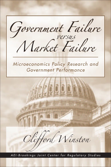Government l'auure versus Market Failure Government l'allure Market Failure

*Microeconomics Policy Research and Government Performance*

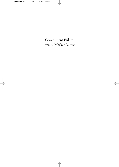Government Failure versus Market Failure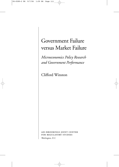# Government Failure versus Market Failure

*Microeconomics Policy Research and Government Performance*

Clifford Winston

aei-brookings joint center for regulatory studies

*Washington, D.C.*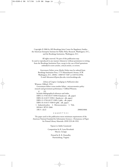Copyright © 2006 by AEI-Brookings Joint Center for Regulatory Studies, the American Enterprise Institute for Public Policy Research, Washington, D.C., and the Brookings Institution, Washington, D.C.

All rights reserved. No part of this publication may be used or reproduced in any manner whatsoever without permission in writing from the Brookings Institution Press, except in the case of brief quotations embodied in news articles, critical articles, or reviews.

> *Government Failure versus Market Failure* may be ordered from: Brookings Institution Press, 1775 Massachusetts Avenue, N.W. Washington, D.C. 20036. 1-800/537-5487 or 410/516-6956; E-mail: hfscustserv@press.jhu.edu; www.brookings.edu

*Library of Congress Cataloging-in-Publication data* Winston, Clifford, 1952– Government failure versus market failure : microeconomics policy research and government performance / Clifford Winston. p. cm. Includes bibliographical references and index. ISBN-13: 978-0-8157-9390-8 (hardcover : alk. paper) ISBN-10: 0-8157-9390-1 (hardcover : alk. paper) ISBN-13: 978-0-8157-9389-2 (pbk. : alk. paper) ISBN-10: 0-8157-9389-8 (pbk. : alk. paper) 1. Industrial policy. 2. Microeconomics. I. Title. HD3611.W555 2006 338.5—dc22 2006024066

2 4 6 8 9 7 5 3 1

The paper used in this publication meets minimum requirements of the American National Standard for Information Sciences—Permanence of Paper for Printed Library Materials: ANSI Z39.48-1992.

Typeset in Adobe Garamond

Composition by R. Lynn Rivenbark Macon, Georgia

> Printed by R. R. Donnelley Harrisonburg, Virginia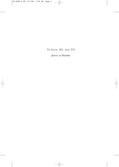#### To Joan, HJ, and TH

*forever in Manoku*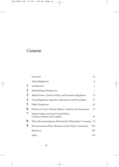# *Contents*

|   | Foreword                                                                   | vii |
|---|----------------------------------------------------------------------------|-----|
|   | Acknowledgments                                                            | ix  |
| 1 | Introduction                                                               | 1   |
| 2 | Methodological Perspective                                                 | 7   |
| 3 | Market Power: Antitrust Policy and Economic Regulation                     | 13  |
| 4 | Social Regulation: Imperfect Information and Externalities                 | 27  |
| 5 | Public Production                                                          | 61  |
| 6 | Policies to Correct Market Failures: Synthesis and Assessment              | 73  |
| 7 | Market Failure and Social Goals Policies:<br>Common Failures and Conflicts | 87  |
| 8 | Policy Recommendations Motivated by Policymakers' Learning                 | 93  |
| 9 | Microeconomics Policy Research and the Policy Community                    | 103 |
|   | References                                                                 | 109 |
|   | Index                                                                      | 125 |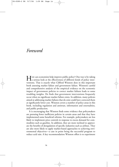### *Foreword*

I a serious look at the effectiveness of different kinds of policy inter-<br>a serious look at the effectiveness of different kinds of policy interventions. That is exactly what Clifford Winston does in this important book assessing market failure and government failure. Winston's careful and comprehensive analysis of the empirical evidence on the economic impact of government policies to correct market failures leads to some troubling insights. He finds that government interventions frequently occur when no significant market failure exists. In addition, many policies aimed at addressing market failures that do exist could have corrected them at significantly lower cost. Winston covers a number of policy areas in this book, including regulation and antitrust, information and externalities, and public production.

It is encouraging that Winston finds some evidence that policymakers are pursuing fewer inefficient policies in certain areas and that they have implemented some beneficial reforms. For example, policymakers are less likely to implement price controls in response to excess demand for commodities such as gasoline. In addition, they are more inclined to appreciate the benefits of deregulation of specific industries such as airlines. They are also more likely to apply market-based approaches to achieving environmental objectives—a case in point being the successful program to reduce acid rain. A key recommendation Winston offers is to experiment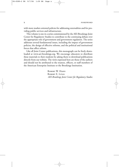x foreword and the set of the set of the set of the set of the set of the set of the set of the set of the set of the set of the set of the set of the set of the set of the set of the set of the set of the set of the set o

with more market-oriented policies for addressing externalities and for providing public services and infrastructure.

This volume is one in a series commissioned by the AEI-Brookings Joint Center for Regulatory Studies to contribute to the continuing debate over the appropriate role of government and government regulation. The series addresses several fundamental issues, including the impact of government policies, the design of effective reforms, and the political and institutional forces that affect reform.

Like all Joint Center publications, this monograph can be freely downloaded at www.aei-brookings.org. We encourage educators to distribute these materials to their students by asking them to download publications directly from our website. The views expressed here are those of the authors and should not be attributed to the trustees, officers, or staff members of the American Enterprise Institute or the Brookings Institution.

> ROBERT W. HAHN ROBERT E. LITAN *AEI-Brookings Joint Center for Regulatory Studies*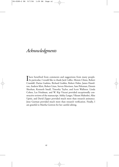## *Acknowledgments*

I have benefited from comments and suggestions from many people.<br>In particular, I would like to thank Jack Calfee, Menzie Chinn, Robert In particular, I would like to thank Jack Calfee, Menzie Chinn, Robert Crandall, Darius Gaskins, Richard Geddes, Robert Hahn, James Hamilton, Andrew Kleit, Robert Litan, Steven Morrison, Sam Peltzman, Dennis Sheehan, Kenneth Small, Timothy Taylor, and Scott Wallsten. Linda Cohen, Lee Friedman, and W. Kip Viscusi provided exceptionally constructive reviews of the manuscript. Ashley Langer, Vikram Maheshri, Alise Upitis, and David Zipper provided much more than research assistance. Jesse Gurman provided much more than research verification. Finally, I am grateful to Martha Gottron for her careful editing.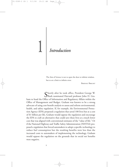# **1** *Introduction*

The Aim of Science is not to open the door to infinite wisdom, but to set a limit to infinite error.

BERTOLT BRECHT

Shortly after he took office, President George W.<br>Bush nominated Harvard professor John D. Graham to head the Office of Information and Regulatory Affairs within the Office of Management and Budget. Graham was known to be a strong advocate of using cost-benefit analysis to assess and reform environmental, health, and safety regulation. If, for example, the Environmental Protection Agency (EPA) proposed a regulation that saved 100 lives but at a cost of \$1 billion per life, Graham would oppose the regulation and encourage the EPA to craft an alternative that could save these lives at a much lower cost that was aligned with conventional estimates of the "value of life." Or if the National Highway and Traffic Safety Administration (NHTSA) proposed a regulation that forced automakers to adopt a specific technology to reduce fuel consumption but the resulting benefits were less than the increased costs to automakers of implementing the technology, Graham would oppose the regulation on the grounds that its social net benefits were negative.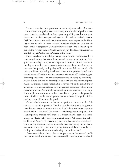To an economist, these positions are eminently reasonable. But some commentators and policymakers are outright dismissive of policy assessments based on cost-benefit analysis, apparently willing to substitute good intentions—or their own political agenda—for analysis. Indeed, Senator Dick Durbin's response to Graham's nomination was an op-ed in the *Washington Post* on July 16, 2001, entitled "Graham Flunks the Cost-Benefit Test," while Georgetown University law professor Liza Heinzerling expressed her views in the *Los Angeles Times* on July 19, 2001, with an op-ed entitled "Don't Put the Fox in Charge of the Hens."

Such refusals to acknowledge that government interventions can have costs as well as benefits raise a fundamental concern about whether U.S. government policy is truly enhancing microeconomic efficiency—that is, the degree to which our economic system meets the material wants, as measured by quantity and quality, of its members. Microeconomic efficiency, or Pareto optimality, is achieved when it is impossible to make one person better off without making someone else worse off. In theory, government policy seeks to improve microeconomic efficiency by correcting a market failure, defined by Bator (1958) as the failure of a system of pricemarket institutions to stop "undesirable" activities, where the desirability of an activity is evaluated relative to some explicit economic welfare maximization problem. Accordingly, a market failure can be defined as an equilibrium allocation of resources that is not Pareto optimal—the potential causes of which may be market power, natural monopoly, imperfect information, externalities, or public goods.

On what basis is one to conclude that a policy to correct a market failure is as successful as possible? The first consideration is whether government has any reason to intervene in a market: Is there evidence of a serious market failure to correct? The second is whether government policy is at least improving market performance: Is it reducing the economic inefficiency, or "deadweight" loss, from market failure? Of course, the policy could be an "expensive" success by generating benefits that exceed costs, but incurring excessive costs to obtain the benefits. Hence, the final consideration is whether government policy is optimal: Is it efficiently correcting the market failure and maximizing economic welfare?

*Government* failure, then, arises when government has created inefficiencies because it should not have intervened in the first place or when it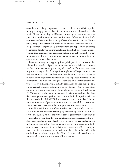#### INTRODUCTION 3

could have solved a given problem or set of problems more efficiently, that is, by generating greater net benefits. In other words, the theoretical benchmark of Pareto optimality could be used to assess government performance just as it is used to assess market performance. Of course, the ideal of a completely efficient market is rarely, if ever, observed in practice. From a policy perspective, market failure should be a matter of concern when market performance significantly deviates from the appropriate efficiency benchmark. Similarly, a government failure should call a government intervention into question when economic welfare is actually reduced or when resources are allocated in a manner that significantly deviates from an appropriate efficiency benchmark.

Economic theory can suggest optimal public policies to correct market failures, but the effect of government's market failure policies on economic welfare can be assessed only with *empirical evidence*. For more than a century, the primary market failure policies implemented by government have included antitrust policy and economic regulation to curb market power, so-called social regulatory policies to address imperfect information and externalities, and public financing of socially desirable services that the private sector would not provide. Initially, economists assessed these policies on conceptual grounds, culminating in Friedman's (1962) classic attack questioning government's role in almost all areas of economic life. Schultze (1977) was one of the first to systematically raise doubts about the effectiveness of government policies based on the limited empirical evidence that was available. Wolf (1979) introduced the term nonmarket failure to indicate some type of government failure and suggested that government failure may be of the same order of importance as market failure.

An additional thirty years of empirical evidence on the efficacy of market failure policies initiated primarily by the federal government, but also by the states, suggests that the welfare cost of government failure may be considerably greater than that of market failure. More specifically, the evidence suggests that policymakers have attempted to correct market failures with policies designed to affect either consumer or firm behavior, or both, or to allocate resources. Some policies have forced the U.S. economy to incur costs in situations where no serious market failure exists, while others, in situations where costly market failures do exist, could have improved resource allocation in a much more efficient manner.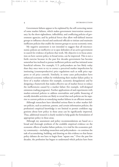Government failures appear to be explained by the self-correcting nature of some market failures, which makes government intervention unnecessary; by the short-sightedness, inflexibility, and conflicting policies of government agencies; and by political forces that allow well-defined interest groups to influence elected and unelected officials to initiate and maintain inefficient policies that enable the interest groups to accrue economic rents.

My negative assessment is not intended to suggest that all microeconomic policies are ineffective or to spur defenders of an active government to search for evidence of policies that work. My objective is to focus attention on how current policy, in broad terms, can be improved. This is not a futile exercise because in the past few decades government has become somewhat less inclined to pursue inefficient policies and has initiated some beneficial reforms. For example, U.S. policymakers are less likely today than they once were to try to correct a perceived market imperfection by instituting (counterproductive) price regulations such as milk price supports or oil price controls. Similarly, in some cases policymakers have enhanced economic welfare by withdrawing their market failure policy in favor of a market solution (for example, economic deregulation) and by designing a framework that makes effective use of market forces to reduce the inefficiencies caused by a market failure (for example, well-designed emissions trading programs). Further applications of and experiments with market-oriented policies to address externalities and public financing of socially desirable activities are likely to reveal that such policies are far superior to current policies at remedying market failures in an efficient manner.

Although researchers have identified serious flaws in other market failure policies, such as antitrust, patents, and certain information policies, the profession's empirical knowledge is too limited to permit confident suggestions about how policy in these areas can be significantly improved. Thus, additional research is clearly needed to help guide the formulation of appropriate policy in these areas.

Although my assessment and policy recommendations are based on a broad and thorough synthesis of the available empirical evidence on the economic effects of market failure policies, it is vital for the economics policy community—including researchers and policymakers—to continue the task of accumulating, building, and drawing on this evidence so that future policy debates do not have to begin from "square one." Over the past few decades, the profession has begun to understand which policies have been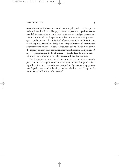successful and which have not, as well as why policymakers fail to pursue socially desirable reforms. The gap between the plethora of policies recommended by economists to correct market failure and mitigate government failure and the policies the government has pursued should only encourage—not discourage—the profession's efforts to assemble and disseminate a useful empirical base of knowledge about the performance of government's microeconomic policies. In isolated instances, public officials have shown the capacity to learn from economic research and improve their policies. A more comprehensive body of evidence should lead to much-betterinformed action and, more broadly, to socially desirable outcomes.

The disappointing outcome of government's current microeconomic policies should be of great concern to everyone interested in public affairs regardless of political persuasion or occupation. By documenting government's performance and indicating how it can be improved, I hope to do more than set a "limit to infinite error."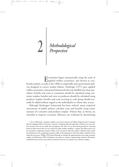# **2** *Methodological Perspective*

Economists began systematically using the tools of<br>
applied welfare economics, also known as costbenefit analysis, as early as the 1960s to empirically assess government policies designed to correct market failures. Harberger (1971) gave applied welfare economics a theoretical framework that was distilled into three postulates: benefits and costs to consumers should be calculated using consumer surplus; benefits and costs to producers should be calculated using producer surplus; benefits and costs accruing to each group should normally be added without regard to the individual(s) to whom they accrue.

Although Harberger's framework has been refined, many empirical assessments of public policies calculate costs and benefits using (some measure of) consumer and producer surplus.<sup>1</sup> Policies that, in theory, are intended to improve economic efficiency are evaluated by determining

1. As is well known, consumer surplus is an inexact measure of welfare change because it assumes that the marginal utility of income is constant. Compensating and equivalent variations are exact welfare measures that do not make this assumption, but there are no theoretical grounds for choosing between them because they do not resolve the index number problem—a policy that affects prices can be assessed by comparing consumer utility at the new prices with what utility would have been under the initial prices or by comparing consumer utility at the initial prices with what utility would have been under the new prices. Willig (1976) derived bounds to calculate the approximation error using consumer surplus, and Hausman (1981) developed a procedure to estimate compensating variations. Hausman's method has been used in some policy assessments, but the vast majority use consumer surplus.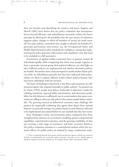their net benefits and identifying the winners and losers. Kaplow and Shavell (2001) have shown that any policy evaluation that incorporates factors beyond efficiency and redistribution necessarily violates the Pareto principle by allowing for the possibility that the new system of evaluation supports policy changes in which all members of society are made worse off. For some policies, researchers have sought to identify the benefits of a particular government intervention, say, the Occupational Safety and Health Administration's safety standards for workplaces, noting that implementing the policy generates enforcement and compliance costs that need to be included in a full assessment.

Practitioners of applied welfare economics have, in general, treated all individuals equally, while recognizing that when some people organize to form a particular interest group their political influence can shed light on why inefficient policies are implemented and whether alternative policies are feasible. Researchers have rarely attempted to justify market failure policies solely on redistributive grounds, but they have indicated when policymakers are likely to oppose efficient market failure policies because they may harm individuals with low incomes.

The heart of Harberger's framework is that firms and consumers are selfinterested agents who respond rationally to public policies.<sup>2</sup> As pointed out by Varian (1993), people may behave irrationally in laboratory studies by violating transitivity, expected utility maximization, and elementary probability, but this behavior is sufficiently rare in actual markets that many economists are willing to advocate only policies that assume people behave rationally. The growing research in behavioral economics may challenge this position by empirically confirming that agents often depart from rational behavior in particular settings, but policies based on such behavior will need to be implemented and assessed before we can conclude that they have merit.

Since Harberger's article, microeconomic policy evaluations have been strengthened by advances in econometric modeling, greater computational capabilities, experimental economics, and the growing availability of data sets covering a wide range of consumers' and firms' economic behavior. Any policy evaluation amounts to a *counterfactual* analysis where the economic effects of a public policy are isolated by using a multivariate analy-

<sup>2.</sup> There is a growing literature that assesses whether government agencies' policies are consistent with the recommendations of cost-benefit analysis and, given that they are not, whether agencies should be required to meet this standard; see, for example, Posner (2001) and Sunstein (2001).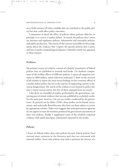sis to hold constant all other variables that are unrelated to the public policy but that could affect policy outcomes.

I summarize in detail the effect of policies whose primary objective in principle is to correct a market failure. As noted, the policies that I assess are antitrust and regulatory policies, information and externality policies, and public production. The nature of this exercise invariably involves judgments about the evidence that I report, the specific policies that I assess, and how I resolve methodological disputes. I therefore clarify my approach to these matters.

#### **Evidence**

My primary source of evidence consists of scholarly assessments of federal policies that are published in journals and books. (To facilitate comparisons of the welfare effects of different policies, I report all empirical estimates in 2000 dollars, unless otherwise indicated.) I draw on the research of all scholars to report the most recent findings on the economic effects of a market failure policy, but not at the expense of suppressing current or historical disagreement. My search of the evidence is not limited to policy failures; I report success stories, but few of them emerged from my search.

I also draw on a handful of studies, performed by the government, containing peer-reviewed evidence that was not published in a scholarly outlet. For the most part, however, I do not use studies conducted by the government. As pointed out by Hahn (1996), these studies can be biased, inconsistent, and technically flawed because they have not been subject to review by appropriate scholars. Hahn even suggests that some government agencies do not appear to trust the numbers produced by government assessments of their own policies. Finally, I supplement some of the scholarly empirical evidence with useful descriptive information reported by the media.

#### **Policies**

I focus on federal rather than state policies because federal policies have received more attention in the literature and they are concerned with national welfare. Some state policies may seek to promote the interest of a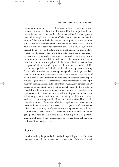particular state at the expense of national welfare. Of course, in some instances the states may be able to develop and implement policies that are more effective than those that have been enacted by the federal government. The strengths and weaknesses of federal versus state policies raise the issue of federalism and whether market failure policies, as well as other policies, should be implemented at the federal or lower levels. I do not have sufficient evidence to address this issue here. In a few cases, however, I report the effects of both federal and state policies on consumer welfare.

As noted, the scope of this study is limited to policies that are intended to enhance microeconomic efficiency. Microeconomic efficiency ignores the distribution of income; thus, I distinguish market failure policies from government interventions whose explicit objective is to redistribute income from one group of citizens to another group of citizens to pursue a social goal. The primary social goals in the United States include reducing poverty, ensuring fairness in labor markets, and providing merit goods—that is, goods and services that American society believes every citizen is entitled to regardless of whether he or she can afford them. In contrast to efficient market failure policies, social goals policies are *not* intended to meet the standard of Pareto optimality by making someone better off without making anyone worse off. Of course, in certain situations it is not completely clear whether a policy is intended to enhance microeconomic efficiency or achieve a social goal. For example, education subsidies seek to provide a merit good, although the subsidies may generate a positive externality by raising the skills of the nation's workforce or correcting possible failures in capital markets. However, the scholarly assessments of education subsidies have primarily evaluated them on the grounds of whether they are achieving a social goal in an efficient manner rather than whether they are efficiently correcting a potential market failure.

In any case, I argue later that assessments of market failure and social goals policies have often identified similar flaws in government performance. In addition, I briefly discuss how, in practice, these policies often conflict and weaken each other.

#### **Disputes**

Notwithstanding the potential for methodological disputes to arise when microeconomic policies are evaluated, my assessment of the empirical evi-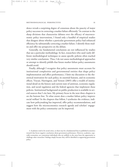dence reveals a surprising degree of consensus about the paucity of major policy successes in correcting a market failure efficiently.<sup>3</sup> In contrast to the sharp divisions that characterize debates over the efficacy of macroeconomic policy interventions, I found only a handful of empirical studies that disagree about whether a particular government policy had enhanced efficiency by substantially correcting a market failure. I identify those studies and offer my perspective on the debate.

Generally, my fundamental conclusions are not influenced by studies that use a particular methodology. In fact, researchers who used vastly different methodological techniques to assess specific policies often reached very similar conclusions. Thus, I do not assess methodological approaches or attempt to identify pitfalls that future market failure policy assessments should avoid.

Finally, although I recognize that policy assessments must account for institutional complexities and governmental entities that shape policy implementation and affect performance, I limit my discussion to the theoretical motivation for each policy, its essential features, and its economic effects. Viscusi, Harrington, and Vernon (2005) offer a wealth of institutional detail on the history and current state of antitrust, economic regulation, and social regulation and the federal agencies that implement these policies. Institutional background on public production is available in several sources that I cite later. My primary focus in the next three chapters is on the bottom line: To what extent does a market failure policy improve social welfare? In the chapters that follow, I synthesize the evidence, indicate how policymaking has improved, offer policy recommendations, and suggest how the microeconomics research agenda and scholars' engagement with the policy community can be improved.

<sup>3.</sup> Academics tend to be social critics, so there may be a fundamental bias in published economics research that favors negative conclusions about government performance. However, academics, especially economists, are contentious individuals who are unlikely to shy away from the opportunity to challenge other researchers' findings simply because they will be identified as supporting government policy.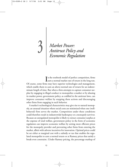**3** *Market Power: Antitrust Policy and Economic Regulation* 

In the textbook model of perfect competition, firms<br>
earn a normal market rate of return in the long run. earn a normal market rate of return in the long run. Of course, some firms may have superior technologies and management, which enable them to earn an above-normal rate of return for an indeterminate length of time. But when a firm attempts to capture consumer surplus by engaging in illegal conduct to monopolize a market or by abusing its market power, government policy, as codified in the antitrust laws, can improve consumer welfare by stopping these actions and discouraging other firms from engaging in such behavior.

A market's technological characteristics may give rise to natural monopoly, an unusual situation where social costs are minimized when one (wellbehaved) firm serves the market. Competition under these conditions could therefore result in industrywide bankruptcy or a monopoly survivor. Because an unregulated monopolist is likely to extract consumer surplus at the expense of total welfare, government policy in the form of economic regulation can improve economic welfare by setting more efficient prices for the monopoly provider and preventing other firms from entering the market, albeit with adverse incentives for innovation. Optimal prices could be set either at marginal cost with a subsidy or tax that enables the regulated monopolist to earn a normal return or at Ramsey prices that satisfy a break-even constraint. (Under Ramsey pricing, the percentage markup of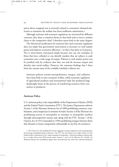prices above marginal cost is inversely related to consumers' demand elasticities to minimize the welfare loss from inefficient substitution.)

Although antitrust and economic regulation are motivated by different concerns, they share a common theme in that both seek to move a market closer to the competitive ideal. I therefore assess both in the same chapter.

The theoretical justification for antitrust laws and economic regulation does not imply that government intervention is necessary to curb market power and improve economic efficiency—or that it has done so in practice. Nor is intervention warranted simply because one can cite examples of firms that have colluded or can identify markets that are subject to scale economies over a wide range of output. Policies to curb market power can be justified only by evidence that they can and do increase output and thereby raise social welfare. However, the summary findings that I draw from the current state of the available scholarly evidence are:

Antitrust policies toward monopolization, mergers, and collusion have done little to raise consumer welfare, while economic regulation of agricultural products and international trade has produced large deadweight losses in the process of transferring resources from consumers to producers.

#### **Antitrust Policy**

U.S. antitrust policy is the responsibility of the Department of Justice (DOJ) and the Federal Trade Commission (FTC). The Justice Department enforces Section 1 of the Sherman Antitrust Act of 1890 prohibiting contracts, combinations, and conspiracies in restraint of trade; Section 2 of the Sherman Act prohibiting actions to monopolize or attempts to monopolize markets through anticompetitive means; and, along with the FTC, Section 7 of the Clayton Act of 1914 (amended in 1950) prohibiting mergers between firms that threaten to lessen competition substantially in any line of commerce.<sup>1</sup>

<sup>1.</sup> The Clayton Act also prohibits firms from engaging in tying arrangements and competing firms from having overlapping boards of directors. The FTC may also initiate cases under Section 5 of the Federal Trade Commission Act for "unfair methods of competition," thereby providing it with the ability to combat abuses that DOJ attacks under Sections 1 and 2 of the Sherman Act. Finally, the Robinson-Patman Act's prohibition against price discrimination has rarely been enforced during the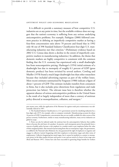It is difficult to provide a summary measure of how competitive U.S. industries are at any point in time, but the available evidence does not suggest that the nation's economy is suffering from any serious underlying anticompetitive problems. For example, Pashigian (2000) followed common practice in defining an imperfectly competitive market as having a four-firm concentration ratio above 70 percent and found that in 1992 only 46 out of 398 Standard Industry Classification four-digit U.S. manufacturing industries met that criterion.<sup>2</sup> (Preliminary evidence based on 2002 U.S. Census data shows a decline in the extent of imperfectly competitive markets in manufacturing industries.) In addition, the theme that domestic markets are highly competitive is consistent with the common finding that the U.S. economy has experienced only a small deadweight loss from noncompetitive pricing. Harberger's (1954) initial estimate of a deadweight loss due to monopoly of roughly 0.1 percent of GDP (gross domestic product) has been revisited by several authors. Cowling and Mueller (1978) found a much larger deadweight loss than other researchers because they included advertising expenses as part of the welfare losses. More recent estimates summarized by Ferguson (1988) indicate a figure of about 1 percent of GDP. This estimate includes transfers from consumers to firms, but it also includes price distortions from regulations and trade protection (see below). The relevant issue here is therefore whether the apparent absence of serious anticompetitive problems in the United States is the result of or largely independent of more than a century of antitrust policy directed at monopolization, collusion, and mergers.<sup>3</sup>

past twenty years, while the application of the Sherman Act against resale price maintenance was substantially reduced in 1997.

<sup>2.</sup> The Standard Industry Classification is a U.S. government system for classifying industries by a four-digit code (3575, for example, refers to computer terminals). Manufacturing accounts for about 16 percent of GDP. Comprehensive concentration data are not readily available for other sectors of the private economy. Furthermore, similar to many manufacturing industries, many service industries are global in scope.

<sup>3.</sup> Firms can also be indicted under the antitrust laws for anticompetitive behavior that enables them to become the sole buyer of a product. In practice, such monopsony power has primarily been a concern of public policy because a sole employer in a market tends to pay employees below the value of their marginal product. But instead of prosecuting firms that set monopsony wages, the government, as codified in the National Labor Relations Act, has guaranteed the right of employees to organize and engage in collective (union) bargaining with their employers to determine wages and other terms of employment. Collective bargaining has raised wages, but it cannot be justified as a counter to monopsony power in the labor market because such power is rare and not much of a factor in low wage rates (Boal and Ransom 1997). Unions have also been successful in garnering fringe benefits for workers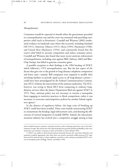#### *Monopolization*

Consumers would be expected to benefit when the government prevailed in a monopolization case and the court was entrusted with providing competitive relief (such as divestiture). Crandall and Winston (2003) synthesized evidence on landmark cases where this occurred, including Standard Oil (1911), American Tobacco (1911), Alcoa (1945), Paramount (1948), and United Shoe Machinery (1954), and consistently found that the court's relief failed to increase competition and reduce consumer prices. Crandall and Winston also found that more recent antitrust enforcement of monopolization, including cases against IBM, Safeway, A&P, and Blue-Chip Stamps, has failed to generate consumer gains.

A possible exception to their findings is the 1984 breakup of AT&T, which followed a 1974 monopolization case. But the key aspect of the decree that gave rise to the growth in long-distance telephone competition and lower rates—namely, Bell companies were required to modify their switching facilities to provide equal access to all long-distance carriers could have been promulgated by the Federal Communications Commission (FCC) without the intervention of the antitrust authorities. The FCC, however, was trying to block MCI from competing in ordinary longdistance services when the Justice Department filed suit against AT&T in 1974. Thus, antitrust policy was not necessary to restrain a monopolist from engaging in restrictive practices to block competition; rather it was necessary to overcome anticompetitive policies by another federal regulatory agency.<sup>4</sup>

In the absence of regulatory failure, the large costs of breaking up AT&T could have been avoided. These costs include restructuring AT&T to consummate the breakup, legal enforcement costs, and denying the efficiencies of vertical integration (Crandall 2005b). Indeed, the telecommunications industry has evolved into a competitive struggle among at least

such as health insurance, pensions, and paid vacations, and in reducing transaction costs in the determination of wages. But unions have also reduced productivity growth and firm profitability; thus economists have not reached a consensus on their net benefits to society (Booth 1995).

<sup>4.</sup> AT&T was unable to obtain broad antitrust immunity because the courts have held that such immunity would be appropriate only where there was actual or potential conflict between FCC regulation and the antitrust laws or where regulatory controls on entry and price precluded AT&T's exercise of monopoly power (Kellogg, Thorne, and Huber 1992).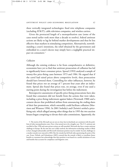three vertically integrated technologies: fixed wire telephone companies (excluding AT&T!), cable television companies, and wireless carriers.

Given the protracted length of a monopolization case (some of the cases noted earlier took more than a decade to resolve), federal antitrust actions are likely to lag far behind market developments and thus be less effective than markets in stimulating competition. Alternatively, notwithstanding a court's intentions, the relief obtained by the government and embedded in a court's decree may simply have a negligible practical impact on consumers.<sup>5</sup>

#### *Collusion*

Although the existing evidence is far from comprehensive or definitive, economists have yet to find that antitrust prosecution of collusion has led to significantly lower consumer prices. Sproul (1993) analyzed a sample of twenty-five price-fixing cases between 1973 and 1984. He argued that if the cartel had raised prices above competitive levels, then prosecution should have lowered them. Controlling for other influences, however, he found that prices *rose* an average of 7 percent four years after an indictment. Sproul also found that prices rose, on average, even if one used a starting point during the investigation but before the indictment.

Retrospective assessments of specific price-fixing prosecutions have also found that consumers did not benefit from the actions that were taken, including a price-fixing indictment against bakers (Newmark 1988) and a consent decree that prohibited airlines from announcing the ending dates of their fare promotions, which ostensibly could facilitate collusion (Morrison and Winston 1996). In 2001 Sotheby's and Christie's settled a pricefixing suit, which alleged among other things that in 1995 the two auction houses began conspiring to elevate their sales commissions. Apparently, the

5. The merits of the *Microsoft* case are not yet clear, but its drawbacks are consistent with the problems of other monopolization cases. First, it has turned out to be a lengthy case. The U.S. antitrust suit was filed in May 1998 and some private actions are still unsettled. Microsoft also faces a major antitrust challenge in Europe. By the time the case is fully resolved, the information technology market is likely to have changed substantially and Microsoft's dominant position may be eroded. Second, challenges to a modest remedy were rejected in 2004. But the remedy has left both sides questioning the point of the case. Evans, Nichols, and Schmalensee (2005) contend that the remedy is likely to contribute future benefits to consumers but acknowledge that their position is not based on a careful calculation of costs and benefits that accounts for compliance and litigation costs.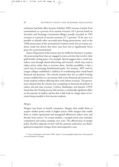settlement had little effect because Sotheby's 2003 revenues (mainly from commissions) as a percent of its auction revenues (18.2 percent based on Securities and Exchange Commission filings) actually exceeded its 1993 revenues as a percent of auction revenues (17.7 percent). To be sure, it is possible to identify other successful price-fixing prosecutions, such as the 1990s prosecution of the international vitamins cartel, but no serious academic study has shown that these cases have led to significantly lower prices for a protracted period.

Justice Department enforcement may be ineffective because it is primarily prosecuting firms that are engaged in joint activities that involve other goals besides raising prices. For example, Sproul suggests that a cartel may reduce costs through shared advertising and research, which may tend to reduce prices rather than to increase them. Another possibility is that a cartel may be pursuing distributional goals. For instance, MIT and Ivy League colleges established a tradition of coordinating their needs-based financial aid decisions. The schools claimed that the so-called Overlap process enabled them to concentrate their scarce financial aid resources on needy students without affecting their total tuition revenues. The government claimed that the schools were conspiring on financial aid policies to reduce aid and raise revenues. Carlton, Bamberger, and Epstein (1995) found that the Overlap process did not have a statistically significant effect on the amount of student aid but that it did result in a larger share of revenues being awarded to low-income students.

#### *Mergers*

Mergers may harm or benefit consumers. Mergers that enable firms to acquire market power result in higher prices, while mergers that enable firms to realize operational and managerial efficiencies reduce costs and thereby lower prices.<sup>6</sup> In certain markets, a merged entity may stimulate competition and reduce markups over costs. The effectiveness of merger policy therefore depends on how well the antitrust authorities can distinguish procompetitive mergers from anticompetitive ones.

<sup>6.</sup> Viscusi, Harrington, and Vernon (2005, chapter 7) present graphical depictions of the potential costs and benefits of a merger.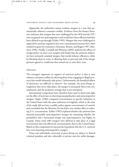Apparently, the authorities cannot evaluate mergers in a way that systematically enhances consumer welfare. Evidence from the finance literature indicates that mergers that were challenged by the DOJ and the FTC were in general not anticompetitive and would have been efficient had they been allowed to go through (Eckbo 1992). Mergers that were challenged or opposed by antitrust regulators but were consummated anyway have often resulted in gains for consumers (Schuman, Reitzes, and Rogers 1997; Morrison 1996). Finally, Crandall and Winston (2003) analyzed the effects of merger policy on price-cost margins and found that the antitrust authorities have primarily attacked mergers that would enhance efficiency, either by blocking them in court or allowing them to proceed only if the merger partners agreed to conditions that turned out to raise their costs.

#### *Deterrence*

The strongest argument in support of antitrust policy is that it may enhance consumer welfare by *deterring* firms from engaging in illegal practices that would ultimately raise prices. Unfortunately, the beneficial effects of deterrence are difficult to observe—for example, the price-fixing arrangement that never takes place, the merger to monopoly that is not consummated, and the predatory strategy that is not attempted.

International comparisons have therefore been used to shed some light on the effect of antitrust on deterring monopolization and anticompetitive mergers. Stigler (1966) compared concentration in specific industries in the United States with the same industries in England, which at the time of his study did not have a public policy against concentration of control, and concluded that the Sherman Act has had a very modest effect in reducing U.S. concentration. Eckbo (1992) explored whether the antitrust laws deterred potentially anticompetitive mergers by estimating whether the probability that a horizontal merger was anticompetitive was higher in Canada, where until 1985 mergers were allowed to take place in a legal environment that was effectively unconstrained, than in the United States. Based on this comparison he rejected the hypothesis that the U.S. antitrust laws were deterring anticompetitive mergers.

Firms and individuals convicted of price-fixing are subject to federal criminal penalties and also vulnerable to private suits for treble damages.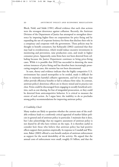Block, Nold, and Sidak (1981) offered evidence that such class actions were the strongest deterrence against collusion. Recently, the Antitrust Division of the Department of Justice has attempted to strengthen deterrence by imposing higher fines on corporations for price fixing and by expanding the use of corporate leniency for firms that disclose their role in a conspiracy and cooperate with the government. These policies may be thought to benefit consumers, but Kobayashi (2002) cautioned that they may lead to overdeterrence, which would induce excessive investments in monitoring and prevention, raise production costs, and result in higher consumer prices. Apparently, some firms have not been deterred from colluding because the Justice Department continues to bring price-fixing cases. While it is possible that DOJ has succeeded in deterring the most serious instances of price fixing and has therefore been increasingly prosecuting marginal cases, this surmise has not been documented.

In sum, theory and evidence indicate that the highly competitive U.S. environment has caused monopolies to be eroded, made it difficult for firms to maintain harmful collusive agreements, and led to mergers that either provide efficiency benefits or fail to enhance firm value. In contrast, antitrust policy's deterrence effects are in theory mixed and in practice not clear. Firms could be discouraged from engaging in socially beneficial activities, such as cost sharing, for fear of misguided prosecution, or they could be deterred from anticompetitive behavior. It is critical to measure the extent of each action. As I argue later, the inability to do so precludes strong policy recommendations for improving antitrust policy.

#### *A Credibility Check*

Many readers are likely to question whether the current state of the available evidence leads to a uniformly critical appraisal of market failure policies in general and of antitrust policy in particular. I maintain that it does, but I also acknowledge that my negative assessment of antitrust policy is not shared by all who have written on the topic. It is therefore useful to consider how those who believe that antitrust policy has had positive effects support their position empirically. In response to Crandall and Winston, Baker (2003) offered a cost-benefit analysis of antitrust enforcement as support for the social desirability of the activity. He argued that the annual costs of enforcement were small, roughly \$1 billion, and that the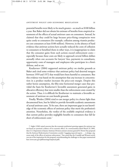potential benefits were likely to be much greater—as much as \$100 billion a year. But Baker did not obtain his estimate of benefits from empirical assessments of the effects of actual antitrust cases on consumers. Instead, he claimed that they could be large because price-fixing conspiracies were quite costly to consumers (for example, collusion among vitamin producers cost consumers at least \$100 million). However, in the absence of hard evidence that antitrust actions have actually reduced the costs of collusion to consumers or benefited them in other ways, it is inappropriate to claim that the consumer gains from such actions exceed enforcement costs especially because these costs are likely to approach several billion dollars annually when one accounts for lawyers' fees, payments to consultants, opportunity costs of managers and employees who participate in a firm's defense, and so on.

Kouliavtsev (2004) supported antitrust policy on similar grounds as Baker and cited some evidence that antitrust policy had deterred mergers between 1959 and 1972 that would have been harmful to consumers. But this evidence was based on the assumption that *any* increase in concentration in a product market increases the price-cost margin. Despite this rather heroic assumption, the fifty-nine horizontal merger cases that provided the basis for Kouliavtsev's favorable assessment generated gains in allocative efficiency that were smaller than the enforcement costs created by the action. Thus, it is difficult for Kouliavtsev to maintain a favorable assessment of antitrust on cost-benefit grounds.

Finally, Werden (2004) tried to cast merger policy in a better light than documented here, but he failed to provide favorable academic assessments of actual antitrust cases. To be sure, there are important gaps in our knowledge of the economic effects of antitrust policy that merit the profession's attention. Nonetheless, the verdict of the available empirical evidence is that current policy provides negligible benefits to consumers that fall far short of enforcement costs.7

7. Stigler (1982) raised concerns that the economic profession's growing support for antitrust was not based on systematic evidence of its economic effects. In a memorandum dated March 23, 2005, then U.S. Department of Justice Antitrust Division assistant attorney general R. Hewitt Pate proposed that the Antitrust Modernization Commission consider "engaging respected experts . . . to design a rigorous study of the effects of antitrust enforcement." Pate noted that the Crandall and Winston article was one of the inspirations for this proposal, notwithstanding the challenges to that paper summarized here (www.amc.gov/pdf/meetings/empirical.pdf).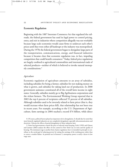#### **Economic Regulation**

Beginning with the 1887 Interstate Commerce Act that regulated the railroads, the federal government has used its legal power to control pricing, entry, and exit in industries where competition allegedly was not workable because large scale economies would cause firms to undercut each other's prices until they were either all bankrupt or the industry was monopolized. During the 1970s the federal government began to deregulate large parts of the transportation, communications, energy, and financial industries because it became clear that economic regulation was, in fact, impeding competition that could benefit consumers.<sup>8</sup> Today, federal price regulations are largely confined to agricultural commodities and international trade of selected products—neither of which is believed to invoke natural monopoly considerations.<sup>9</sup>

#### *Agriculture*

Economic regulation of agriculture amounts to an array of subsidies, including subsidies for being a farmer, subsidies for not making money on what is grown, and subsidies for taking land out of production. In 2000 government assistance constituted all of the overall farm income in eight states. Generally, subsidies mainly go to Big Agribusiness corporations and the richest farmers. The Environmental Working Group reported that in 2003 the top 6 percent of recipients collected 55 percent of all subsidies. Although subsidies used to be inversely related to farm prices (that is, they would increase when farm prices fell), that relationship has not been true in recent years. For example, according to the U.S. Department of Agriculture, farm earnings in 2004 reached a record \$74 billion, while direct

8. Of course, political factors played an important role in deregulation. It should also be noted that most formerly regulated industries are not completely deregulated, especially telecommunications and electricity. I discuss the effects of partial deregulation of these industries later.

9. Some local governments control the price of selected rental housing. Early (1999) and Glaeser and Luttmer (2003) analyze the effect of rent control in New York City on rents and the quality of housing. The minimum wage is another form of price regulation, but it is intended in principle to contribute to the social goal of reducing poverty by raising the earnings of the working poor rather than to correct a market failure. As pointed out in footnote 3, monopsony power is rarely a factor in low wage rates.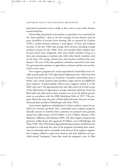government payments were as high as they were in years when farmers earned much less.

Historically, government intervention in agriculture was motivated by the "farm problem"—that is, the low earnings of most farmers and the great instability of income from farming. But as reported by Gardner (1992), careful estimates indicate a convergence of farm and nonfarm incomes in the late 1960s and average farm incomes exceeding average nonfarm incomes by the 1980s. Farm and nonfarm labor markets have become much more integrated, with some family members living on a farm and commuting to nonfarm jobs while other family members work on the farm. On average, farmers have also become wealthier than nonfarmers. The core of the farm problem is therefore rejected by basic data. Yet, governmental assistance to agriculture continues and has even accelerated in recent years.

Price support programs for certain agricultural commodities were initially created under the 1933 Agricultural Adjustment Act, which has been revised every few years since its inception. Currently, commodities such as wheat, corn, cotton, peanuts, dairy products, sugar, and rice are eligible for price supports. (Long-standing tobacco price supports ended as of the 2004 crop year.) The agricultural sector also idles much of its land as part of the Department of Agriculture's acreage reduction authority. Prices for fluid milk and milk used in dairy products are set by the federal government in accordance with the Milk Marketing Order of 1937. This program effectively raises the price of fluid milk and lowers the price of manufactured dairy products (Helmberger and Chen 1994).

Government regulation (subsidization) of these markets cannot be justified on economic grounds; thus, commodity price support programs basically amount to transfers from consumers to producers that generate annual net welfare losses of \$3.0 billion to \$12.4 billion (Rausser 1992; Robinson, Kilkenny, and Adelman 1989). The dairy support program also generates welfare losses that approach \$1 billion a year (Helmberger and Chen 1994). The 1996 Federal Agricultural Improvement and Reform Act attempted to scale back the costs of the programs (including their restrictions on planting) and to eventually wean farmers from taxpayer support, but Congress yielded to pleas from farmers and their lobbyists and provided annual "emergency" loans that raised the program's costs. In May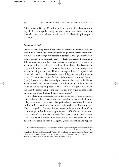2003, President George W. Bush signed a ten-year \$190 billion farm subsidy bill that, among other things, increased payments to farmers who produce wheat and corn and introduced a new \$1.3 billion milk price support program.

## *International Trade*

Instead of benefiting from direct subsidies, certain industries have benefited from the federal government's system of quotas and tariffs that restrict the availability of foreign competitors' automobiles and light trucks, steel, textiles and apparel, chemicals, dairy products, and sugar. (Beginning in 1981 domestic sugar producers also received price supports.) Protection for an "infant industry" could be justified for a limited time. Tariffs could also be justified if they increased national welfare at the expense of foreign firms without starting a trade war. However, a large volume of empirical evidence indicates that trade protection has mainly generated gains to established U.S. industries that fall far short of the losses to consumers. Feenstra (1992) draws on several studies and puts the annual net cost to the United States of tariffs and quotas between \$12 billion and \$18 billion. To add insult to injury, import prices are raised by the 1920 Jones Act, which increases the cost of transporting imported goods by requiring that coastal shipping be on U.S.-built and U.S.-owned vessels.<sup>10</sup>

Notwithstanding these costs, the United States and its trading partners have gradually reduced trade restrictions outside of agriculture by binding policy to multilateral agreements. But political considerations still result in the imposition of tariffs and quotas for certain products at almost any time. Upon taking office, President Bush expressed a desire to end all tariffs on consumer goods, but he then supported new tariffs of 8–30 percent on a broad range of steel products imported from Japan, South Korea, Taiwan, China, Russia, and Europe. Bush subsequently lifted the tariffs but indicated that he could impose them again. Quotas on textiles and apparels

<sup>10.</sup> International competition of airline service has been regulated through bilateral agreements that provide the framework under which fares and service frequency between the United States and other countries are determined. Morrison and Winston (1995) estimate that fares between the United States and foreign destinations would, on average, decline 25 percent if they were determined in an environment that paralleled deregulated competition on U.S. domestic routes.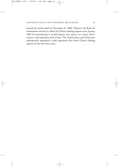around the world ended on December 31, 2004. However, the Bush administration reacted to a flood of Chinese clothing imports since January 2005 by announcing it would impose new quotas on cotton shirts, trousers, and underwear from China. The United States and China have subsequently negotiated a trade agreement that limits China's clothing exports for the next three years.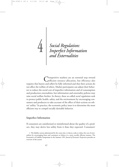**4** *Social Regulation: Imperfect Information and Externalities*

Competitive markets are an essential step toward<br>
Cefficient resource allocation, but efficiency also requires that buyers and sellers be fully informed and that their actions do not affect the welfare of others. Market participants can adjust their behavior to reduce the social cost of imperfect information and of consumption and production externalities, but information and externality policies may raise social welfare further. In theory, these so-called *social regulations* seek to protect public health, safety, and the environment by encouraging consumers and producers to take account of the effect of their actions on others' utility.<sup>1</sup> In practice, the economic policy issue is to determine the most efficient way to compel socially desirable behavior.

# **Imperfect Information**

If consumers are uninformed or misinformed about the quality of a product, they may derive less utility from it than they expected. Consumers'

<sup>1.</sup> The liability system administered by the courts also, in theory, seeks to reduce the cost of externalities by encouraging firms and consumers to behave in a more socially efficient manner. The Economics of Liability Symposium in the Summer 1991 *Journal of Economic Perspectives* provides an overview of the system.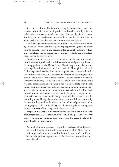choices could be distorted by false advertising, by firms' failures to disclose relevant information about their products and services, and by a lack of information to assess accurately the safety of potentially risky products. Similarly, workers may become injured or ill because they lack information about the health risks they may encounter in their workplace.

The federal government attempts to minimize the welfare losses caused by imperfect information by empowering regulatory agencies to direct firms to provide complete and accurate information about their products and workplaces and to ensure that consumer products and workplaces meet reasonable safety standards.

Descriptive data suggest that the incidence of illnesses and injuries caused by certain products has stabilized and that workplace injuries are a declining problem in the United States. Unsafe drugs cause adverse reactions in patients leading to serious illness or death. Although it is quite difficult to separate drug safety from doctor or patient error, to control for the mix of drugs over time, and to determine whether adverse drug reactions pose a serious health risk, a meta-analysis of several studies by Lazarou, Pomeranz, and Corey (1998) indicates that the incidence of adverse drug reactions among hospitalized patients has remained stable over the last thirty years. In a similar vein, although changes in sampling methodology and the relative popularity of different products make it difficult to track the evolution of injuries associated with particular product categories, there is no evidence that a systematic change in injuries has occurred over the past thirty years. Finally, the number of occupational injuries has steadily declined for the past three decades in private industry (figure 4-1a) and in mining (figure 4-1b). (It is unlikely that the recent spike in mining accidents in 2006 signifies a change in the long-run trend.)

Are government regulations or market forces responsible for these types of favorable trends? Or is there simply not much of a problem in the first place? The summary findings that I draw from the current state of the available scholarly evidence are:

Potential information problems in product markets and workplaces have not led to significant welfare losses to the public. Government actions generally amount to weak solutions in search of a problem because the policies implemented to date have not provided much social benefit.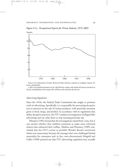

Figure 4-1a. *Occupational Injuries for Private Industry, 1973–2001*<sup>a</sup>

Source: U.S. Department of Labor, Bureau of Labor Statistics, statistics on workplace injuries, illnesses, and fatalities.

a. Rate of occupational injuries are per 100 full-time workers and include all injuries sustained on the job, including those that require time off from work and those that do not.

## *Advertising Regulation*

Since the 1910s, the Federal Trade Commission has sought to promote truth in advertising. Specifically, it is responsible for preventing deceptive acts or practices in the sale of various products, with particular attention given to food, drugs, and alcohol. In accordance with its regulations that define deceptive practices, the FTC conducts investigations of alleged false advertising and can order firms to stop running particular ads.

Peltzman (1981) found that the investigations raised firms' costs, but it was unclear whether they enabled consumers to make more informed choices that enhanced their welfare. Mathios and Plummer (1989) concluded that the FTC's action to prohibit Wonder Bread's nutritional claims was unnecessary because the messages that were challenged lacked materiality for consumers and, in fact, were discontinued. Ringold and Calfee (1990) pointed out that FTC advertising regulation may actually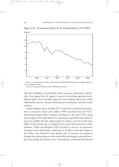Injuries Figure 4-1b. *Occupational Injuries for the Mining Industry, 1976–2002*<sup>a</sup>



Source: U.S. Department of Labor, Mine Safety and Health Administration, workplace injury, illness, and fatality statistics.

a. Rate of occupational injuries are per 100 full-time workers.

limit the availability of potentially useful consumer information. Specifically, they argued that the agency's cigarette advertising regulations prohibited sellers of less harmful cigarettes from making claims that raised valid health concerns, thereby hindering the introduction and sale of safer products.

Studies disagree about whether FTC actions have produced much benefit to consumers. Sauer and Leffler (1990) concluded that the FTC's Advertising Substantiation Program, developed in the early 1970s, along with changes in the legal definition of deception, probably made advertising more credible. But the authors used very indirect measures of the credibility of advertising such as changes in how much firms advertise certain products. Calfee and Ringold (1994) focused on surveys of consumers' attitudes toward advertising. Analyzing six decades of data that began in the 1930s, they found for each decade that 70 percent of consumers thought that advertising was often untruthful and sought to persuade people to buy things they did not want. (Nonetheless, consumers also believed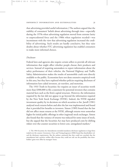that advertising provided useful information.) The authors argued that the stability of consumers' beliefs about advertising through time—especially during the 1970s when advertising regulation moved from extreme laxity to unprecedented force and the 1980s when regulation receded—was inconsistent with the view that advertising regulation increased the credibility of advertising. Such results are hardly conclusive, but they raise doubts about whether FTC advertising regulation has enabled consumers to make more informed choices.

## *Disclosure*

Federal laws and agencies also require certain sellers to provide all relevant information that might affect whether people choose their products and services. Instead of requiring automakers to report information about the safety performance of their vehicles, the National Highway and Traffic Safety Administration makes the results of automobile crash tests directly available to the public. Economists have not done extensive empirical work in this area, but they have explored whether policies requiring disclosure of information have aided investors, air travelers, and motorists.

The 1933 Truth-in-Securities Act requires an issuer of securities worth more than \$300,000 to file a statement for potential investors that contains material facts such as the firm's capital structure. However, the information required by the law did not appear to go beyond the information required by the New York Stock Exchange (NYSE). Indeed, the NYSE signaled investment quality by its decisions on which securities to list. Jarrell (1981) analyzed stock returns before and after the law was implemented and found that it provided few benefits to investors. Simon (1989) found that the law did not affect mean returns at the NYSE, although returns were somewhat higher for initial public offerings in other (regional) stock exchanges. Simon also found that the variance of returns was reduced for some issues of stock, but she argued that the Securities Act may have produced costs by shifting riskier over-the-counter securities to lower-cost, unregulated markets.<sup>2</sup>

2. The 1964 Securities Act Amendments extended mandatory disclosure regulations to large firms traded over the counter. Greenstone, Oyer, and Vissing-Jorgensen (2006) found that shareholders valued the disclosure requirements. But the authors cautioned that they could not conclude that the amendments had a positive welfare effect because they could not rule out the possibility that shareholders' gains were offset by managers' losses.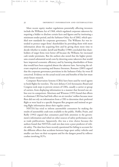More recent equity market regulations potentially affecting investors include the Williams Act of 1968, which regulated corporate takeovers by requiring a bidder to disclose certain facts and figures and by instituting a minimum tender period, and the Sarbanes-Oxley Act of 2002, which specified new standards for corporate governance. The Williams Act was intended to protect target firms' shareholders by providing them with more information about the acquiring firm and by giving them more time to decide whether to tender. Jarrell and Bradley (1980) concluded that shareholders of target firms were better off because the Williams Act increased cash tender premiums. But the authors also noted that the higher premiums created substantial social costs by deterring some takeovers that would have improved economic efficiency and by harming shareholders of firms that would have been acquired absent the takeover laws. Surveying the relevant empirical accounting and finance literature, Romano (2005) argued that the corporate governance provisions in the Sarbanes-Oxley Act were ill conceived. Evidence on the actual social costs and benefits of that law must await future research.

Computer Reservation Systems (CRSs) have been used by travel agents to book flights for travelers. The now defunct Civil Aeronautics Board and Congress took steps to prevent owners of CRSs, usually a carrier or group of carriers, from displaying information in a manner that favored one airline over its competitors. Morrison and Winston (1995) found that efforts to eliminate CRS bias had little effect on air travelers' welfare because most fliers did not rely on information from a CRS to determine their preferred flight or were loyal to a specific frequent flier program and insisted on getting flight information about their regular carrier.

NHTSA has tried to inform automobile consumers by making the results of automobile crash tests available to the public. Hoffer, Pruitt, and Reilly (1992) argued that consumers paid little attention to the government's information and relied on other sources of safety performance such as trade publications. Apparently, this was a wise choice because the authors found that NHTSA's crash test data were a poor predictor of vehicle safety. The data have been recently questioned for failing to account for the different effects that accidents between large sport utility vehicles and smaller cars have on their occupants and for the dangers posed by rollover crashes involving SUVs.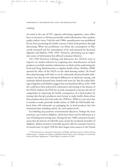## *Labeling*

As noted in the case of FTC cigarette advertising regulation, some sellers have an incentive to disclose potentially useful information when product quality (safety) varies. Until the mid-1980s, manufacturers were prohibited by law from promoting the health content of their food products through advertising. When the prohibition was lifted, the consumption of fiber cereals increased and the consumption of fat and saturated fat decreased (Ippolito and Mathios 1990, 1995). Moreover, advertising was an important source of information that affected consumer behavior.

The 1990 Nutrition Labeling and Education Act (NLEA) tried to improve on market behavior by requiring most manufacturers of food products to include nutrition information on labels and by authorizing the Food and Drug Administration to regulate health claims. Mathios (2000) assessed the effect of the NLEA on the salad dressing market. He found that salad dressings with little or no fat voluntarily disclosed health information, but that the law eliminated differences in disclosure among, and modestly shifted demand from, brands with more fat. But the earlier findings of Ippolito and Mathios suggest that any beneficial effects of the 1990 law could have been achieved by informative advertising in the absence of the NLEA. Indeed, the FDA has recently attempted to increase the role of competition in improving the health consequences of a food product by issuing rules that give producers more leeway to make health claims about their products than they had under the 1990 law.3 While it is not clear that it intends to make particular health claims, in 2006 the McDonald's fastfood chain will voluntarily use packaging for its food products that lists nutritional data including calorie, fat, and sodium levels.

Eco-labeling may promote environmental objectives. Perhaps the most notorious case involves dolphins, which have been used by fishermen as a way of finding and netting tuna. During the late 1980s consumers became aware that the harvest of yellowfin tuna caused the incidental mortality of dolphins. Media attention eventually spurred calls for consumer boycotts of canned tuna. In April 1990 the three largest tuna canners in the United

<sup>3.</sup> This information is contained in Department of Health and Human Services, Food and Drug Administration, "Guidance for Industry: Qualified Health Claims in the Labeling of Conventional Foods and Dietary Supplements," *Federal Register*, December 20, 2002.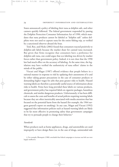States announced a policy of labeling their tuna as dolphin safe, and other canners quickly followed. The federal government responded by passing the Dolphin Protection Consumer Information Act of 1990, which mandates that tuna products cannot be labeled as "dolphin safe" unless dolphins were not used to capture tuna for the entire fishing trip, as verified by a sanctioned observer aboard the boat.

Teisl, Roe, and Hicks (2002) found that consumers reacted positively to dolphin-safe labels because the market share for canned tuna increased. But given that firms recognize that consumers have a preference for dolphin-safe tuna, one could argue that eco-labeling was driven by market forces rather than government policy. Indeed, it is not clear that the 1990 law had much effect on the accuracy of labeling. At the same time, the legislation may have verified the authenticity of tuna sellers' claims in the minds of the public.

Viscusi and Magat (1987) offered evidence that people behave in a rational manner in response to risk by updating their assessments of it and by either taking greater precautions in the case of consumer products or demanding higher wages for jobs that pose greater risks to health. Hazard warning labels are therefore a potentially useful source of information about risks to health. Firms have long provided these labels on various products, and government policy has required labels on cigarette packages, hazardous chemicals, and similar dangerous products. Unfortunately, it has been difficult to assess the costs and benefits of actual policies requiring warning labels because they are often inextricably associated with media attention that has focused on the potential harm from the hazard (for example, the 1964 surgeon general's report on smoking). In any case, Magat and Viscusi (1992) suggested that information policies such as hazard warning labels are likely to be far more effective in promoting safety than government campaigns that try to persuade people to change their behavior.<sup>4</sup>

# *Standards*

When products such as home appliances, drugs, and automobiles are used improperly or have design flaws (or, in the case of drugs, unintended side

<sup>4.</sup> For example, Blomquist (1988) concluded that federal campaigns to increase seat-belt use were largely ineffective.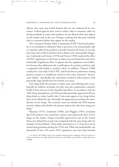effects), they may pose health hazards that are not understood by consumers. Federal agencies have tried to reduce risks to consumer safety by setting standards to ensure that products are not flawed when they appear on the market and, in the case of drugs, verifying that they pose minimal risks to consumers before they appear on the market.

The Consumer Product Safety Commission (CPSC) has broad authority to set standards to eliminate what it perceives to be unreasonable risks to consumer safety from products normally found in the home. It can also issue bans and recalls of products that it deems to be unacceptably dangerous. Grabowski and Vernon (1978) and Viscusi (1985) analyzed the effect of CPSC regulations on the home accident rate and found that they had a statistically insignificant effect. It appears that the regulations were ineffective because they addressed only a small aspect of a product and bore only a tangential relationship to product safety. In addition, Thomas (1988) conducted a case study of the CPSC and found that its preferences among projects caused it to misallocate resources and create systematic "bureaucratic failure." Specifically, the commission tended to select projects with potentially large benefits but low benefit-cost ratios.

New drugs hold the promise to reduce pain and suffering and to prolong life for millions of people, but they may also compromise a patient's health if they turn out to have harmful side effects. In accordance with the 1962 Drug Amendments, the FDA provides premarket approval of all new drug claims to reduce health risks. It also must approve new drugs before they can be offered for sale. Naturally, the approval process delays the introduction of new drugs. The economic issues are whether the FDA imposes excessive delays and whether the process reduces the risks from using new drugs.<sup>5</sup>

Peltzman (1973), Grabowski (1980), and Wiggins (1981) concluded that FDA policies were excessively cautious and reduced the flow of new drugs on the market. Drugs eventually approved for sale in the United States were delayed by several years compared with the same drugs sold, for example, in Great Britain. These delays amounted to a 5–10 percent tax on annual drug purchases during the 1970s and 1980s and undoubtedly cost thousands of lives. Of course, FDA regulations may have kept harmful

<sup>5.</sup> In theory, the liability system also provides pharmaceutical companies with an incentive to reduce the risk from new drugs. Empirical evidence on the liability system's effect on drug safety is not available.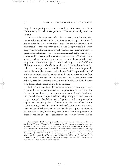drugs from appearing on the market and therefore saved many lives. Unfortunately, researchers have yet to quantify these potentially important benefits.

The costs of the delays were reflected in increasing complaints by pharmaceutical firms, AIDS activists, and other patient groups. Government's response was the 1992 Prescription Drug User Fee Act, which required pharmaceutical firms to pay fees to the FDA so the agency could hire newdrug reviewers in the Center for Drug Evaluation and Research to improve the speed and efficiency of reviews. The program, subject to renewal every five years, has specific performance targets that the FDA must seek to achieve, such as a six-month review for the most therapeutically novel drugs and a ten-month target for less novel drugs. Olson (2002) and Philipson and others (2005) found that the introduction of user fees reduced new-drug review times and increased the flow of new drugs on the market. For example, between 1985 and 1992 the FDA approved a total of 170 new molecular entities, compared with 259 approved entities from 1993 to 2000. Although the costs of the FDA's review process have been reduced, even the remaining costs cannot be justified until the benefits from FDA evaluations are accurately determined.<sup>6</sup>

The FDA also mandates that patients obtain a prescription from a physician before they can purchase certain potentially harmful drugs. On its face, the law discourages self-treatment in favor of professional treatment, which may benefit patients by reducing the expected toxicity cost of drug consumption. But Peltzman (1987) pointed out that the prescription requirement may give patients a false sense of safety and induce them to consume stronger medicine to obtain the benefits of more aggressive treatment. His empirical estimates indicate that the prescription requirement has not reduced but, in fact, may have increased poisonings from overdoses. (It has also failed to reduce infectious disease mortality rates.) Peltz-

6. Between 1998 and 2001 ten drugs were withdrawn from the market for safety reasons. Recently, Merck pulled Vioxx and Pfizer pulled Bextra off the market. These actions appear to have prompted the FDA to be more cautious in its reviews, thus reducing the flow of drugs on to the market and again raising the question whether the cautious reviews are justified on cost-benefit grounds. Indeed, drugs approved in the first half of 2005 took almost twice as long to win approval as drugs approved during the same period in 2004. The FDA also placed five times as many black-box warnings—the agency's most serious alert—in the first half of 2005 than it had in the first half of 2004. Although no controls are made for the different mix of drugs in these periods, it appears that the FDA is slowing down its process out of political rather than medical concerns.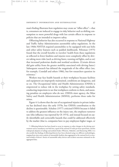man's finding illustrates how regulation may create an "offset effect"—that is, consumers are induced to engage in risky behavior such as shifting consumption to more powerful drugs with less certain effects in response to policies that are intended to improve safety.

Offsetting behavior has also occurred in response to National Highway and Traffic Safety Administration automobile safety regulations. In the late 1960s NHTSA required automobiles to be equipped with seat belts and other safety features such as padded dashboards. Peltzman (1975) found that the overall benefits to travelers' health from these regulations as reflected in fewer fatalities and injuries were completely offset by drivers taking more risks (such as driving faster, running red lights, and so on) that increased pedestrian deaths and nonfatal accidents. (Certain drivers did gain utility from the greater mobility associated with driving faster.) Subsequent research has debated the magnitude of the offset effect (see, for example, Crandall and others 1986), but few researchers question its existence.7

Workers may face health hazards at their workplaces because facilities and equipment are improperly maintained, conditions are dangerous, and so on. The Occupational Safety and Health Administration (OSHA) is empowered to reduce risk in the workplace by setting safety standards, conducting inspections to see that workplaces conform to them, and assessing penalties on employers who do not. OSHA's sister agency, the Mine Safety and Health Administration (MSHA), performs these tasks for mines.

Figure 4-1a shows that the rate of occupational injuries in private industry has declined since the early 1970s, but OSHA's contribution to the decline is questionable. Schultze (1977) criticized OSHA because it failed to address the greatest influence on the injury rate, the employee turnover rate (this influence was reported by Oi 1974), and instead focused on easily identifiable and correctable hazards that could be addressed effectively by the market (that is, companies have to pay employees higher wages, or

<sup>7.</sup> Offsetting behavior has been found to occur in response to other changes in the driving environment such as mandatory seat-belt laws, repeal of the national 55-mile-per-hour speed limit, and the widespread adoption of airbags and antilock brakes (Winston, Maheshri, and Mannering 2006). It is also notable that findings of offsetting behavior have been obtained using very different methodologies, ranging from time series analysis of automobile fatalities data aggregated at the national level to structural models of drivers' choices of automobile safety devices and accident outcomes estimated on disaggregated data.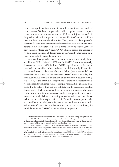compensating differentials, to work in hazardous conditions) and workers' compensation. Workers' compensation, which requires employers to purchase insurance to compensate workers if they are injured at work, is designed to reduce the litigation costs that would arise if workers could sue their employers for job-related injuries. The system provides a powerful incentive for employers to maintain safe workplaces because workers' compensation insurance rates are tied to a firm's injury experience (accident performance). Moore and Viscusi (1990) estimate that in the absence of workers' compensation, job fatality rates in the United States would be as much as one-third greater than they are.

Considerable empirical evidence, including time series studies by Bartel and Thomas (1985), Viscusi (1986), and Smith (1992) and simulations by Kniesner and Leeth (1999), indicates OSHA regulations and enforcement have had a modest effect, at best, and often a statistically insignificant effect on the workplace accident rate. Gray and Scholz (1993) contended that researchers have tended to underestimate OSHA's impact on safety, but their quantitative estimates are actually quite similar to Viscusi's.<sup>8</sup> Finally, Weil (1996) found that OSHA inspections of plants in the custom woodworking industry influence plants to comply with machine-guarding standards. But he failed to find a strong link between the inspections and lost days of work, which implies that the standards are not targeting the causes of the most serious injuries. As noted, workers' compensation and market forces—and in all likelihood increasing societal wealth—have contributed to improvements in workplace safety. OSHA's ineffectiveness appears to be explained by poorly designed safety standards, weak enforcement, and a lack of a significant safety problem at most workplaces.<sup>9</sup> Accordingly, the social desirability of OSHA's activity is clearly in question.

8. The two studies obtain similar estimates—only about 2–3 percent of workplace injuries are prevented by OSHA enforcement—despite using very different methodologies. Viscusi uses industrylevel data and estimates a basic time series model, while Gray and Scholz use plant-level data and control for unobserved heterogeneity, serial correlation, and endogeneity.

9. A recent proposal to improve OSHA's effectiveness would increase the maximum criminal penalty from six months to ten years for employers who cause the death of a worker by willfully violating workplace safety laws. Stiffer criminal penalties, however, may not compensate for ineffective safety standards and weak enforcement. For example, during the1980s and 1990s OSHA investigated more than 1,200 cases where investigators concluded that workers died because of their employers' "willful" safety violations but prosecuted a mere 7 percent of these cases.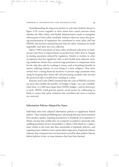Notwithstanding the long-term decline in coal mine fatalities shown in figure 4-1b, recent tragedies in three mines have raised concerns about whether the Mine Safety and Health Administration needs to strengthen enforcement of mine safety standards. Industry observers assert that growing mechanization of equipment has contributed to mine safety and that MSHA's role has been minimal because fines for safety violations are small, negotiable, and often not even collected.

Sider's (1983) assessment of mine safety attributed reductions in fatalities per man-hour to improvements in productivity rather than to changes in mining operations induced by regulation. Similar to workers in other occupations that face significant risks to their health from inherent working conditions, miners have received wage premiums to compensate them for the risks they take by working in mines, such as breathing harmful air matter, suffering injuries, or even dying if a mine collapses. Thus mine owners have a strong financial incentive to prevent wage premiums from rising by keeping their mines safe and preventing accidents that increase the perceived risks to health from working in a mine.

Kniesner and Leeth (2004) estimated that the costs of MSHA's activities are more than double the benefits. Its budget is large—on a per establishment basis, it is 400 times larger than OSHA's budget—and its deterrence is weak. MSHA could generate greater social returns by reallocating its funds to ensure that safety violations that contribute the most to injuries are corrected.

## **Information Policies Adopted by States**

Individual states have adopted information policies to supplement federal policies. These include prohibiting price advertising that may divert attention from product quality, requiring practitioners in hundreds of occupations to obtain a license that certifies they are competent to perform a particular task, enabling purchasers of new automobiles to obtain a full refund or a replacement vehicle in the event that their automobile is hopelessly defective, and requiring motor vehicles to have annual safety inspections. Empirical evidence indicates that consumers have not been better served by these policies than by federal policies; in fact, in some instances they have been harmed.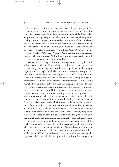Several states prohibit firms from advertising the prices of particular products and services on the grounds that consumers may be induced to purchase a lower-priced alternative that compromises their health or safety. Yet price advertising may provide information to consumers about product quality and spur competition that weakens the ability of firms to elevate prices above costs. Indeed, economists have found that prohibitions on price and other contents of advertising have raised prices and the variation of prices for eyeglasses (Benham 1972), drugs (Cady 1976), optometric services (Kwoka 1984; Haas-Wilson 1986), and routine legal services (Schroeter, Smith, and Cox 1987) without shielding consumers from products or services that may jeopardize their health.

Occupational licensing is a form of entry regulation that requires individuals to obtain a license if they wish to provide services in sectors such as law, dentistry, engineering, and even hairdressing. States use licensing to regulate more than eight hundred occupations, representing nearly 20 percent of the nation's workers. Licensing may be justified if consumers are likely to be harmed because they are not able or not willing to judge the competence of individuals who provide an important service. But licensing may also have unintended effects such as encouraging do-it-yourself behavior, wasting overtrained talent, and reducing the quantity of available workers. Carroll and Gaston (1981) argued that by reducing the quantity of available workers, occupational licensing may reduce the quality of services and consumer safety. They presented suggestive evidence that this outcome occurred in several occupations, including electricians (that is, fewer electricians were associated with more accidental deaths by electric shock from nonindustrial activity), dentists, plumbers, and so on. Kleiner and Kudrle (2000) concluded that occupational licensing did not raise the quality of service consumers received. In the case of dentistry, they found that consumer costs increased in states with more stringent licensing but that dental health did not improve and malpractice suits did not decrease.

U.S. and foreign automobile manufacturers have vastly improved the quality of their vehicles during the past few decades. Nonetheless, it is possible that some consumers may purchase a "lemon" because they are not able to detect serious defects in the vehicle until they have driven it for a while (Akerlof 1970). Lemon laws give consumers who have purchased a hopelessly defective vehicle an opportunity, typically for one year, to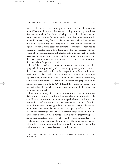request either a full refund or a replacement vehicle from the manufacturer. Of course, the market also provides quality insurance against defective vehicles, such as Chrysler's buyback plan that allowed consumers to return their new car for a full refund within thirty days of purchase. Smithson and Thomas (1988) found that lemon laws are rarely utilized because they do not significantly improve upon market remedies and may involve significant transactions costs (for example, consumers are required to engage first in arbitration with a dealer before they can proceed with litigation). Some recent evidence indicates the difficulties in actually trying to receive compensation under various state lemon laws. It is estimated that of the small fraction of consumers who contest defective vehicles in arbitration, only about 10 percent prevail.<sup>10</sup>

Even if their vehicles are not lemons, motorists may not be aware that aging vehicles can pose safety risks; thus, roughly twenty states mandate that all registered vehicles have safety inspections to detect and correct mechanical problems. Vehicle inspections would be expected to improve highway safety by forcing motorists to retire their vehicles earlier than they would have in the absence of inspections or by increasing expenditures on repairs. But Poitras and Sutter (2002) found that vehicle inspections have not had either of these effects, which casts doubt on whether they have improved highway safety.

I have not found any direct evidence that consumers have been substantially informed, protected, or insured by federal or state information policies. However, an assessment of information policy is not complete without considering whether these policies have benefited consumers by deterring harmful products from being produced and keeping them off the market. As indicated previously, deterrence can have opposing effects: FDA drug evaluations, for example, may have kept harmful drugs off the market and saved lives but may have also delayed potentially helpful drugs from appearing on the market for decades—even beyond the well-documented approval lag. Policy recommendations on how to improve FDA drug evaluations and other information policies would be enriched by research that quantifies and sorts out the benefits and costs of their deterrence effects.

<sup>10.</sup> Don Oldenburg, "Recourse for When That Sweet Ride Turns Sour," *Washington Post*, February 26, 2006, p. F5.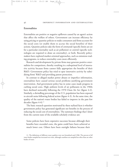# **Externalities**

Externalities are positive or negative spillovers caused by an agent's action that affect the welfare of others. Government can increase efficiency by using pricing or quantity policies to make consumers and firms account for the social costs (or enable them to accrue the social benefits) of their actions. Quantity policies take the form of *commands* (specific limits are set for a particular externality such as air pollution) or *controls* (specific technologies are required to abate an externality), or both. Recently policymakers have explored market-oriented approaches, such as emissions trading programs, to reduce externality costs more efficiently.

Research and development by private firms may generate positive externalities for competitors, thereby resulting in a suboptimal level of innovative activity because firms cannot fully appropriate the benefits of their R&D. Government policy has tried to spur innovative activity by subsidizing firms' R&D and providing patent protection.

In contrast to alleged market power abuses or imperfect information, externalities have caused serious social problems justifying government intervention. And government policy has in some cases made progress in curbing social costs. High ambient levels of air pollutants in the 1960s have declined noticeably following the 1970 Clean Air Act (figure 4-2). Similarly, a dwindling percentage of the U.S. population has been exposed to aircraft noise following federal action (figure 4-3). At the same time, the quality of the nation's water bodies has failed to improve in the past few decades (figure  $4-4$ ).<sup>11</sup>

The basic research question motivated by these stylized facts is whether government policy has generated significant net benefits in the process of reducing the social cost of externalities. The summary findings that I draw from the current state of the available scholarly evidence are:

Some policies have been expensive successes because although their benefits have exceeded costs, the gains could have been achieved at much lower cost. Others have been outright failures because their

<sup>11.</sup> The definitions of different water qualities were not formalized until 1986. The percent of all water bodies sampled has increased over time, although coastlines are sampled less often than are other bodies of water.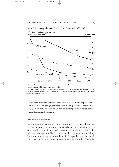Figure 4-2. *Average Ambient Levels of Air Pollutants, 1965–1995*<sup>a</sup>



Source: Based on data reported in Lipfert and Morris (2002).

ppb = parts per billion; ppm = parts per million.

a. Carbon monoxide and ozone levels are averages of the 95th percentile of daily one-hour readings at each monitoring location. Sulfur dioxide and nitrogen dioxide levels are averages of annual means from each monitoring location.

costs have exceeded benefits. In contrast, market-oriented approaches implemented by the government have shown promise of producing large improvements in social welfare by curbing externalities at lower cost than current policies do.

#### *Consumption Externalities*

Consumption externalities arise from a consumer's use of a product or service that imposes costs on other individuals and the environment. The most notable externalities include automobile emissions, airplane noise, and overconsumption of health care caused by smoking and drinking. Consumption of energy increases the nation's dependence on foreign oil, which may subject the nation to losses in consumer surplus. Two other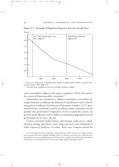Figure 4-3. Percentage of Population Exposed to Excessive Aircraft Noise<sup>a</sup>



Source: U.S. Department of Transportation, Bureau of Transportation Statistics, *National Transportation Statistics 2002*, Table 4-53.

a. Excessive noise is defined as noise levels of 65dBA (decibels) or higher.

major externalities, highway and airport congestion, will be discussed in the context of financing public enterprises.<sup>12</sup>

Policymakers have preferred to address consumption externalities by using commands to influence the behavior of manufacturers rather than by using prices to influence the behavior of consumers. Schultze (1977) questioned whether commands could be an effective policy instrument on the grounds that government's imagination of how its particular actions can generate social efficiency and its ability to command an appropriate level of performance are not up to the task.

Carbon monoxide, hydrocarbons, and nitrogen oxide motor vehicle emissions damage agriculture, create smog, and cause some individuals to suffer respiratory problems. To reduce these costs, Congress passed the

<sup>12.</sup> Local communities have established zoning ordinances, which in theory may reduce externalities associated with noise, unsightly buildings, and so on. However, researchers have found that zoning regulations have increased housing prices for both owner-occupied and rental housing and reduced construction of new housing (Glaeser and Gyourko 2003; Quigley and Raphael 2005).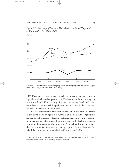Figure 4-4. *Percentage of Sampled Water Bodies Considered "Impaired" or Worse by the EPA, 1986–2000*



Source: U.S. Environmental Protection Agency, *National Water Quality Inventory Report to Congress* (1986, 1988, 1990, 1992, 1994, 1996, 1998, 2000).

1970 Clean Air Act amendments which set emissions standards for new light-duty vehicles and empowered the Environmental Protection Agency to enforce them.13 Until recently, airplanes, heavy-duty diesel trucks, and buses have all but escaped the pollution control standards that have been imposed on new cars and light trucks.

The 1970 amendments have been associated with the dramatic decline in emissions shown in figure 4-2 (Crandall and others 1986). Agriculture has benefited from smog reductions, but researchers have found it difficult to link emissions reductions with improvements in the health of residents in metropolitan areas. At the same time, Crandall and others estimated that the new emissions-related technology spurred by the Clean Air Act raised the cost of a new car nearly \$1,000 in the mid-1980s.

<sup>13.</sup> Federal emissions standards also existed before 1970. The standards contained in the 1970 act affected nonstationary as well as stationary sources of emissions.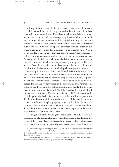Although it is not clear whether the benefits from reduced emissions exceed the costs, it is clear that a given level of benefits could have been obtained at lower costs. It would have been much more efficient to impose an emissions tax that would have been paid by drivers of all (new and used) vehicles, thus reducing emissions and raising fuel economy because more motorists would have been inclined to shift to new vehicles or to drive their old vehicles less. With the development of remote emissions-detection systems, which have been tested in a number of cities since the mid-1990s, it is still possible to implement such a tax. Instead, the EPA has continued to enforce various regulations such as those driven by the Clean Air Act Amendments of 1990 that include standards for cold temperature carbon monoxide, onboard refueling, and vapor recovery among others. The costs and benefits of these policies have not been assessed, but at this point the net benefits from further reductions in vehicle pollution appear to be small.<sup>14</sup>

Beginning in the early 1970s, the Federal Aviation Administration (FAA) set noise standards for aircraft designs (based on maximum allowable decibel levels) to reduce noise for people who live, work, or pursue recreational activities close to airports. The reduction in noise would be expected to increase property values in the surrounding area. Airlines could either replace their planes that did not meet the noise standards with planes that did or retrofit their planes with "hush kits" so that they complied with the standards. Morrison, Winston, and Watson (1999) estimated that the FAA design standards effectively shortened the life of airlines' capital stock. The increased costs to airlines turned out to exceed the benefits to homeowners, as reflected in higher property values, by \$5 billion (present discounted value). An optimal airplane noise tax would have generated only \$0.2 billion in net benefits (present value), suggesting that airplane noise has not imposed significant social costs.

Smoking and excessive drinking raise health care costs and life insurance premiums for all members of society.<sup>15</sup> In addition, second-hand smoke may be harmful to nonsmokers. Smokers and drinkers pay federal and state taxes for cigarettes and alcohol that are justifiable as externality taxes. Researchers

<sup>14.</sup> Concerns about global warming are motivating some states to adopt emissions standards that are tougher than current federal standards. States are able to do this if they adopt California's regulations. California has special authority to set its own air quality rules because it did so before passage of the federal Clean Air Act.

<sup>15.</sup> The externalities associated with smoking and drinking would be considerably less if health insurance rates were established according to accurate experience ratings.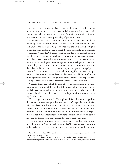agree that the tax levels are inefficient, but they have not reached a consensus about whether the taxes are above or below optimal levels that would appropriately charge smokers and drinkers for their consumption of health care services and their higher probability of premature death.

Grossman and others (1993) concluded that current taxes should be much higher to account fully for the social costs of cigarettes and alcohol, and Gruber and Koszegi (2002) contended that the taxes should be higher to provide a self-control device to offset the time inconsistency of smokers' preferences. Viscusi (2002) disagreed and presented evidence that smokers pay their way—that is, financial costs—when the higher costs associated with their greater medical care, sick leave, group life insurance, fires, and taxes from lost earnings are balanced against the cost savings associated with less nursing home care and forgone retirement and pension benefits due to their shorter life expectancies.16 Another argument against raising cigarette taxes is that the current level has created a thriving illegal market for cigarettes. Higher taxes may expand activity that has diverted billions of dollars from legitimate businesses and government to criminals and exposed lawabiding citizens, such as truck drivers and clerks, to violent crimes.

Viscusi acknowledged that the costs of second-hand smoke are a legitimate concern but noted that studies did not control for important household characteristics, including but not limited to a spouse who smokes. In any case, he still argued that smokers probably pay their way even accounting for these costs.

The energy crises in the 1970s heightened federal interest in policies that would conserve energy and reduce the nation's dependence on foreign oil. The alleged justification for these policies is that energy consumption creates an externality because it increases the share of (more costly) oil imports. Given recent tensions in the Middle East, it has also been argued that it is not in America's interest to import oil from hostile countries that may use the profits from their exports to fund terrorist activities.

The most significant attempt to conserve energy has been the imposition of Corporate Average Fuel Economy (CAFE) standards.17 Set in the early 1970s by the U.S. Department of Transportation, CAFE sought to

<sup>16.</sup> Mukamal and others (2003) found a reduced risk of heart attack among men associated with moderate alcohol consumption.

<sup>17.</sup> Congress tried to induce motorists to conserve energy by setting a national maximum speed limit of 55 miles per hour, which took effect in 1974. In 1999 Lave and Lave reported that the new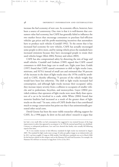increase the fuel economy of new cars. Its economic effects, however, have been a source of controversy. One view is that it is well-known that consumers value fuel economy, but CAFE has generally failed to influence the two market forces that encourage consumers to purchase fuel-efficient vehicles: gas prices and the profit-maximizing incentives that automakers have to produce such vehicles (Crandall 1992). To the extent that it has increased fuel economy for new vehicles, CAFE has actually encouraged some people to drive more, and by raising vehicle prices the standards have increased emissions because they have encouraged people to retain their used vehicles longer (Kleit 2004; Portney and others 2003).

CAFE has also compromised safety by distorting the mix of large and small vehicles. Crandall and Graham (1989) argued that CAFE caused consumers to shift from large cars to small cars. Eight years later, Godek (1997) found that CAFE caused consumers to shift to light trucks (vans, minivans, and SUVs) instead of small cars and estimated that 50 percent of the increase in the share of light trucks since the 1970s could be attributed to CAFE, thereby offsetting 75 percent of the vehicle weight that would have been lost otherwise. The shift to light trucks increased fuel consumption, and although light trucks increase their occupants' safety, they increase injury severity from a collision to occupants of smaller vehicles and to pedestrians, bicyclists, and motorcyclists. Gayer (2004) provided evidence that operators of light trucks were more likely than operators of a car to be involved in a crash, while White (2004) found that motorist fatalities had increased as a result of the greater share of light trucks on the road.18 In sum, critics of CAFE doubt that it has contributed much to energy conservation but point out that it has unintentionally generated other social costs.

David Greene has been the most visible researcher offering support for CAFE. In a 1998 paper, he drew on his and others' research to argue that

law had a very small effect on fuel consumption but suggested it was retained because of the large improvement in safety that appeared to accompany it. In 1996 the national speed limit was abolished. Contrary to widespread predictions, Lave and Lave showed that fatality rates actually fell following repeal of the limit.

<sup>18.</sup> A very modest increase in fuel efficiency standards for light trucks was instituted in August 2005. The standard for light trucks must average 24 miles per gallon (mpg) on an industrywide scale by 2011, up from roughly 22 mpg on 2006 models. Fuel efficiency standards were set in March 2006 for the heaviest vehicles in this category such as the Hummer H2 and Ford Excursion. For example, the Hummer H2 will have to increase its mpg from 13.8 to 22 by 2011.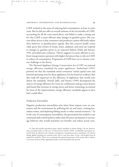CAFE worked in the sense of reducing fuel consumption, at least in some years. But he did not offer an overall estimate of the net benefits of CAFE, accounting for all the costs noted above, and failed to make a strong case for why CAFE is more efficient than changes in gasoline prices. His concern about prices is that consumers and producers cannot efficiently adjust their behavior to gasoline-price signals. But this concern hardly seems valid, given that owners of trucks, buses, airplanes, and used cars respond to changes in gasoline prices in an expected fashion (Dahl and Sterner, 1991, provided some evidence). Theory suggests it is more efficient to confront transportation operators with higher fuel prices than to rely on CAFE to reduce oil consumption. Proponents of CAFE have yet to mount a serious challenge to the theory.

The National Appliance Energy Conservation Act of 1987 set national energy efficiency standards for major appliances. Sutherland (1991) pointed out that the standards raised consumers' initial capital costs and lowered operating costs for these appliances, but he found no evidence that this trade-off improved on the efficiency of appliances that would exist absent the standards. Newell, Jaffe, and Stavins (1999) decomposed the sources of energy efficiency for room air conditioners and gas water heaters and found that increases in energy prices and better technology accounted for most of the improvements; energy efficiency standards appear to have had a small effect.

## *Production Externalities*

Negative production externalities arise when firms impose costs on consumers and the environment by polluting the air and water, creating hazardous wastes, and depleting fishing stocks or other natural resources.19 As in the case of consumption externalities, the government has tended to use command-and-control policies rather than the price mechanism to encourage behavior that would maximize net benefits and reduce social costs.

<sup>19.</sup> Firms also produce greenhouse gases, which contribute to climate change. I do not, however, assess externality policy in this area. As discussed by Poterba (1993), considerable uncertainty surrounds both the physical and economic consequences of greenhouse gas accumulation. No climate change (global warming) tax currently exists, and it is not clear what—if any—the benefits from an optimal tax would be. This is not to minimize the potential importance of the matter. More evidence is necessary, however, before appropriate policy can be formulated and assessed.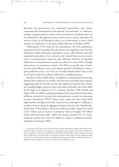Recently, the government has conducted experiments that replace command-and-control policies with selected "cap-and-trade," or "allowance trading," programs that set a limit on the total amount of pollution that can be emitted from all regulated sources (such as power plants) and allow the sources to buy or sell allowances (that is, an authorization to emit a fixed amount of a pollutant) on the open market (Burtraw and Palmer 2004).

Following the 1970 Clean Air Act amendments, the EPA established a minimum level of air quality that all counties are required to meet for four pollutants: carbon monoxide, tropospheric ozone, sulfur dioxide, and total suspended particulates. Every county in the United States receives attainment or nonattainment status for each pollutant. Emitters of regulated pollutants in nonattainment counties are subject to stricter EPA oversight than emitters in attainment counties. The EPA sets specific rates of emission for each pollution source and requires specific technologies to abate a given pollution source, or in the case of sulfur dioxide allows firms to bid in the open market for pollution allowances (tradable permits).

Estimates of the welfare effects of pollution command-and-control regulations have tended to vary widely, with the most reasonable point estimate suggesting small net benefits because the significant benefits from cleaner air, including higher property values and improved health, have been offset by the high costs imposed on U.S. industry (Portney 1990; Hazilla and Kopp 1990). In addition, polluting industries have limited the benefits from pollution controls by moving from nonattainment counties to attainment counties (Henderson 1996).<sup>20</sup> Some recent studies also have found both high benefits and high costs of the Clean Air Act, although it is difficult to combine them to obtain an aggregate estimate of net benefits. Benefits during the late 1970s include a reduction in infant mortality valued at as much as \$11 billion and an increase in property values of roughly \$45 billion (Chay and Greenstone 2001, 2005). In contrast, during 1972–87 nonattainment counties lost some \$75 billion in output in pollution-intensive industries (Greenstone 2002).

20. As part of the Clean Air Act, the New Source Review requirements stipulate that when an existing plant seeks to modify its operations, the entire plant must comply with current standards for sources of pollution. However, List, Millimet, and McHone (2004) find that these requirements retard plant modification rates and do little to accelerate the closure of dirty plants. Recent regulations under the Clean Air Act allow plant operators to modernize their operations without installing expensive new pollution control equipment, but these rules have been challenged in court.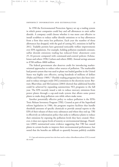In 1990 the Environmental Protection Agency set up a trading system in which power companies could buy and sell allowances to emit sulfur dioxide. A company could choose whether it was more cost effective to install scrubbers to reduce sulfur dioxide emissions or to buy allowances from a firm that emits less pollution. Each year the number of these allowances has dropped, with the goal of cutting  $SO<sub>2</sub>$  emissions in half by 2012. Tradable permits have generated noticeable welfare improvements over EPA regulations. For example, holding pollution standards constant, sulfur dioxide emissions trading has reduced firms' abatement costs 25–34 percent compared with command-and-control policies (Schmalensee and others 1998; Carlson and others 2000). Annual savings amount to \$700 million–\$800 million.

The federal government also deserves credit for introducing marketoriented approaches to reduce other sources of pollution. The marketable lead permit system that was used to phase out leaded gasoline in the United States was highly cost effective, saving hundreds of millions of dollars (Hahn and Hester 1989).<sup>21</sup> Flexible trading programs have also been initiated to reduce nitrogen oxide  $(NO_x)$  emissions in the electricity sector. Burtraw, Bharvirkar, and McGuinness (2003) showed that additional benefits could be achieved by expanding summertime NO<sub>x</sub> programs to the full year. The EPA recently issued a rule to reduce mercury emissions from power plants through a cap-and-trade system that allows some power plants to make deep pollution cuts while others make none.

Another potentially effective policy to reduce pollution is the EPA's Toxic Release Inventory Program (TRI). Created as part of the Superfund reform legislation in 1986, the program requires facilities that handle threshold amounts of specific chemicals to provide annual reports to the EPA of their releases of these toxic substances and where they end up. TRI is effectively an information policy that seeks to influence plants to reduce their emissions by exposing the pollution levels they have created. However, it does not expose levels of toxicity or environmental damage. Hamilton (2005) summarized some evidence suggesting that TRI has caused plants in certain locales to improve their environmental performance, but noted that the benefits are difficult to quantify because publicly available

<sup>21.</sup> Caps and emissions permits have also been used to reduce chlorofluorocarbons (CFCs) around the world.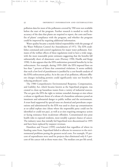pollution data for most of the pollutants covered by TRI were not available before the start of the program. Further research is needed to verify the accuracy of the data that plants are required to report, the costs and benefits of plants' compliance with the program, and whether the program could be improved by requiring additional information.

Water quality became a mainly federal responsibility with the passage of the Water Pollution Control Act Amendments of 1972. The EPA establishes command-and-control regulations for major water pollutants. Estimates of the welfare effects of these regulations tend to have a wide range, with the most reasonable point estimates suggesting that the benefits fall substantially short of abatement costs (Portney 1990; Hazilla and Kopp 1990). It also appears that the EPA undermines potential benefits by its lax enforcement. For example, during 1999–2001 the EPA imposed fines on less than 7 percent of firms that committed violations. It seems unlikely that such a low level of punishment is justified by a cost-benefit analysis of the EPA's enforcement policy. As in the case of air pollution, efficient effluent charges including permits could significantly raise net benefits by reducing producers' costs.

The 1980 Comprehensive Environmental Response, Compensation, and Liability Act, which became known as the Superfund program, was created to clean up hazardous wastes from a variety of industrial sources. The act gave the EPA the right to initiate remedial cleanups at sites where a release or significant threat of a release of a hazardous substance posed an imminent and substantial danger to public welfare and the environment. A trust fund supported by special taxes on chemical and petroleum corporations and administered by the EPA was used to clean up contamination at so-called orphan sites (those where the responsible party could not be identified or could not pay), as well as at sites requiring emergency action or facing resistance from recalcitrant offenders. Contaminated sites pose health risks to exposed residents, most notably a greater chance of cancer. The industry taxes that initially fed Superfund were discontinued in 1995 and have been replaced by taxpayer revenues.

Hamilton and Viscusi (1999) concluded that regardless of where its funding came from, Superfund failed to allocate its resources to the environmental problems posing the greatest social costs. For example, 95 percent of expenditures were used for projects that eliminated only 0.5 percent of the cancer risk at those waste sites. The median cost per life saved,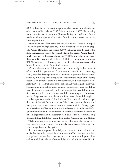\$388 million, is two orders of magnitude above conventional estimates of the value of life (Viscusi 1993; Viscusi and Aldy 2003). By choosing more cost-effective cleanups, the EPA could safeguard the health of more residents who are potentially at risk from hazardous wastes and incur lower expenditures.

Superfund's cost effectiveness has also been assessed through its impact on homebuyers' willingness to pay (WTP) for remediated residential property. Gayer, Hamilton, and Viscusi (2000) estimated that the cost of the EPA's remediation plan at Superfund sites in the greater Grand Rapids, Michigan, area greatly exceeded residents' WTP for the reduction in risk at these sites. Greenstone and Gallagher (2005) also found that the average WTP by consumers of housing services in affected areas was considerably below the mean cost of a Superfund cleanup.

Competitive commercial fishermen could substantially deplete the stock of certain fish in open waters if there were no restrictions on harvesting. Thus, federal and state policies have attempted to promote fishery conservation by instituting various regulations that limit the length of the fishing season, the number of boats in a particular area, and total seasonal catch. Adler (2005) noted that none of the policies had worked particularly well because fishermen seek to catch as many commercially desirable fish as possible before the season closes. In the process, American fishing operations have discarded the most unwanted fish, amounting in recent years to roughly 20 percent, or more than one million tons, of total fish caught.

Adler reported that the National Marine Fisheries Service acknowledges that out of the 932 fish stocks under federal management, the status of nearly 700 is unknown. Some case studies have found that fishery regulations have been ineffective. Squires and Kirkley (1991) found that sablefish quotas were undermined by offsetting behavior as fishermen discarded or killed a large fraction of their sablefish catch to keep the most commercially desirable fish and still stay within their quotas. Androkovich and Stollery (1989) questioned whether a serious market failure existed in certain markets because even an optimal tax to regulate commercial fishing did not generate significant welfare gains.

Recent market responses have helped to promote conservation of fish stocks. For example, harvests for an assortment of fish have been sustained at high levels because fleets have sought ever more distant fish populations and reduced the incidence of wasteful discards and unintentional kills. In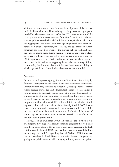addition, fish farms now account for more than 40 percent of the fish that the United States imports. Thus, although yearly quotas on red grouper in the Gulf of Mexico were reached in October 2005, restaurants around the country were able to serve grouper from fish farms in Asia. Marketoriented policies have also been helpful. For example, similar to allowancetrading programs, dedicated access privileges programs allocate shares of a fishery to individual fishermen, who can buy and sell shares. In Alaska, fishermen are granted a portion of the allowed halibut catch and trade these quotas among themselves to make more efficient use of the available stock. Current holders can also sell or lease quotas to new entrants. Leal (2006) reported several benefits from this system: fishermen have been able to sell fresh Pacific halibut by staggering their catches over a longer fishing season; safety has improved because fishermen have more flexibility on which days to fish; and fewer fish have been wasted and discarded.

#### *Innovation*

In contrast to the preceding negative externalities, innovative activity by firms may create positive spillovers to their actual or potential competitors. Innovative effort may therefore be suboptimal, creating a form of market failure, because knowledge can be transmitted (either copied or imitated) from its creator to prospective competitors at low cost. The federal government has tried to spur innovation by subsidizing firms and by establishing the patent system so firms and universities can appropriate some of the positive spillovers from their R&D. The subsidies include direct funding, tax credits, and competitions. Some federally funded R&D is contracted out to universities or companies but undertaken at federal facilities such as Los Alamos National Laboratory or the National Institutes of Health. A patent gives a firm or an individual the exclusive use of an invention for a certain period of time.

Klette, Moen, and Griliches (2000) cast strong doubt on whether federal programs have supported socially beneficial programs that would not have been undertaken without federal assistance. According to Hall (1996), federally funded R&D generated low social returns and did little to encourage private R&D spending. Indeed, Wallsten (2000) obtained evidence based on the Small Business Innovation Research Program suggesting that public sector subsidies may significantly crowd out private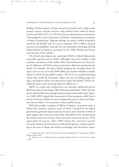funding. Federal support of large commercial projects such as light-water nuclear reactors, breeder reactors, and synthetic fuels ended in failure (Cohen and Noll 1991). In 1993 the Clinton administration initiated the "Partnership for a New Generation of Vehicles" with domestic automakers in hopes of producing a high-gas-mileage car using a hybrid propulsion system by the decade's end. At a cost to taxpayers of \$1.5 billion, the goal was never accomplished. Ironically, the two automakers that began offering hybrid vehicles to American consumers in the 1990s, Honda and Toyota, received none of the subsidy.<sup>22</sup>

The federal government also undertakes R&D at federal laboratories and public agencies such as NASA. Although I have been unable to find academic assessments of the welfare effects and justification for this activity, the efficiency of NASA's endeavors has been called into question by the media. For example, the Space Shuttle program has averaged about five trips a year at a cost of at least \$500 million per launch with little scientific advance to show for the public's outlays. The X-33, a re-useable launching vehicle that would fly frequently, reduce the cost of sending cargo into space, and improve safety, was expected to replace the Shuttle. NASA cancelled the project after investing nearly \$1 billion in it.<sup>23</sup>

R&D tax credits and competitions do stimulate additional private R&D spending (Lichtenberg 1988; Mamuneas and Nadiri 1996), but they do not substantially close the gap between private and social returns. Moreover, Jaffe (2002) argued that assessments of these programs suffer from a serious selectivity problem because funding often goes to firms and industries that are likely to be innovative without public money.

With the possible exception of Milton Friedman, economists tend to believe that academic research, much of which is funded by the federal government, generates high social rates of return and is therefore worthy of more support than it has received to date. Mansfield (1991) estimated that the annual social rate of return from university research in the late 1970s approached 30 percent. Jaffe (1989) found that university research increased commercial innovation as indicated by greater corporate patenting in the areas of drugs and medical technology, and electronics, optics,

<sup>22.</sup> George F. McClure, "Are We on the Road to Energy Independence?" *Today's Engineer* (IEEE), February-March 2002.

<sup>23.</sup> Warren E. Leary, "NASA Ends Project Intended to Replace Shuttle," *New York Times*, March 2, 2001.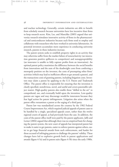and nuclear technology. Generally, certain industries are able to benefit from scholarly research because universities have less incentive than firms to keep research secret. Kim, Lee, and Marschke (2005) argued that university research stimulates innovative activity of firms in the pharmaceutical and semiconductor industries because such firms tend to employ and collaborate with researchers who have worked in university laboratories. As potential inventors accumulate more experience in conducting university research, patents in these industries increase.

The patent system seeks to establish property rights in an activity that may otherwise suffer from the market failure of nonexclusivity (an innovation generates positive spillovers to competitors) and nonappropriability (an innovator is unable to fully capture profits from an innovation). An optimal patent policy maximizes the difference between the social benefits from innovations and the sum of the deadweight costs from conferring a monopoly position on the inventor, the costs of preempting other firms' activities (which may lead to inefficient efforts to get around a patent), and the transactions costs of granting patents, including litigation costs. Inventors may claim a patent by applying to the U.S. Patent and Trademark Office. The patent office is responsible for ensuring that the invention is clearly specified, nonobvious, novel, and useful and covers patentable subject matter. High-quality patents also enable those "skilled in the art" to comprehend, use, and eventually build upon the invention. Low-quality patents are vague and may discourage would-be innovators because they fear legal action for patent infringement. Litigation also arises when the patent office reexamines a patent at the urging of a third party.

Patent law was standardized across the country by the 1982 Federal Courts Improvement Act, which required judicial appeals of patent cases to be handled by a single, specialized appeals court, rather than the twelve regional courts of appeal, as had previously been the case. In addition, the costs of the patent office itself were paid by the patent applicants. Jaffe and Lerner (2004) argued that although there was no empirical basis for changing the patent system, the new court of appeals has interpreted patent law to make it easier to get patents, easier to enforce patents against others, easier to get large financial awards from such enforcement, and harder for those accused of infringing patents to challenge the patents' validity. These changes have led to explosive growth both in patent applications and awards (figure 4-5a) and in patent suits (figure 4-5b) since the early 1980s.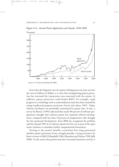

Figure 4-5a. *Annual Patent Applications and Awards, 1840–2003*

Source: U.S. Patent and Trademark Office.

Given that the litigation cost of a patent infringement suit may run into the tens of millions of dollars, it is clear that strengthening patent protection has increased the transactions costs associated with the system. In addition, patent protection could hinder R&D. For example, rapid progress in a technology such as semiconductors may have been stymied by strong intellectual property protection (Levin and others 1987). Today, software developers are potentially constrained by patent laws. In fact, a survey by Burton (1996) indicated that nearly 80 percent of software programmers thought that software patent law impeded software development, compared with less than 10 percent of programmers who thought the law promoted development. Even IBM has recognized the problem and has released 500 of its software patents for free use as part of the open source initiative to stimulate further computational innovations.

Turning to the system's benefits, economists have long questioned whether patent protection of any strength provides a strong incentive for firms to invest in R&D (Mansfield 1986; Mazzoleni and Nelson 1998; Jaffe 2000). To the extent that patents may have increased innovative activity, it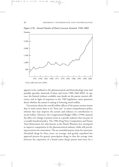Number Figure 4-5b. *Annual Number of Patent Lawsuits Initiated, 1946–2003*



appears to be confined to the pharmaceutical and biotechnology areas and possibly specialty chemicals (Cohen and Levin 1989; Hall 2003). In any case, the limited evidence available casts doubt on the patent system's efficiency and in light of responses to the 1982 legislation raises questions about whether the system is raising or lowering social welfare.

Uncertainty about the overall welfare effects of the patent system means that to some extent there is no "base case" to assess comprehensive policy reforms that may improve the system and enhance its contribution to social welfare. However, the Congressional Budget Office (1998) assessed the effect of a change in patent terms in a specific industry that was part of a socially beneficial policy. The 1984 Drug Price Competition and Patent Term Restoration Act (also known as the Hatch-Waxman Act) attempted to improve competition in the pharmaceutical industry while still providing incentives for innovation. The act extended patent terms for innovator (branded) drugs by three years, on average, and greatly expedited the approval process for generic prescription drugs so that the average time between the expiration of a brand name drug's patent and entry by a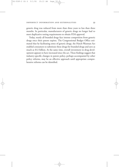generic drug was reduced from more than three years to less than three months. In particular, manufacturers of generic drugs no longer had to meet duplicative testing requirements to obtain FDA approval.

Today, nearly all branded drugs face intense competition from generic drugs once their patent expires. The Congressional Budget Office estimated that by facilitating entry of generic drugs, the Hatch-Waxman Act enabled consumers to substitute these drugs for branded drugs and save as much as \$12 billion. At the same time, overall investment in drug development appears to have increased since the act. These findings suggest that industry-specific changes in patent policy, perhaps accompanied by other policy reforms, may be an effective approach until appropriate comprehensive reforms can be identified.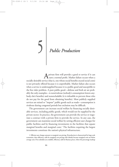# **5** *Public Production*

A private firm will provide a good or service if it can<br>
earn a normal profit. Market failure occurs when a socially desirable service (that is, one whose social benefits exceed social costs) is not privately offered because it is unprofitable. Market failure also occurs when a service is undersupplied because it is a public good and susceptible to the free rider problem. A pure public good—defense and fresh air are probably the only examples—is nonrivalrous (nobody's consumption lowers anybody else's benefits) and nonexcludable (it is infeasible to prevent those who do not pay for the good from obtaining benefits). Most publicly supplied services are mixed or "impure" public goods such as roads—consumption is rivalrous during congested periods but exclusion may be difficult.

The government can increase social welfare by financing socially desirable services, including public goods, which would not be supplied by the private sector. In practice, the government can provide the service or negotiate a contract with a private firm to provide the service. In any case, the government can maximize social welfare by setting efficient user charges for public facilities and by financing investments in the facilities that equate marginal benefits and marginal costs.<sup>1</sup> The facilities requiring the largest investments constitute the nation's physical infrastructure.

<sup>1.</sup> Efficient user charges amount to marginal cost pricing. If production is characterized by large scale economies, then efficiency calls for marginal cost pricing with subsidy because marginal costs are below average costs. If no subsidies are available, efficiency calls for Ramsey prices, where the percentage markup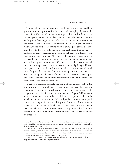The federal government, sometimes in collaboration with state and local governments, is responsible for financing and managing highways, airports, air traffic control, inland waterways, public land, urban transit, intercity passenger rail, and mail services.<sup>2</sup> As noted, the theoretical rationale for public financing of major infrastructure and certain services is that the private sector would find it unprofitable to do so. In general, economists have not tried to determine whether private production is feasible and, if so, whether it would generate greater net benefits than public production. Instead, researchers have taken federal, state, and local government control over more than \$1 trillion of the nation's physical capital as given and investigated whether pricing, investment, and operating policies are maximizing economic welfare. Of course, the public sector may fall short of allocating resources in accordance with optimal pricing and investment policies but nonetheless improve on what the private sector's provision, if any, would have been. However, growing concerns with the waste associated with public financing of important social services is raising questions about whether such provision is better than allowing the private sector to finance and offer these services.<sup>3</sup>

Descriptive measures indicate that some of the nation's public infrastructure and services are beset with economic problems. The speed and reliability of automobile travel has been increasingly compromised by congestion and delays in major metropolitan areas (figure 5-1); delays in air travel that were temporarily curtailed by the September 11 terrorist attacks are as great as ever (figure 5-2); and public transit's operating deficits are a growing drain on the public purse (figure 5-3) during a period when its patronage has declined. Transit's total deficits are even greater than shown because it also receives substantial capital subsidies. The summary findings that I draw from the current state of the available scholarly evidence are:

of prices above marginal costs is inversely related to users' demand elasticities subject to a break-even constraint. Empirical work indicates that marginal cost pricing without subsidy is a feasible benchmark for the facilities and services assessed here.

<sup>2.</sup> Government is also responsible for building and maintaining dams and sewers and for public water and power agencies. I am not aware of recent scholarly economic assessments of government's provision of this infrastructure. Schultze (1977) discusses the cost inefficiencies associated with federal grants to aid construction of municipal waste treatment plants.

<sup>3.</sup> Government has used market mechanisms to allocate some public goods such as the electromagnetic spectrum. I discuss these experiments later.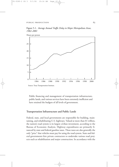Figure 5-1. *Average Annual Traffic Delay in Major Metropolitan Areas, 1982–2001*



Hours per person

Source: Texas Transportation Institute.

Public financing and management of transportation infrastructure, public lands, and various services have been extremely inefficient and have strained the budgets of all levels of government.

### **Transportation Infrastructure and Public Lands**

Federal, state, and local governments are responsible for building, maintaining, and rehabilitating U.S. highways. Valued at more than \$1 trillion, the nation's road system is its largest civilian investment, according to the Bureau of Economic Analysis. Highway expenditures are primarily financed by state and federal gasoline taxes. These taxes are also generally the only "price" that vehicles must pay for using the road system. State and federal governments hire private contractors to undertake various road projects such as rehabilitation and major construction. In accordance with the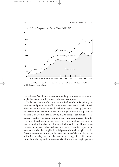

Figure 5-2. *Changes in Air Travel Time, 1977–2004*

Source: U.S. Department of Transportation, Service Segment Data and Schedule T-100, Data Bank 28DS, Domestic Segment Data.

Davis-Bacon Act, these contractors must be paid union wages that are applicable to the jurisdiction where the work takes place.

Public management of roads is characterized by substantial pricing, investment, and production inefficiencies (these issues are discussed in Small, Winston, and Evans 1989). Roads are built to a given capacity (lane miles) to accommodate cars and trucks, and to a given durability (pavement thickness) to accommodate heavy trucks. All vehicles contribute to congestion, which occurs mainly during peak commuting periods when the ratio of traffic volume to capacity exceeds a certain threshold, forcing vehicles to travel at less than free-flow speeds allowed by law. Heavy trucks increase the frequency that road pavement must be resurfaced; pavement wear itself is related to roughly the third power of a truck's weight per axle. Given these considerations, gasoline taxes are an inefficient pricing mechanism because they are basically invariant to changes in traffic volume throughout the day and are *inversely* related to a truck's weight per axle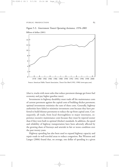Billions of dollars (2001) Figure 5-3. *Government Transit Operating Assistance, 1976–2001*



Source: American Public Transit Association, *Transit Fact Book* (1992, 1998) (www.apta.com).

(that is, trucks with more axles that reduce pavement damage get lower fuel economy and pay higher gasoline taxes).

Investments in highway durability must trade off the maintenance costs of current pavement against the capital costs of building thicker pavement; optimal investments minimize the sum of these costs. Generally, highway authorities have failed to minimize investment costs because they have preferred to build thinner pavements to reduce the up-front capital costs. Consequently, all roads, from local thoroughfares to major interstates, experience excessive maintenance costs because they must be repaved sooner than if they were built to optimal (thicker) standards. In addition, the speed and reliability of highway transportation have been adversely affected by the growing share of freeways and arterials in fair or worse condition over the past twenty years.

Highway spending has also been used to expand highway capacity and repair roads in well-traveled areas to reduce congestion. But Winston and Langer (2006) found that, on average, one dollar of spending in a given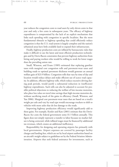year reduces the congestion costs to road users by only eleven cents in that year and only a few cents in subsequent years. The efficacy of highway expenditures is compromised by the lack of an explicit mechanism that links such spending with congestion in specific localities. But the most fundamental obstacle to highway spending that could efficiently reduce congestion is that the U.S. road system is largely complete and the nation's urbanized areas have little available land to expand their infrastructure.

Finally, highway production costs are inflated by bureaucratic rules that make it difficult to use the latest and most efficient production technologies and by Davis-Bacon constraints that prevent highway authorities from hiring and paying workers who would be willing to work for lower wages than the prevailing union rate.

Small, Winston, and Evans (1989) estimated that replacing gasoline taxes with marginal cost congestion tolls and pavement-wear taxes and building roads to optimal pavement thickness would generate an annual welfare gain of \$23.9 billion. Congestion tolls that vary by time of day and location would reduce delays and make efficient use of scarce road capacity. In addition, efficient highway tolls, which reduce excessive driving during peak periods, would justify a substantial reduction in (inefficient) highway expenditures. Such tolls can also be adjusted to account for possible political objections to reducing the welfare of low-income motorists, who place less value on travel time savings than high-income motorists do, without sacrificing much of the gains in efficiency (Small, Winston, and Yan 2006). Marginal cost pavement-wear taxes that are based on a truck's weight per axle and vary by road type would encourage truckers to shift to vehicles with more axles that do less damage to the roads.

Improving highway production efficiency would significantly add to these gains. For example, Kessler and Katz (2001) estimate that the Davis-Bacon Act costs the federal government some \$1.5 billion annually. This figure does not simply represent a transfer to labor because no market failure is being corrected, while inflated wages must be financed by additional tax revenues, which creates an additional inefficiency.

Responsibility for designing and operating airports lies primarily with local governments. Airport expenses are covered by passenger facility charges and landing fees, which are set by local airport authorities based on an aircraft's weight subject to guidelines set by the Federal Aviation Administration. Airports that seek federal assistance for investments, such as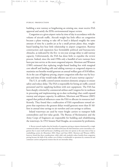building a new runway or lengthening an existing one, must receive FAA approval and satisfy the EPA's environmental impact review.

Congestion at a given airport varies by time of day in accordance with the volume of aircraft traffic. Aircraft weight has little effect on congestion because a plane waiting to take off or land is delayed roughly the same amount of time by a jumbo jet as by a small private plane; thus, weightbased landing fees bear little relationship to airport congestion. Runway construction and expansion face formidable political and bureaucratic obstacles, as indicated by the five- to ten-year average delay to add runway capacity. Unfortunately, the FAA has done little to expedite the review process. Indeed, since the mid-1990s only a handful of new runways have been put into service at the most congested airports. Morrison and Winston (1989) estimated that replacing weight-based landing fees with marginal cost takeoff and landing tolls and adding runways at congested airports to maximize net benefits would generate an annual welfare gain of \$18 billion. As in the case of highway pricing, airport congestion tolls that vary by location and time of day would make efficient use of scarce runway capacity.<sup>4</sup>

The U.S. air traffic control system monitors domestic airspace to ensure safety and reduce delay. The FAA is responsible for hiring air traffic control personnel and for supplying facilities with new equipment. The FAA has been sharply criticized by commercial airlines and Congress for its tardiness in procuring and implementing up-to-date technology that could expand runway and airspace capacity. In addition, Morrison and Winston (2005) argued that political influences cause the FAA to allocate its resources inefficiently. They found that a reallocation of FAA expenditures toward airports that experience the greatest delays would generate more than \$1 billion in annual time savings to air travelers and cost savings to airlines.

Inland waterways are used by water freight carriers to transport bulk commodities and low-value goods. The Bureau of Reclamation and the Army Corps of Engineers are responsible for building and rehabilitating the waterways. In 1952 Senator Paul Douglas, an economist by profession,

4. Recent research implies that the benefits of congestion pricing at airports dominated by a single commercial airline carrier are smaller than believed because the hub-dominant carrier internalizes congestion that it causes itself and because a hubbing carrier does not operate at the same times of day as nonhubbing carriers do (Brueckner 2002; Mayer and Sinai 2003). Morrison and Winston (2005), however, found that these considerations, while valid, only modestly reduce benefits from congestion pricing because the bulk of the welfare cost of delays is attributable to operations by commercial and commuter carriers and general aviation that do not internalize delay.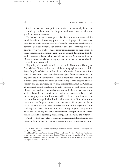pointed out that waterway projects were often fundamentally flawed on economic grounds because the Corps tended to overstate benefits and greatly underestimate costs.

To the best of my knowledge, scholars have not recently assessed the social desirability of waterway projects, but such projects have attracted considerable media scrutiny because of wasteful investments attributable to powerful political interests. For example, after the Corps was forced to delay its seven-year study of major construction projects on the Mississippi River because an independent economic assessment determined that the study's forecasts of barge traffic were inflated, Senator Christopher Bond of Missouri vowed to make sure that projects were funded no matter what the economic studies concluded.5

Beginning with a series of articles that ran in 2000 in the *Washington Post*, Michael Grunwald has reported the most egregious examples of the Army Corps' inefficiencies. Although this information does not constitute scholarly evidence, it may someday provide grist for an academic mill. In any case, the inefficiencies that Grunwald identified include consultants' estimates that benefit-cost ratios of recent Army Corps' projects are consistently and unequivocally below one, documentation that the Corps has adjusted cost-benefit calculations to justify projects on the Mississippi and Illinois rivers, and well-founded concerns that the Corps' management of an \$8 billion effort to resuscitate the Florida everglades—the largest environmental project in world history—will be plagued by substantial cost overruns. Mounting criticism inside and outside of the Bush administration forced the Corps to suspend work on some 150 congressionally approved water projects in 2002 to review the economic analysis the Corps used to justify them. Not only do most waterway projects have questionable social desirability, but barge companies are charged only a small fraction of the costs of operating, maintaining, and renovating the system.<sup>6</sup>

Finally, federal and state governments are responsible for allocating and managing land for grazing, natural conservation, and recreational activities.

<sup>5.</sup> Michael Grunwald, "Army Corps Delays Study over Flawed Forecasts," *Washington Post*, October 5, 2000, p. A33.

<sup>6.</sup> Michael Grunwald, "Corps' Taming of Waterways Doesn't Pay Off," *Washington Post*, January 9, 2000, p. A1. Grunwald recently discussed the Corps' failure to protect New Orleans from Hurricane Katrina, despite spending more in Louisiana than in any other state; see "A Flood of Bad Projects," *Washington Post*, May 14, 2006, p. B1.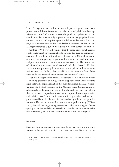The U.S. Department of the Interior also sells parcels of public lands to the private sector. It is not known whether the extent of public land holdings reflects an optimal allocation between the public and private sector, but anecdotal evidence periodically appears in the press charging that the government has sold land to private parties at below-market value. For example, a developer acquired land in Nevada that the Interior's Bureau of Land Management valued at \$763,000 and sold it the next day for \$4.6 million.<sup>7</sup>

Gardner (1997) provided evidence that the rental prices for all users of public lands were below marginal costs. Grazing fees paid by farmers covered only \$15 million–\$30 million of the roughly \$230 million cost of administering the grazing program, and revenues generated from wood and paper manufacturers that use national forests were well below the costs of reforestation and the opportunity cost of land sales. Users of public land for recreational purposes paid a nominal or zero price that does not cover maintenance costs. In fact, a law passed in 2005 increased the share of sites operated by the National Forest Service that are free of charge.

Optimal management of national forests calls for a careful combination of thinning, prescribed burnings, and fire suppression that allows forests to regenerate without producing fires that cause fatalities and damage residential property. Federal spending on the National Forest Service has grown substantially in the past few decades, but the evidence does not indicate that the increased expenditures have led to improved forest regeneration and public safety. The scientific community argues that healthy forest growth could be achieved more efficiently and safely if the service spent less money and let certain types of fires burn and extinguish naturally (O'Toole 2002). Indeed, the longstanding government policy of putting out fires as quickly as possible has led to excessive biomass in the understory that makes fires more deadly and difficult—and thus more costly—to extinguish.

### **Services**

State and local governments are responsible for managing and providing most of the bus and rail transit in U.S. metropolitan areas. Transit operations

<sup>7.</sup> Joel Brinkley, "A U.S. Agency Is Accused of Collusion in Land Deals," *New York Times*, October 12, 2002, p. 16.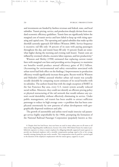and investments are funded by farebox revenues and federal, state, and local subsidies. Transit pricing, service, and production sharply deviate from standard economic efficiency guidelines. Transit fares are significantly below the marginal cost of transit service and have failed to keep up with rising operating and capital costs. The operating and capital subsidies that make up this shortfall currently approach \$20 billion (Winston 2000). Service frequency is excessive; rail fills only 18 percent of its seats with paying passengers throughout the day, and transit buses fill only 14 percent (loads are somewhat higher during the morning and evening rush hours). Transit costs are inflated by oversized vehicles, excessive labor expenses, and low productivity.<sup>8</sup>

Winston and Shirley (1998) estimated that replacing current transit fares with marginal cost fares and providing service frequency to maximize net benefits would produce annual efficiency gains of \$9.2 billion. (Accounting for environmental and safety externalities associated with urban travel had little effect on the findings.) Improvements in production efficiency would significantly increase these gains. Recent work by Winston and Maheshri (2006a) assessed whether urban rail transit was actually socially desirable by comparing recent estimates of its social benefits with its subsidies. The authors found that with the single exception of BART in the San Francisco Bay area, every U.S. transit system actually reduced social welfare. Moreover, they could not identify an efficient pricing policy or physical restructuring of the rail network that would enhance any system's social desirability without effectively eliminating its service. Under public management, rail transit has been unable to attract sufficient patronage to reduce its high average costs—a problem that has been complicated enormously by new patterns of urban development with geographically dispersed residences and jobs.

The growth of automobile and airline travel made intercity rail passenger service highly unprofitable by the 1960s, prompting the formation of the National Railroad Passenger Corporation (popularly known as Am-

8. Despite their low load factor, sixty-seat buses are used in many urban areas on all routes at all times of day. Regarding labor inefficiencies, Section 13(c) of the 1964 Federal Transit Act makes it prohibitively expensive to release a transit employee by obligating federally supported transit agencies to provide any dismissed employee with a monthly compensation package equal to his or her average monthly earnings during the past twelve months. This compensation must be paid for a period equal to the duration of the employee's employment with the transit agency, capped at *six years*.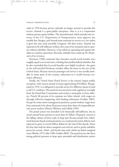trak) in 1970 because private railroads no longer wanted to provide this service. Amtrak is a quasi-public enterprise—that is, it is a corporation without private equity holders. The Amtrak board, which includes the secretary of the U.S. Department of Transportation, must approve any notable fare changes, and Amtrak must maintain its service to a city unless it gives the state (and normally Congress) 180 days notice. Amtrak was expected to be self-sufficient within a few years of its inception and to operate without subsidies. However, it has relied on operating and capital subsidies to continue operations. Recently, subsidies have made up 20–30 percent of its revenues.

Morrison (1990) estimated that Amtrak's overall social benefits were roughly equal to its social costs, a finding that justifies federal subsidies. But he also concluded that its social benefits were highly localized—the gains in the well-traveled Northeast corridor offset the losses in the rest of the United States. Because intercity passenger rail service is not socially desirable in many parts of the country, reductions in it would increase economic efficiency.

Finally, the United States Postal Service is the nation's largest public enterprise, with current annual revenues approaching \$70 billion. Reorganized in 1970, it is obligated to provide service for different classes of mail to all U.S. residents. The postal service sets prices with regulatory oversight from the Postal Rate Commission and retains a monopoly in letter delivery. Nearly 80 percent of its expenses are labor related, with wages set through collective bargaining with binding arbitration (Geddes 2005). Except for some senior management positions, postal workers' wages have been estimated to be about 30 percent more than those of comparable private sector workers (Hirsch, Wachter, and Gillula 1999).

The postal system was intended to be financially self-sufficient, but its recent annual losses amount to more than \$1 billion. Of greater concern is the falling volume of letter mail, in large part because people have substituted Internet-based communications; as a result postal system deficits were expected to grow to several billion dollars by the end of this decade. Prices for first class mail are above marginal costs and are used to partly subsidize prices for second-, third-, and fourth-class mail, which are below marginal costs (Wattles 1973; Adie 1989; Geddes 2003). The postal service also faces strong political pressures to keep open unneeded mail distribution centers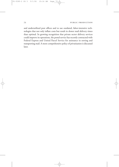and underutilized post offices and to use outdated, labor-intensive technologies that not only inflate costs but result in slower mail delivery times than optimal. In growing recognition that private sector delivery services could improve its operations, the postal service has recently contracted with Federal Express and United Parcel Service for assistance in sorting and transporting mail. A more comprehensive policy of privatization is discussed later.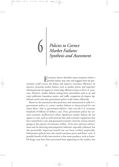# **6** *Policies to Correct Market Failures: Synthesis and Assessment*

Economic theory identifies many situations where a<br>
market failure may arise and suggests how the government could correct the failure and improve economic efficiency. In practice, potential market failures such as market power and imperfect information do not appear to create large efficiency losses to the U.S. economy. However, market failures arising from externalities such as air and water pollution, hazardous wastes, and traffic congestion do impose significant social costs that government policy could reduce efficiently.

Based on the assessments discussed here and summarized in table 6-1, government policy to correct market failures is characterized by two major flaws—that is, government failures—that cost the U.S. economy hundreds of billions of dollars a year. First, government policy has created economic inefficiencies where significant market failures do not appear to exist, such as with antitrust laws and economic regulations that have raised firms' costs and generated economic rents for various interest groups at the expense of consumer welfare. To be sure, antitrust enforcement may be deterring anticompetitive behavior, especially collusion, but this potentially important benefit has not been verified empirically. Information policies have also raised consumer prices and firms' costs. A possible benefit of this intervention is that some products, such as harmful drugs, may have been prevented from appearing on the market, but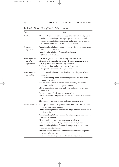| Policy                                         | Costs                                                                                                                                                                                                                                                                                                                                                                                                                                                                                                                                                                                                                                                                                                           |
|------------------------------------------------|-----------------------------------------------------------------------------------------------------------------------------------------------------------------------------------------------------------------------------------------------------------------------------------------------------------------------------------------------------------------------------------------------------------------------------------------------------------------------------------------------------------------------------------------------------------------------------------------------------------------------------------------------------------------------------------------------------------------|
| Antitrust                                      | The annual cost to firms that are subject to antitrust investigations<br>and court proceedings from legal expenses and the time and<br>resources expended by management and critical staff to assist in<br>the defense could run into the billions of dollars.                                                                                                                                                                                                                                                                                                                                                                                                                                                  |
| Economic<br>regulation                         | Annual deadweight losses from commodity price support programs:<br>\$3 billion–\$12.4 billion.<br>Annual deadweight losses from tariffs and quotas:<br>\$12 billion-\$18 billion.                                                                                                                                                                                                                                                                                                                                                                                                                                                                                                                               |
| Social regulation:<br>imperfect<br>information | FTC investigations of false advertising raise firms' costs.<br>FDA delays of the availability of new drugs have amounted to a<br>5-10 percent annual tax on drug purchases.<br>OSHA inspections and regulations raise firms' costs.<br>States' prohibitions of advertising raise prices.                                                                                                                                                                                                                                                                                                                                                                                                                        |
| Social regulation:<br>externalities            | NHTSA-mandated emissions technology raises the price of new<br>vehicles.<br>DOT fuel economy standards raise the price of new vehicles and<br>compromise safety.<br>FAA noise standards raise airlines' costs, exceeding benefits to<br>homeowners by \$5 billion (present value).<br>EPA command and control air and water pollution policies raise<br>firms' costs.<br>Superfund's cost-effectiveness is extremely low.<br>Federally funded R&D generates low returns and crowds out private<br>R&D.<br>The current patent system involves large transactions costs.                                                                                                                                          |
| Public production                              | Public production runs large deficits that must be covered by taxes<br>that create an excess burden.<br>Annual deadweight losses from inefficient pricing and investment in<br>highways: \$23.9 billion.<br>Annual deadweight losses from inefficient pricing and investment in<br>airports: \$18 billion.<br>Many inland waterway projects are not cost effective.<br>Users of public land are charged prices below marginal cost.<br>Annual deadweight losses from inefficient pricing and service in<br>public transit: \$9.2 billion.<br>Amtrak is not socially desirable in many parts of the country; thus,<br>its subsidy is excessive.<br>Prices for mail service generate inefficient cross subsidies. |

Table 6-1. *Welfare Costs of Market Failure Policies*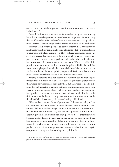once again a potentially important benefit must be confirmed by empirical evidence.1

Second, in situations where market failures do exist, government policy has either achieved expensive successes by correcting these failures in a way that sacrifices substantial net benefits or in some cases has actually reduced social welfare. Government policy has wasted resources with its application of command-and-control policies to correct externalities, particularly in health, safety, and environmental policy. Efficient pollution taxes and more extensive use of tradable permits could have reduced automobile emissions, airplane noise, and air and water pollution at much lower cost than current policies. More efficient use of Superfund could reduce the health risks from hazardous wastes for more residents at lower cost. While it is difficult in practice to determine optimal incentives for private R&D, the available research strongly questions whether the socially beneficial innovative activity that can be attributed to publicly supported R&D subsidies and the patent system exceeds the cost of these incentive mechanisms.

Finally, researchers have not determined whether public financing of transportation infrastructure and other services generates greater welfare than would privatization of these activities. But the evidence clearly indicates that public sector pricing, investment, and production policies have failed to ameliorate externalities such as highway and airport congestion, have produced inefficient levels of service, and have resulted in large subsidies that must be financed by general taxes, which in turn create additional inefficiencies—namely, the cost of raising public funds.

What explains the prevalence of government failure when policymakers are presumably trying to correct market failures? In some situations, government failure arises because government intervention is unnecessary that is, markets can adequately address their possible failures. Consequently, government intervention may prove to be counterproductive because market failure policies are flawed or poorly implemented and because policymakers, regardless of their intentions, are subject to political forces that enable certain interest groups to benefit at the expense of the public. In other situations, government action is called for but is again compromised by agency shortcomings and political forces.

<sup>1.</sup> In addition to the inefficiencies that they create, antitrust, economic regulation, and information policies entail considerable administrative and enforcement costs.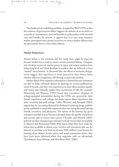The fundamental underlying problem, as argued by Wolf (1979), is that the existence of government failure suggests the absence of an incentive to reconcile an intervention's costs and benefits to policymakers with its social costs and benefits. In contrast, it appears that in at least some instances market participants have greater incentives to correct market failures than the government has to correct these failures.

### **Market Robustness**

Market failure is less common and less costly than might be expected because market forces tend to correct certain potential failures. Competition develops to prevent market power in input and output markets from being long-lived and often develops in markets that are believed to have "natural" entry barriers. As discussed later, the effects of economic deregulation suggest that experience is more instructive than theory about whether effective competition will develop in particular markets.

Market failure from imperfect information is limited because consumers are able to make informed choices by drawing on various publications, word-of-mouth, and their own experiences to learn about product quality and variety and rationally update their assessments of risk. For example, Mannering and Winston (1995) found that consumers' adoption of airbag-equipped automobiles during the 1990s was spurred by their friends' experiences with airbags and media reports about experiences that other motorists had with airbags. Calfee, Winston, and Stempski (2002) argued that the increasing demand for cholesterol-reducing drugs could be partly attributed to successful treatments that were being discussed among friends, coworkers, and physicians. The advent of the Internet has given consumers another way to become informed about the quality of products and services and to receive lower prices. Chevalier and Mayzlin (2003) pointed out that consumers pay attention to book reviews that are available at Amazon and Barnes and Noble. Web-based airline fares have made the lowest fares available to almost every traveler, and consumers who use the Internet to purchase a car have saved some \$200 million a year because by learning about dealers' invoice prices and actual transactions prices, they have been more informed when they negotiate with car salespeople (Zettelmeyer, Scott Morton, and Silva-Risso 2001, 2005).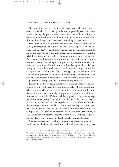When not impeded by regulation, advertising can enable firms to overcome the inefficiencies created by the lack of property rights to most information. Among the positive externalities associated with advertising are better information about diet and health, opportunities to improve health through drug therapy, and the dangers of smoking (Calfee 1997).

Firms that produce faulty products or provide unsatisfactory services damage their reputations and incur financial costs. As pointed out by Jin, Kato, and List (2005), certification markets can provide information to reduce this possibility. For example, Underwriters Laboratories certifies the reliability of consumer and industrial products, Moody's and Standard and Poor's report bond ratings to inform investors about risk, and accounting companies audit financial reports for public corporations in an effort to deter and expose fraud. Firms have also instituted compensation policies to rectify cases when their product or service does not meet expectations. For example, when airlines oversell flights, they typically compensate travelers who voluntarily agree to be bumped more than they compensate travelers who are involuntarily bumped and are consequently subject to the U.S. Department of Transportation's compensation regulations.<sup>2</sup>

Finally, firms have strong incentives to maintain safe workplaces. Employers with workplaces that pose inherent risks to health benefit from self-selection in labor markets whereby workers who are most tolerant of risk are drawn to riskier jobs; higher wages must be paid to lure additional workers into these jobs. Without such heterogeneity, compensating wage premiums would probably be higher. But if a workplace is perceived as dangerous because workers have experienced a series of serious injuries, then the wage premium would have to rise considerably just to attract people who are tolerant of risky work. In general, firms also benefit from safe workplaces because production costs are lower, employees' productivity is higher, workers' compensation insurance premiums are reduced, and firms are more likely to avoid costly civil and possibly criminal litigation.

Market forces can even help lower the cost of some externalities. Households' choices of where to live and work reflect efficient sorting to reduce

<sup>2.</sup> See Keith L. Alexander, "Flying High By Getting Bumped," *Washington Post*, April 11, 2001. The industry policy evolved in response to a Civil Aeronautics Board rule that increased penalties for involuntary bumping. The volunteer auction system increased efficiency by delaying people who care least about waiting for the next departure and by enabling carriers to overbook at a higher rate and fly with fewer empty seats.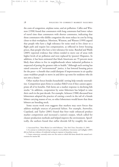the costs of congestion, airplane noise, and air pollution. Calfee and Winston (1998) found that commuters with long commutes had lower values of travel time than commuters with shorter commutes, indicating that those commuters who dislike congestion the most reduce its cost by living closer to their workplaces. Morrison, Winston, and Watson (1999) argued that people who have a high tolerance for noise tend to live closer to a flight path and require less compensation, as reflected in lower housing prices, than people who have a low tolerance for noise. Banzhaf and Walsh (2005) reported evidence that whites tended to move out of areas with higher levels of air pollution and were replaced by (poorer) Hispanics. In addition, it has been estimated that black Americans are 79 percent more likely than whites to live in neighborhoods where industrial pollution is suspected of posing the greatest risks to health.<sup>3</sup> Although such sorting has raised concerns of "environmental" justice, it has lowered housing prices for the poor—a benefit that could dissipate if improvements in air quality cause wealthier people to move in and drive up rents for residents who do not own a home.<sup>4</sup>

Other market forces besides households' sorting help remedy externalities. Competition spurs firms to conduct R&D even if they cannot appropriate all of its benefits. Fish farms are a market response to declining fish stocks.<sup>5</sup> In addition, cooperation by some fishermen has helped to raise their catch in the past decade. For example, Acheson (1988) discussed how lobstermen adopted the practice of cutting a notch in the tail of a female lobster carrying masses of roe, so other lobstermen would know that these lobsters are breeding stock.

Some recent work even suggests that markets may exert forces that address multiple sources of potential failure. For example, Antweiler, Copeland, and Taylor (2001) found that freer trade enhanced product market competition and increased a nation's output, which called for cleaner production methods and helped improve the environment. Specifically, the authors found that sulfur dioxide fell by roughly the same

<sup>3.</sup> Associated Press, "More Blacks Live with Pollution," *New York Times*, December 13, 2005.

<sup>4.</sup> In contrast to residential sorting in response to air pollution, Greenstone and Gallagher (2005) did not find any evidence of residential sorting in response to hazardous wastes.

<sup>5.</sup> Some controversy currently exists over the extent to which fish farms disturb the natural environment for marine life.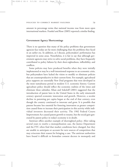amount in percentage terms that national income rose from more open international markets. Frankel and Rose (2005) reported a similar finding.

### **Government Agency Shortcomings**

There is no question that many of the policy problems that government agencies face today are far more challenging than the problems they faced in an earlier era. In addition, as I discuss, policymakers' performance has improved in some areas. Nonetheless, it is fair to say that although government agencies may strive to solve social problems, they have frequently contributed to policy failures by their short-sightedness, inflexibility, and conflicts.

Some policies may have produced benefits when they were initially implemented or may be a well-intentioned response to an economic crisis, but policymakers have lacked the vision to modify or eliminate policies that are counterproductive in their current form. For example, agricultural price supports are essentially New Deal programs that were developed in the most tumultuous period in modern U.S. economic history. Current agriculture policy should reflect the economic realities of the times and eliminate these subsidies. Khan and Sokoloff (2001) suggested that the introduction of patent laws in the United States in the early nineteenth century spurred economic innovation and growth. However, a secular decline in patenting per capita began at the end of that century, even though the country continued to innovate and grow. It is possible that patents became less essential for fostering innovation as greater competition caused firms to increase their participation in this activity while individual inventors decreased their activity. The 1982 Federal Courts Improvement Act caused patent growth to resume, but the social gain generated by patent policy in today's economy is in doubt.

Antitrust offers another example of shortsighted policy. After taking several years to resolve a monopolization case, the Justice Department and the FTC often find that market conditions have changed, but they are unable to anticipate or account for new sources of competition that may eviscerate their reason for bringing a case. The antitrust authorities have found it difficult to formulate consent decrees in monopoly and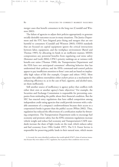merger cases that benefit consumers in the long run (Crandall and Winston 2003).

The failure of agencies to adjust their policies appropriately to generate socially desirable outcomes occurs in many situations. The Justice Department and the FTC have litigated price fixing and mergers that are not harmful to consumers (Crandall and Winston 2003); OSHA standards that are focused on capital equipment ignore the critical interactions between labor, equipment, and the workplace environment (Bartel and Thomas 1985); by allocating its funds in an inefficient manner, MSHA compromises any potential benefits from regulating coal mine safety (Kniesner and Leeth 2004); CPSC's priority rankings are at variance with benefit-cost ratios (Thomas 1988); the Transportation Department and the FDA have not anticipated consumers' offsetting behavior that has undermined their policies; and the EPA's command-and-control policies appear to pay insufficient attention to firms' costs and are based on implausibly high values of life (for example, Cropper and others 1992). Most agencies that address externalities either eschew prices as a mechanism for enhancing efficiency or, as in the case of fuel, cigarette, and alcohol taxes, set them inefficiently.

Still another source of inefficiency is agency policy that conflicts with either their own or another agency's basic objectives.<sup>6</sup> For example, the Securities and Exchange Commission is responsible for preventing companies from misleading the public about their financial condition. But the SEC has enacted entry regulations that have stifled competition among independent credit rating agencies that could provide investors with a valuable assessment of a company's creditworthiness because their access to a corporation's books is greater than the public's access (White 2002). Thus, regulation has reduced the effectiveness of a certification market by thwarting competition. The Transportation Department seeks to encourage fuel economy and promote safety, but the EPA's emissions regulations increase vehicle weight and reduce fuel economy and Transportation's CAFE standards increase the share of light trucks on the road, which reduces safety and fuel economy (Lave 1984; Godek 1997). The U.S. Forest Service is responsible for preserving public lands in their natural state, which means

<sup>6.</sup> As noted, the courts identified conditions that would uphold AT&T's claim of antitrust immunity because they were subject to FCC regulation, but in practice these conditions were not met.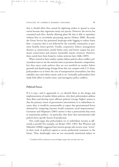that it should allow fires caused by lightning strikes to spread to some extent because they regenerate many tree species. However, the service has contained such fires, thereby allowing plant life that is able to reproduce without fires to overwhelm preexisting species (Nelson 2000). Recently, the Forest Service has permitted landscape-wide logging to reduce forest fires—a practice that is not believed by the scientific community to promote healthy forest growth. Finally, cooperative fishery management (known as conservation cartels) limits entry and lowers output but promotes conservation and ensures sustainable marine resources. However, these cartels have been found to violate antitrust laws (Adler 2005).

When viewed in their totality, market failure policies often conflict: policymakers want to use the antitrust laws to promote domestic competition, but they enact trade policies that are not justified on market failure grounds and disadvantage foreign firms that can compete with U.S. firms; policymakers try to lower the cost of transportation externalities, but they subsidize auto and urban transit; and so on. Generally, policymakers have made little effort to resolve intra- and interagency policy conflicts.

### **Political Forces**

If it is easy—and it apparently is—to identify flaws in the design and implementation of market failure policies, why don't policymakers address these flaws and develop more efficient policies? George Stigler's answer is that the primary intent of government interventions is to redistribute income; thus, it would be unreasonable to expect that governmental favors obtained by competing interests would constitute social improvements.7 Grossman and Helpman's (2005) answer is that a protectionist bias exists in majoritarian politics—in particular, they show that international trade policies favor specific factors of production.

One could argue that policymakers try to redistribute income as *efficiently as possible* (for example, see Becker 1983, 1985). But Winston and Maheshri (2006b) suggested that interest groups who receive rents "invest" in their stock of political capital to secure preferential treatment in the future. Thus, deadweight costs are not necessarily minimized subject to

<sup>7.</sup> Friedland (2002) synthesizes several of Stigler's papers that articulate this view.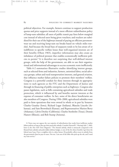political objectives. For example, farmers continue to support production quotas and price supports instead of a more efficient redistribution policy of lump-sum subsidies; all users of public transit pay fares below marginal cost instead of selected users being given vouchers; and truckers are subsidized for their use of the highways instead of paying an efficient pavementwear tax and receiving lump-sum tax breaks based on vehicle miles traveled. And because the broad base of taxpayers tends to be less aware of or indifferent to specific welfare losses than well-organized interests are of their benefits (Olson 1965), imperfect information may also create an imbalance of political pressure that enables economically inefficient policies to persist.8 It is therefore not surprising that well-defined interest groups, with the help of the government, are able to use their organizational and informational advantages to accrue economic rents inefficiently.

Table 6-2 summarizes illustrative studies identifying interest groups, such as selected firms and industries, farmers, unionized labor, social advocacy groups, urban and rural transportation interests, and general aviation, that influence market failure policies to promote their members' welfare. Congress is a powerful conduit for these interests through its appropriations to such agencies as the FTC and the Department of Justice and through its financing of public enterprises such as highways. Congress also passes legislation, such as bills containing agricultural subsidies and trade protection, which is influenced by and benefits narrow interests at the expense of consumer welfare. In fact, some of the direct beneficiaries are also members of Congress. During 1996–2000, agricultural subsidies were paid to farm operations that were owned in whole or in part by Senators Charles Grassley (Iowa), Richard Lugar (Indiana), Blanche Lincoln (Arkansas), and Sam Brownback (Kansas), and Representatives Marion Berry (Arkansas), Calvin Dooley (California), Charles Stenholm (Texas), Dennis Hastert (Illinois), and Bob Stump (Arizona).

8. Voters may not oppose the vast majority of redistribution that results from inefficient market failure policies as long as they get their particular subsidy. Consider Hartwell C. Herring's July 7, 2002, letter to the *New York Times Magazine*: "The Amtrak subsidy, which is minuscule compared to the bloated farm subsidy and pork-ridden defense budget, is one of the few direct benefits I get from the federal taxes I pay. I have a neighbor who is a dairy farmer. He probably collects more in subsidy from the government than he pays in taxes. Not me. I am one of the folks who pick up the tab, and I need my train service."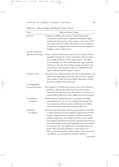| Policy                       | Influential Interest Groups                                                                                                                                                                                                                                                                                                                                                                                                                                                                                                                                                                                                                                                                    |
|------------------------------|------------------------------------------------------------------------------------------------------------------------------------------------------------------------------------------------------------------------------------------------------------------------------------------------------------------------------------------------------------------------------------------------------------------------------------------------------------------------------------------------------------------------------------------------------------------------------------------------------------------------------------------------------------------------------------------------|
| Antitrust:                   | Congress can influence the activities of the Federal Trade<br>Commission and the Justice Department through its appro-<br>priations for these agencies. There appears to be a bias in FTC<br>case selection in favor of firms that operate in the jurisdiction<br>of members of congressional committees that have important<br>budgetary and oversight powers. <sup>a</sup>                                                                                                                                                                                                                                                                                                                   |
| Economic Regulation:         |                                                                                                                                                                                                                                                                                                                                                                                                                                                                                                                                                                                                                                                                                                |
| Agricultural subsidies       | Farmers and their lobbyists have been more successful in obtain-<br>ing public assistance for certain commodities than for others.<br>For example, producers of milk, sugar, peanuts, and wheat<br>receive subsidies, but those producing cattle, eggs, hogs, and<br>beef do not. The size of the producer group and whether the<br>commodity is exported and/or subject to competition from<br>imports influence whether support is given. <sup>b</sup>                                                                                                                                                                                                                                       |
| Trade protection             | Powerful unions seeking to protect the jobs of their members and<br>industries facing foreign competition that are able to organize<br>into an effective lobby have been highly influential in federal<br>decisions to impose trade restrictions. <sup>c</sup>                                                                                                                                                                                                                                                                                                                                                                                                                                 |
| Social Regulation:           |                                                                                                                                                                                                                                                                                                                                                                                                                                                                                                                                                                                                                                                                                                |
| Occupational safety          | The stringency of OSHA's interventions varies across industries<br>and firms, reflecting the political power of these entities.<br>Unionized and large firms incur much lower costs from occu-<br>pational safety enforcement than smaller and nonunion firms. <sup>d</sup>                                                                                                                                                                                                                                                                                                                                                                                                                    |
| Consumption<br>externalities | Antismoking and antidrinking advocacy groups successfully<br>urge adoption of a "sin tax" on smoking and drinking. FAA<br>noise regulations reflect the relative political power of home-<br>owners and airlines rather than economic efficiency. <sup>e</sup>                                                                                                                                                                                                                                                                                                                                                                                                                                 |
| Production<br>externalities  | Environmental and business advocacy groups influence the EPA<br>to adopt industrial and water pollution policies that suit their<br>interests. Regional interests influence and distort industrial<br>pollution regulations. For example, the West and the South<br>have opposed regulations that prevent significant deterioration<br>of local air quality because such regulations limit their region's<br>economic growth. The inefficiencies of hazardous waste pro-<br>grams reflect the political pressure to clean up less cost-<br>effective sites dominated by white residents, rather than more<br>cost-effective sites dominated by minority residents. <sup>f</sup><br>(continued) |

Table 6-2. *Interest Groups and Market Failure Policies*

*(continued)*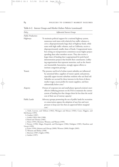| Policy                    | <b>Influential Interest Groups</b>                                                                                                                                                                                                                                                                                                                                                                                                                                                                                                                                                                                                                                                                                                                                            |
|---------------------------|-------------------------------------------------------------------------------------------------------------------------------------------------------------------------------------------------------------------------------------------------------------------------------------------------------------------------------------------------------------------------------------------------------------------------------------------------------------------------------------------------------------------------------------------------------------------------------------------------------------------------------------------------------------------------------------------------------------------------------------------------------------------------------|
| <b>Public Production:</b> |                                                                                                                                                                                                                                                                                                                                                                                                                                                                                                                                                                                                                                                                                                                                                                               |
| Highways                  | To maintain political support for a national highway system,<br>numerous rural states with relatively low traffic volumes re-<br>ceive a disproportionately large share of highway funds, while<br>states with high traffic volumes, such as California, receive a<br>disproportionately smaller share of funds. Congressional mem-<br>bers sitting on transportation committees secure higher project<br>spending than other members secure. They also receive a<br>larger share of funding that is appropriated for pork barrel<br>demonstration projects that benefit their constituents. Lobby-<br>ing organizations that represent motorists, such as the Ameri-<br>can Automobile Association, strongly oppose efforts to<br>institute congestion pricing. <sup>8</sup> |
| Transit                   | The presence and level of urban transit subsidies are influenced<br>by unionized labor, suppliers of transit capital, and patrons,<br>especially upper-income suburban residents who use fixed rail.<br>Subsidies are accrued by these interests in the form of above-<br>market wages, excess profits for transit suppliers, and fares<br>substantially below costs. <sup>h</sup>                                                                                                                                                                                                                                                                                                                                                                                            |
| Airports                  | Owners of corporate jets and small planes (general aviation) exert<br>effective lobbying pressure on the FAA to maintain the current<br>system of landing fees that charges them far less than the social<br>cost of their use of runway capacity. <sup>i</sup>                                                                                                                                                                                                                                                                                                                                                                                                                                                                                                               |
| Public Lands              | Advocacy groups promoting the use of public lands for recreation<br>or conservation oppose the adoption of user fees and exert<br>pressure to keep user fees that are approved below marginal<br>cost <sub>j</sub>                                                                                                                                                                                                                                                                                                                                                                                                                                                                                                                                                            |

Table 6-2. *Interest Groups and Market Failure Policies* (continued)

a. Faith, Leavens, and Tollison (1982); Weingast and Moran (1983); Coate, Higgins, and McChesney (1995).

b. Gardner (1987).

c. Godek (1985); Kalt (1988).

d. Bartel and Thomas (1985).

e. Heien (1995); Morrison, Winston, and Watson (1999).

f. Portney (1990); Magat, Krupnick, and Harrington (1986); Pashigian (1985); Hamilton and Viscusi (1999).

g. Evans (1994); Johnson and Libecap (2000); Winston (2000); Knight (2005).

h. Winston and Shirley (1998).

i. Morrison (1987); Stiglitz (1998).

j. Gardner (1997).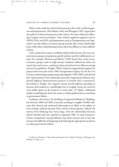Policy is also made by unelected bureaucrats who work at federal agencies and departments. McCubbins, Noll, and Weingast (1987) argued that the politics of these bureaucracies often mirror the same influences affecting Congress and the president. Thus, federal regulatory agencies such as OSHA, FAA, and EPA, and departments such as Transportation and Agriculture are also subject to interest group pressure that creates deadweight losses while often redistributing income from less affluent to more affluent citizens.

A few studies have tried to establish explicit links between the ways various interest groups compromise specific policies and the inefficiencies created. For example, Winston and Shirley (1998) found that certain socioeconomic groups (such as high-income residents) influenced urban rail transit fares and service, resulting in sharp deviations from efficient pricing and service guidelines. Knight (2004) analyzed congressional support for projects that were part of the 1998 Transportation Equity Act for the 21st Century, authorizing transportation spending for 1998–2003, and showed that representatives from politically powerful congressional districts supported highway demonstration projects to benefit their constituents. According to Knight, this support caused overall highway spending to increase and resulted in a deadweight loss of roughly ninety-six cents for every dollar spent on the projects, or more than \$7 billion. Additional studies would help pin down the extent to which political forces contribute to government failure.

Looking to the future, the doubling of registered lobbyists in Washington between 2000 and 2005 (currently standing at roughly 35,000) indicates that elected and unelected policymakers are likely to be subject to even stronger political pressure from various interest groups. Indeed, the returns from lobbying have been large, with the relationship between clients' benefits and costs reported to approach 100:1 in some instances.<sup>9</sup> Greater competition among lobbyists may lower returns, but it may also increase the difficulty of designing and inducing the appropriate incentives to reduce government failure.

<sup>9.</sup> Jeffrey H. Birnbaum, "Clients' Rewards Keep K Street Lobbyists Thriving," *Washington Post*, February 14, 2006, p. A1.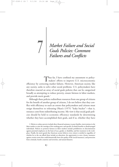**7** *Market Failure and Social Goals Policies: Common Failures and Conflicts*

Thus far, I have confined my assessment to policy-<br>makers' efforts to improve U.S. microeconomic efficiency by correcting market failures. However, American society, like any society, seeks to solve other social problems. U.S. policymakers have therefore enacted an array of social goals policies that can be categorized broadly as attempting to reduce poverty, ensure fairness in labor markets, and provide merit goods.<sup>1</sup>

Although these policies redistribute resources from one group of citizens for the benefit of another group of citizens, I do not believe that they conflict with efficiency to such an extent that policymakers and citizens must resign themselves to tolerating Okun's (1975) "leaky bucket"—that is, resource costs from redistributing income. My view is that social goals policies should be held to economic efficiency standards by determining whether they have accomplished their goals, and if so, whether they have

1. Policies to reduce poverty include direct financial assistance to poor families, interventions in the labor market to raise the earnings of the working poor, and specific (in-kind) benefits to disadvantaged individuals. Policies to promote fairness in labor markets include prohibitions on discrimination against potential employees on the basis of race, gender, or disability, and fair treatment in the workplace. Finally, the merit goods that American society believes every citizen is entitled to regardless of whether he or she can afford them include an education, the opportunity to own a home, insurance against certain events that could dramatically lower the quality of life (social insurance), and protection from criminals, hostile countries and terrorists, and natural disasters.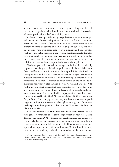accomplished them at minimum cost to society. Accordingly, market failure and social goals policies should complement each other's objectives whenever possible instead of undermining them.

It is beyond the scope of this study to synthesize the voluminous empirical assessments of social goals policies. However, it is fair to suggest that a representative selection of the assessments draws conclusions that are broadly similar to assessments of market failure policies; namely, redistribution policies have often made little progress in achieving their goals while wasting considerable resources in the process.<sup>2</sup> Another important similarity is that social goals policies have been compromised by the same factors—unanticipated behavioral responses, poor program structure, and political forces—that have compromised market failure policies.

Disadvantaged and not-so-disadvantaged individuals have rationally responded to social goals policies in ways that have raised the policies' costs. Direct welfare assistance, food stamps, housing subsidies, Medicaid, and unemployment and disability insurance have encouraged recipients to reduce their search for employment. Notwithstanding its benefits, workers' compensation has induced workers to be less careful on the job and to file claims for non-work-related injuries (Meyer, Viscusi, and Durbin 1995). And firms have offset policies that have attempted to promote fair hiring and improve the terms of employment. Faced with potentially costly lawsuits for terminating female and disabled employees, firms have hired fewer of these workers (DeLeire 2000; Neumark and Stock 2001; Acemoglu and Angrist 2001). Forced to pay overtime wages and warn workers of impending plant closings, firms have reduced straight-time wages and found ways to close plants without providing advance notice (Trejo 1991; Addison and Blackburn 1994).

A few programs such as Head Start have made some progress toward their goals—for instance, to reduce the high school dropout rate (Garces, Thomas, and Currie 2002)—because they are streamlined and have appropriate goals that can be assessed. In many cases, however, multiple programs are used to accomplish the same goals. Thus, some programs overlap, such as Supplementary Security Income, Medicaid, and disability insurance to aid the elderly, and child care subsidies and the earned income

<sup>2.</sup> Some recent comprehensive assessments include Moffitt (2003) on policies to reduce poverty, Ellwood (2001) on labor market interventions, Borjas (1999) on immigration policy, and Feldstein (2005) on social insurance policies.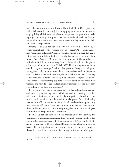tax credit to assist low-income households with children. Other programs and policies conflict, such as job training programs that seek to enhance employability while in-kind benefits discourage some recipients from seeking a job, or immigration policy that has recently allowed the share of households in poverty to expand while welfare policy attempts to help households escape poverty.

Finally, social goals policies are clearly subject to political pressures, as vividly exemplified by the lobbying prowess of the AARP (formerly American Association of Retired Persons), which has helped to ensure that nearly 40 percent of the federal budget is for the benefit largely of the elderly (that is, Social Security, Medicare, and other programs). Congress has historically revised the minimum wage in accordance with the relative political strength of unions and firms (Sobel 1999). Firms and agricultural interests that rely on low-wage Mexican labor pressure Congress to adopt an immigration policy that increases their access to these workers (Reynolds and McCleery 1988). And, of course, the so-called Iron Triangle—military contractors, their allies in the Pentagon, and allies in Congress—is a powerful force for maintaining support for antiquated or unneeded new weapons and flawed projects. Indeed, military contractors spend more than \$50 million a year lobbying Congress.<sup>3</sup>

In theory, market failure and social goals policies should complement each other. By enhancing market efficiency and not creating rents that adversely redistribute income, market failure policies should make resources available that could be used for social goals. By redistributing income in an efficient manner, social goals policies should not significantly reduce market efficiency. Given their common problems and the sources of these problems, however, it is not surprising that in practice social goals and market failure policies have conflicted.

Social goals policies have exacerbated market failure by distorting the workings of or impeding improvements in potentially efficient markets. For example, Congress established the E-rate program in 1996 that offered substantial subsidies to public schools and libraries to buy telecommunications services like wiring classrooms and connecting to the Internet. Congress should have considered the most efficient way to finance the subsidy such

<sup>3.</sup> Leslie Wayne, "So Much for the Plan to Scrap Old Weapons," *New York Times*, December 22, 2002, p. 1.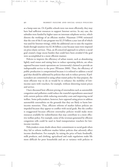as a lump-sum tax. Or if public schools were run more efficiently, they may have had sufficient resources to support Internet service. In any case, the subsidies were funded by higher taxes on interstate telephone service, which distorts the workings of an efficient market. Hausman (1998) estimated that the cost of the E-rate program was \$2.25 billion a year (not all of which was used for Internet wiring), while the additional cost to raise the requisite funds through taxation was \$2.36 billion a year because taxes were imposed on price-elastic services. Thus, an ill-conceived approach to achieve a social goal created a large excess burden that could have been avoided if the goal were accomplished in a more efficient manner.

Policies to improve the efficiency of urban transit, such as abandoning lightly used routes and raising fares to reduce operating deficits, are often opposed because transit operations are (erroneously) claimed to provide an indispensable service to the poor (Winston 2000). Thus, the efficiency of public production is compromised because it is enlisted to address a social goal that should be addressed by policies that seek to reduce poverty. If policymakers are committed to using urban transit policy for that purpose, the most efficient way to do so would be to enhance the mobility of lowincome users with vouchers, for example, without distorting transit prices and service.

I have discussed how efficient pricing of externalities such as automobile congestion and pollution could reduce the wasteful expenditures associated with current policies while reducing externality costs and improving social welfare. Some policymakers, however, have opposed using prices to address automobile externalities on the grounds that they are likely to harm lowincome motorists. Thus, efficient reforms of market failure policies are impeded because they appear to conflict with social goals. But the conflict is exaggerated because efficient externality policies would make more resources available for redistribution that may contribute to a more effective welfare policy. For example, some of the revenues generated by efficient congestion tolls could be used to fund transportation vouchers for lowincome travelers.

Policymakers create doubt about their commitment to social goals when they fail to reform inefficient market failure policies that adversely affect income distribution. For example, by raising the price of basic foodstuffs, milk products, and clothing, agricultural and trade regulations make life more difficult for poor households and are at variance with policies to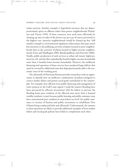reduce poverty. Another example is Superfund resources that are disproportionately spent on affluent rather than poorer neighborhoods (Hamilton and Viscusi 1999). If these resources were used more efficiently by cleaning up sites in order of the lowest cost per case of cancer prevented to the highest cost, minority neighborhoods would be cleaned up first. Still another example is environmental regulatory enforcement that pays much less attention to the polluting activities of plants located in poor neighborhoods than to the activities of plants located in higher-income neighborhoods (Gray and Shadbegian 2004; Bandyopadhyay and Horowitz 2006). Finally, public production of such services as urban rail transit, highways, intercity rail, and the like undoubtedly benefits higher-income households more than it benefits lower-income households. However, the inefficient financing and operation of these services have produced large deficits that must be covered by additional taxes that disproportionately add to the economic woes of the working poor.

The aftermath of Hurricane Katrina provides researchers with an opportunity to identify how an ineffective combination of policies designed to correct market failure and pursue social goals contributed to the catastrophe. For example, how efficient were public financing and management of water projects in the Gulf Coast region? Could the massive flooding have been prevented by efficient investment? Did the failure to prevent the flooding harm poor residents of the affected areas more than it harmed wealthy residents, in part because public housing and public assistance may have concentrated poor residents in areas below sea level? Are public assistance to victims of Katrina and public investment to rehabilitate New Orleans being conducted fairly and efficiently? Unfortunately, the answers to these questions are likely to provide additional examples of how market failure and social goals policies have failed to complement each other.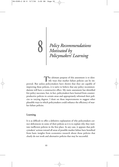**8** *Policy Recommendations Motivated by Policymakers' Learning*

The ultimate purpose of this assessment is to iden-<br>tify ways that market failure policies can be improved. But unless policymakers have shown that they are capable of improving these policies, it is naïve to believe that any policy recommendations will have a constructive effect. My static assessment has identified few policy successes, but, in fact, policymakers have learned from counterproductive policies in certain areas and appropriately reformed their policies to varying degrees. I draw on these improvements to suggest other plausible ways in which policymakers could enhance the efficiency of market failure policies.

## **Learning**

It is as difficult to offer a definitive explanation of why policymakers correct deficiencies in some of their policies as it is to explain why they institute inefficient policies in the first place. In any case, it appears that policymakers' actions toward all areas of possible market failure have benefited from basic insights from economics research about those policies that clearly do not work and alternative policies that may be successful.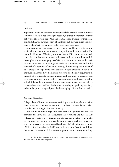### *Antitrust*

Stigler (1982) argued that economists greeted the 1890 Sherman Antitrust Act with coolness if not downright hostility, but that support for antitrust policy steadily grew in the 1950s and 1960s. Today, I would say that economists still have a favorable view of antitrust, but they are much less supportive of an "activist" antitrust policy than they once were.

Antitrust policy has evolved by incorporating and benefiting from professional understanding of market competition and firm behavior. For example, Peltzman (2005) synthesized Aaron Director's (mainly oral) scholarly contributions that have influenced antitrust authorities to shift the emphasis from monopoly to efficiency as the primary motive for business practices like tie-in selling and resale price maintenance and to be skeptical of allegations of predatory pricing, thus reducing the number of cases brought in response to these actual or alleged practices. In addition, antitrust authorities have been more receptive to efficiency arguments in support of (particularly vertical) mergers and less likely to establish and enforce an arbitrary limit to industry concentration.<sup>1</sup> As I have argued, it is doubtful that the antitrust authorities have brought many cases that have enhanced consumer welfare. At the same time, they are probably less likely today to be prosecuting and possibly discouraging efficient firm behavior.

### *Economic Regulation*

Policymakers' efforts to reform certain existing economic regulations, withdraw others, and refrain from instituting significant new regulations reflect considerable learning in this area of policy.

Agricultural and trade regulation have seen some positive reforms. For example, the 1996 Federal Agriculture Improvement and Reform Act reduced price supports for peanuts and allowed quota rights for domestic consumption to become transferable within a state, enabling lower-cost farms to displace higher-cost farms (Friedman 1999). In addition, Gardner (2002) pointed out that the 2002 farm bill—the Farm Security and Rural Investment Act—reduced distortions to production decisions by making

<sup>1.</sup> In 1969 the Neal Commission recommended that the four-firm concentration ratio in most industries should be limited to 70 percent.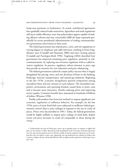lump-sum payments to landowners. As noted, multilateral agreements have gradually reduced trade restrictions. Agriculture and trade regulations still incur sizable efficiency costs, but policymakers appear capable of making efficient reforms and may conceivably fulfill the hope expressed periodically by recent presidential administrations of ending counterproductive government intervention in these areas.

The federal government has relaxed price, entry, and exit regulations to varying degrees in telephony and cable television, resulting in lower longdistance rates (Crandall and Hausman 2000) and more viewing options (Crandall and Furchtgott-Roth 1996). Vogelsang (2002) described how government has improved remaining price regulation, primarily in telecommunications, by replacing rate-of-return regulation with so-called incentive regulation. In practice, regulatory reform amounts to price caps that provide an incentive for cost reductions and price rebalancing.

The federal government achieved a major policy success when it largely deregulated the pricing, entry, and exit decisions of firms in the banking, brokerage, intercity transportation, and natural gas industries. Beginning in the late 1970s, economic deregulation spurred competition among incumbent firms and new entrants in each industry. The intensified competitive environment and operating freedom caused firms to lower costs and to become more innovative, thereby reducing prices and improving service quality. Consumer benefits have amounted to hundreds of billions of dollars (Winston 1998).

Finally, policymakers have been less inclined to impose significant new economic regulations to influence behavior. For example, by the late 1970s, prices of most fossil fuels were subjected to inefficient federal government control (that is, price ceilings) in response to the rise in crude oil prices. (Prices were decontrolled in 1981.) Today, the federal government would be highly unlikely to impose price ceilings on fossil fuels, despite recent real price increases in crude oil comparable to those during the 1970s.2

<sup>2.</sup> Unfortunately, the state of Hawaii put a price cap on gasoline prices in response to higher fuel prices in the summer of 2005. Research by Jack Suyderhoud of the University of Hawaii found that since the caps started, gasoline prices in Hawaii actually increased compared with prices on the mainland that were not subject to price caps. Apparently, the caps facilitated tacit collusion by dealers who set prices as high as the gas cap formula allowed. After an eight-month experiment, Hawaii gave up on price caps.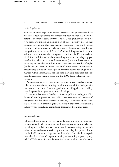#### *Social Regulations*

The cost of social regulations remains excessive, but policymakers have reformed a few regulations and introduced new policies that have the potential to enhance social welfare. The FTC has gradually adopted the view that advertising is an essential part of the competitive process that provides information that may benefit consumers. Thus the FTC has recently—and appropriately—taken a relatively lax approach to information policy in this area. In 1997 the FDA allowed drug companies to provide direct-to-consumer advertising on electronic media. Consumers benefited from the information about new drug treatments, but they engaged in offsetting behavior by using the treatments (such as tobacco cessation products) so that they could maintain somewhat less-healthy lifestyles (Iizuka and Jin 2005). As noted, the FDA's introduction of user fees to expedite drug evaluations has helped improve the flow of new drugs on the market. Other information policies that may have produced benefits include hazardous warning labels and the EPA's Toxic Release Inventory Program.

Policymakers have also been more receptive to using market-oriented policies such as emissions trading to address externalities. Such policies have lowered the costs of reducing pollution and if applied more widely have the potential to generate substantial savings.

I have identified several drawbacks of patent policy, including the 1982 Federal Courts Improvement Act, which may have increased the costs of the system. But beneficial reforms are possible, as evidenced by the 1984 Hatch-Waxman Act that changed patent terms in the pharmaceutical drug industry while stimulating competition that reduced consumer prices.

#### *Public Production*

Public production tries to correct market failures primarily by disbursing revenue rather than by attempting to influence consumer or firm behavior. By failing to set efficient prices that reflect the costs of using the nation's infrastructure and certain services, government policy has produced substantial inefficiencies and large deficits. Recently, a few cities have experimented with a variant of congestion pricing by instituting high-occupancy toll (HOT) lanes, which enable motorists to pay a toll to use a less con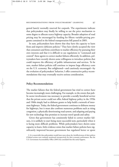gested lane(s) normally reserved for carpools. The experiments indicate that policymakers may finally be willing to use the price mechanism to some degree to allocate scarce highway capacity. Broader adoption of road pricing may be encouraged by funding for fifteen variable-pricing programs contained in the federal transportation bill passed in 2005.

In sum, policymakers have shown that they have the capacity to learn from and improve deficient policies.<sup>3</sup> They have slowly accepted the view that consumers and firms contribute to market efficiency by pursuing their own interests and that it is difficult to use regulations to "command and control" these agents to correct market failures efficiently. In addition, policymakers have recently shown some willingness to introduce policies that could improve the efficiency of public infrastructure and services. To be sure, market failure policies still continue to impose large efficiency costs on the U.S. economy. But enlightened—and cautiously encouraged—by the evolution of policymakers' behavior, I offer constructive policy recommendations that may eventually receive serious consideration.

#### **Policy Recommendations**

The market failures that the federal government has tried to correct have become increasingly more challenging. For example, to the extent that public sector involvement was necessary to provide a socially beneficial service that the private sector could not offer, federal highway policy in the 1950s and 1960s simply had to disburse grants to help build a network of interstate highways. Today, the federal government continues to disburse money for highways, but it must also confront numerous problems such as rising congestion, a physically deteriorating road system, and adapting and paying for new technology that promises to increase travel speeds and safety.

Given that government has consistently failed to correct market failures, it is unlikely to start being more successful now, particularly when it is facing more difficult problems. While policymakers have shown some capacity to learn, little evidence exists that market failure policies have significantly improved because government has regulated better or spent

<sup>3.</sup> It is conceivable that policymakers would learn more about the (in)effectiveness of their policies if federal actions were routinely monitored retrospectively for their economic performance. But the U.S. Government Accountability Office (2005) has concluded that this rarely happens.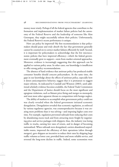money more wisely. Perhaps if all the federal agencies that contribute to the formation and implementation of market failure policies had the autonomy of the Federal Reserve and the leadership of someone like Alan Greenspan, they might successfully reform their policies. Unfortunately, the Federal Reserve's recent performance is unique.

How can policy be improved? My first recommendation is that policymakers should pause and truly absorb the fact that government generally cannot be counted on to correct market failures efficiently by itself. Second, it is important for policymakers to acknowledge that the few microeconomic policies that have improved efficiency—which the federal government eventually grew to support—stem from market-oriented approaches. Moreover, evidence is increasingly suggesting that this approach can be applied to various policy areas. In other cases, our knowledge is insufficient to offer strong policy recommendations.

The absence of hard evidence that antitrust policy has produced sizable consumer benefits should concern policymakers. At the same time, the gaps in our knowledge about the effects of antitrust policy, especially how it deters anticompetitive behavior, suggest that it is premature to suggest major reforms. As indicated by Crandall and Winston (2003), until additional scholarly evidence becomes available, the Federal Trade Commission and the Department of Justice should focus on the most significant and egregious violations, such as blatant price fixing and merger-to-monopoly, and treat most other apparent threats to competition with benign neglect.

The ability of markets to accomplish what government policy could not was clearly revealed when the federal government initiated economic deregulation. Deregulation revealed that economic regulation, as enforced by various regulatory agencies, was counterproductive because it was creating more problems than it was solving—and imposing higher costs over time. For example, regulation prevented railroads from reducing their costs by abandoning excess track and from attracting more freight by negotiating price and service packages with shippers; thus, the industry was losing traffic to trucks, earning low rates of return, and in danger of becoming nationalized. When railroads were deregulated, carriers abandoned unprofitable routes, improved the efficiency of their operations (often through mergers), gave shippers an incentive to reduce their rates by shipping large traffic volumes at lower cost, provided faster and more reliable service, and reversed the long-term decline in traffic. Indeed, some economists were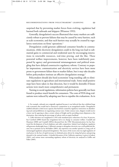surprised that by preventing market forces from evolving, regulation had harmed both railroads *and* shippers (Winston 1993).

Generally, deregulation's success illustrated that many markets are sufficiently robust to prevent failures that may be caused by entry barriers, such as scale economies, and that such barriers may actually be created by regulatory restrictions on firms' operations.<sup>4</sup>

Deregulation could generate additional consumer benefits in communications, while electricity deregulation could in the long run lead to substantial gains to commercial and residential users by encouraging innovations in renewable resources, real-time pricing, and the like. These potential welfare improvements, however, have been indefinitely postponed by agency and governmental mismanagement and political wrangling that have delayed constructive regulatory reform. Contrary to popular impressions, communication and electricity services have been more prone to government failure than to market failure, but it may take decades before policymakers institute an effective deregulation strategy.<sup>5</sup>

Policymakers should also heed economists' long-standing calls to eliminate regulations in agriculture and international trade. Some small positive steps have been taken in that direction, but it would be desirable if future actions were much more comprehensive and permanent.

Turning to social regulations, information policies have generally not been found to produce much benefit for consumers. The costs of FDA drug evaluations were reduced by adopting user fees to expedite the evaluations. As in

4. For example, railroads were originally regulated because it was believed that they exhibited large scale economies that would lead to destructive competition in an unregulated market. Deregulation enabled railroads to shed excess capacity that had been created by regulatory restrictions on abandoning track and prohibitions on negotiating contract rates. Under contract rates, shippers would receive a lower rate by agreeing to ship a certain volume of freight and by providing return shipments at the destination, thus reducing the percentage of railcars with an empty backhaul.

5. Cable television was reregulated in 1992 with mandated price reductions of at least 10 percent, but Crawford (2000) found that reregulation led to no change in consumer welfare. Crandall and Hausman (2000) and Crandall (2005a) discussed how the 1996 Telecommunications Act has frustrated the development of local telephone and cable competition. Indeed, local telephony regulation still generates deadweight losses. California's attempt to deregulate electricity was a well-publicized disaster, but as pointed out by McFadden (2001), the experience was another episode in a long cycle of mismanaged regulation and partial deregulation. The source of the recent crisis was rigid regulation of retail prices in the face of rapid increases in wholesale prices driven by rising fuel prices and growing demand in the national market. A detailed discussion of the California experience is given in Joskow (2001), and various issues surrounding regulatory reform of electricity are analyzed in Griffin and Puller (2005).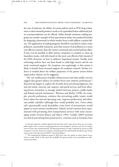the case of antitrust, the ability of certain policies such as FDA drug evaluations to deter harmful products needs to be quantified before additional policy recommendations can be offered. Sulfur dioxide emissions trading programs are another example of how government policy has produced benefits by designing a framework in which market forces could address a market failure. The application of trading programs should be extended to reduce water pollution, automobile emissions, and other sources of air pollution in a more cost-effective manner than the current command-and-control policies allow. It may even be possible to allow private companies to compete to clean up hazardous wastes, with jobs based on the most cost-effective bids instead of the EPA's decisions on how to disburse Superfund monies. Finally, most technology policies have not been found to yield high returns and do not merit continued support. An exception, not surprisingly, is that society is likely to benefit from increased support for academic research. Further evidence is needed about the welfare properties of the patent system before major policy reforms can be suggested.

The vast inefficiencies of public infrastructure and other public services suggest that greater reliance on market forces may improve performance.<sup>6</sup> Research has begun to explore the benefits from privatizing highways, bus and rail transit, intercity rail, airports, and postal services and from allowing private enterprises to manage inland waterway projects, public lands, and federal research institutions.7 Winston and Shirley (1998), for example, provide preliminary evidence that privatizing public transit would lower urban bus and rail operating costs, improve productivity, and eliminate public subsidies (although fares would probably rise). Given urban rail's questionable social desirability, some form of privatization would appear to merit serious consideration. Indeed, several countries have experimented with privatizing their transportation services with some encouraging results (Gomez-Ibanez and Meyer 1993). Geddes (2005) pointed out that by privatizing their postal service, countries such as Germany have

<sup>6.</sup> Auctions represent a market approach that has been used to give private firms access to quasipublic goods such as airwaves emanating from the electromagnetic spectrum and the oil and gas reserves of the outer continental shelf. The federal government recently conducted an auction to allow companies to use the airwaves for wireless communications but unfortunately decided to give broadcasters a part of the spectrum for HDTV instead of selling it.

<sup>7.</sup> The transportation legislation passed in 2005 gives states the option to attract private investments in roads, which at least opens the possibility for greater private sector participation in infrastructure provision.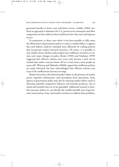generated benefits in lower costs and better service. Geddes (2003) outlined an approach to eliminate the U.S. postal service monopoly and allow competition in letter delivery that would lower first-class rates and improve service.

To summarize, in those cases where it has been possible to fully assess the effectiveness of government policy to correct a market failure, it appears that such failures could be remedied more efficiently by crafting policies that incorporate market-oriented incentives. Of course, it is possible to raise doubts about whether policymakers have sufficient incentives to initiate such major changes in policy. Becker (1983) and Friedman (1999) suggested that efficient reforms may occur only because a deal can be reached that makes everyone better off (or at least leaves some people no worse off). Winston and Maheshri (2006b) argued that inefficient policies are rarely reformed, but they acknowledged that efficient reforms may occur if the inefficiencies become too large.

Market forces have also limited market failure in the presence of market power, imperfect information, and externalities from innovation. Some aspects of government policy may also be reducing market failure (such as deterring unlawful competitive behavior and harmful products), but as noted such benefits have yet to be quantified. Additional research is therefore necessary before we can identify the socially desirable mix of government intervention, if any, and market incentives to address these problems.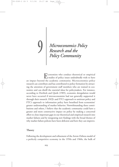# **9** *Microeconomics Policy Research and the Policy Community*

E conomists who conduct theoretical or empirical<br>studies of policy issues undoubtedly wish to have an impact beyond the academic community. Microeconomics policy research can contribute and has contributed to policy formation by attracting the attention of government staff members who are trained in economics and can distill the essential ideas for policymakers. For instance, according to Derthick and Quirk (1985), economic deregulation would never have occurred if microeconomists had not generally supported it through their research. DOJ's and FTC's approach to antitrust policy and FTC's approach to information policy have benefited from economists' greater understanding of market behavior. Notwithstanding these contributions and others, I believe that the academic community could have a greater and more constructive impact on policy by making a concerted effort to close important gaps in our theoretical and empirical research into market failures and by integrating new findings with the broad themes of why market failure policies have been deficient and how they can improve.

### **Theory**

Following the development and refinement of the Arrow-Debreu model of a perfectly competitive economy in the 1950s and 1960s, the bulk of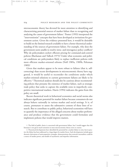microeconomic theory has devoted far more attention to identifying and characterizing potential sources of market failure than to recognizing and analyzing the causes of government failure.<sup>1</sup> Posner (1993) interpreted the "interventionist" concepts that have been developed as invitations for government action. Given the evidence presented here, it would be desirable to build on the limited research available to have a better theoretical understanding of the sources of government failure. For example, why does the government seem unable to resolve intra- and interagency policy conflicts? Why do policymakers eschew efficient pricing for command-and-control policies (Buchanan and Tullock 1975)? Under what economic and political conditions are policymakers likely to replace inefficient policies with more efficient market-oriented reforms (Noll 1989a, 1989b; Peltzman 1989)?

Given that markets appear to be more robust to failures (that is, selfcorrecting) than recent developments in microeconomic theory have suggested, it would be useful to reconsider the conditions under which market-oriented solutions to current government failures are likely to be effective.2 Theoretical analyses should also be cautious about recommending policies that presume the existence of market failure, such as strategic trade policy that seeks to capture the available rents in imperfectly competitive international markets. Harris (1994) indicates the gains from this policy are small.

Recent theoretical work in behavioral economics and social norms also indicates significant potential for market failure because consumers do not always behave rationally in various market and social settings. It is, of course, premature to assess the substantive content of these lines of research. But to contribute to public policy, behavioral economists will have to quantify the importance of the alleged concerns about market performance and produce evidence that the government could formulate and implement policies that would improve matters.

<sup>1.</sup> The field of public choice is concerned with government failure, but I would suggest that this literature is not given much attention in most microeconomic theory texts or courses.

<sup>2.</sup> Theoretical developments have identified the potential for a market failure to exist, but in practice the failure has been addressed to a large degree by market forces. Such developments include game theoretic derivations of anticompetitive strategies, demonstrations that network externalities could be a source of market power, and models of asymmetric and imperfect information.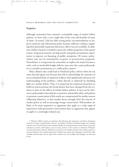#### **Empirics**

Although economists have assessed a remarkable range of market failure policies, we have only a very rough idea of the costs and benefits of some of them. As noted, I did not offer strong policy recommendations to improve antitrust and information policy because sufficient evidence regarding their potentially important deterrence effects was not available. In addition, further research is needed to assess the welfare properties of the patent system. Empirical research can help justify and guide privatization experiments to improve on financing of public enterprises. Of course, policymakers may not be immediately receptive to privatization proposals. Nonetheless, it is important for researchers to explore the matter because a crisis, such as intolerable budget deficits, may arise that causes policymakers to consider privatization as a viable policy option.<sup>3</sup>

Policy debates that could lead to beneficial policy reform often do not move beyond square one because they fail to acknowledge the existence of an accumulated body of empirical evidence that significantly advances our understanding of the problem—either directly or indirectly by shedding light on a similar debate. Thus, it is important for empirical researchers to build on and accentuate the broad themes that have emerged from the evidence to date on the effects of market failure policies. It may not be obvious to policymakers that policies to promote automobile safety and policies to promote conservation of fish stocks are compromised for similar reasons (offsetting behavior), or that market forces strongly limit the exercise of market power as well as encourage energy conservation. Policymakers are likely to be more responsive to arguments that apply to a wide range of experiences with government intervention than to arguments that appear to apply to a seemingly isolated case.

3. Feldstein (2005) recounts an experience that illustrates the importance of scholars developing research in advance of policymakers' interest. According to Feldstein, President Reagan was unhappy with the state of Social Security and wondered whether an investment-based system based on personal retirement accounts could replace a pay-as-you-go system. In his capacity as chairman of Reagan's Council of Economic Advisors, Feldstein was not aware of a feasible transition that would not place an excessive burden on the transition generation. Feldstein now argues that subsequent research does offer a feasible transition plan, but he regrets that a solution was not available when Reagan was interested in one.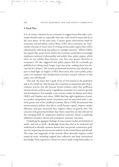### **A Final Plea**

It is, of course, common for an economist to suggest issues that other economists should work on, especially when the work involves issues that he or she cares about. At the same time, I cannot ignore observations made by economics journal editors such as Borts (1981) that economists are "notoriously reluctant to invest time in writing serious policy papers that will be submitted for refereeing and subject to outright rejection." Ellison (2002) has argued that social norms within the economics profession increasingly emphasize technical craftsmanship and polish; thus, policy papers, which often do not exhibit these features, may face even greater obstacles to acceptance. He also suggested that policy papers that do eventually get published are taking much longer to get into print, making them less relevant for live debates. The current professional incentives and obstacles appear to shed light on Stigler's (1982) observation that active public policy carries no assurance that fundamental economic research relevant to that policy area will flourish.

That said, the issues that I speak of are of vital interest to the profession and to the world not only because they constitute an important part of government activity, but also because broad evidence exists that inefficient microeconomic policies can be a significant constraint on a country's growth and development. For example, cross-country studies by Alesina and others (2003) and Djankov and others (2000) find that tight regulations of product market competition stymie investment and are associated with a relatively greater size of the unofficial economy. Barro (1998) documented that microeconomic policies that fail to enrich human capital, improve market efficiency, and spur innovation have negative effects on growth rates. The concerns with government failure that I have raised here are also relevant for the emerging field of comparative political economy, which is exploring influences on policy choices and consequent economic outcomes.

Underlying the aggregate findings of cross-country studies are hundreds of small—and not so small—deadweight losses that need to be measured and understood to identify common themes that can provide constructive guidance for improving microeconomic policies in the United States and abroad. The scope and magnitude of this research effort obviously requires careful empirical work, including original data collection and deep institutional knowledge. From experience, I know it is easy to study competition policy in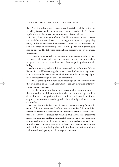the U.S. airline industry, where data are readily available and the institutions are widely known, but it is another matter to understand the details of water regulations and obtain accurate measurements of contaminates.

In short, the economics profession should encourage a broader range as well as different styles of research by giving more respect to high-quality policy studies on specific and perhaps small issues that accumulate in importance. Financial incentives provided by the policy community would also be helpful. The following proposals are suggestive but by no means exhaustive:

—Teaching-oriented colleges that require some degree of scholarly engagement could offer a policy-oriented path to tenure in economics, where recognized expertise in economic analysis of certain policy problems would be key.

—Government agencies and foundations such as the National Science Foundation could be encouraged to expand their funding for policy-related work. For example, the Robert Wood Johnson Foundation has helped promote the research programs of health economists.

—Ph.D.-granting institutions could encourage one of the three essays that often make up a doctoral dissertation to contain institution-intensive, policy-relevant material.

—Finally, the American Economic Association has recently announced that it intends to publish new field journals. Hopefully, some space will be devoted to well-done policy articles, even if they lack new theoretical or empirical innovations. Accordingly, other journals might follow the association's lead.

For now, I conclude that scholarly research has consistently found substantial failure in government's efforts to correct market failures and that neither failure is often corrected in an appropriate manner. But the situation is not insolvable because policymakers have shown some capacity to learn. The common problem with market failure policies has suggested a common solution calling for policies that rely on a market-oriented framework. I sincerely hope the economics profession and the policy community will build on the scholarship that underlies these conclusions with the ambitious aim of opening the door to greater wisdom.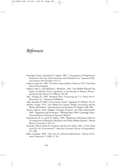## *References*

- Acemoglu, Daron, and Joshua D. Angrist. 2001. "Consequences of Employment Protection? The Case of the Americans with Disabilities Act." *Journal of Political Economy* 109 (October): 915–57.
- Acheson, James M. 1988. *The Lobster Gangs of Maine.* Hanover, N.H.: University Press of New England.
- Addison, John T., and McKinley L. Blackburn. 1994. "Has WARN Warned? The Impact of Advance-Notice Legislation on the Receipt of Advance Notice." *Journal of Labor Research* 15 (Winter): 83–90.
- Adie, Douglas K. 1989. *Monopoly Mail: Privatizing the U.S. Postal Service.* Brunswick, N.J.: Transaction Publishers.
- Adler, Jonathan H. 2005. "Conservation Cartels." *Regulation* 27 (Winter): 38–45.
- Akerlof, George. 1970. "The Market for Lemons: Quality Uncertainty and the Market Mechanism." *Quarterly Journal of Economics* 85 (August): 488–500.
- Alesina, Alberto, Silvia Ardagna, Giuseppe Nicoletti, and Fabio Schiantarelli. 2003. "Regulation and Investment." Working Paper 9560. Cambridge, Mass.: National Bureau of Economic Research (March).
- Androkovich, R. A., and K. R. Stollery. 1989. "Regulation of Stochastic Fisheries: A Comparison of Alternative Methods in the Pacific Halibut Industry." *Marine Resource Economics* 6: 109–22.
- Antweiler, Werner, Brian R. Copeland, and M. Scott Taylor. 2001. "Is Free Trade Good for the Environment?" *American Economic Review* 91(September): 877–908.
- Baker, Jonathan. 2003. "The Case for Antitrust Enforcement." *Journal of Economic Perspectives* 17 (Fall): 27–50.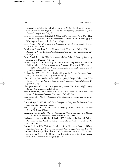- Bandyopadhyay, Sushenjit, and John Horowitz. 2006. "Do Plants Overcomply with Water Pollution Regulations? The Role of Discharge Variability." *Topics in Economic Analysis and Policy* 6.
- Banzhaf, H. Spencer, and Randall P. Walsh. 2005. "Do People Vote With Their Feet?: An Empirical Test of Environmental Gentrification." Working paper. Washington: Resources for the Future (July).
- Barro, Robert. 1998. *Determinants of Economic Growth: A Cross-Country Empirical Study.* MIT Press.
- Bartel, Ann P., and Lacy Glenn Thomas. 1985. "Direct and Indirect Effects of Regulation: A New Look at OSHA's Impact." *Journal of Law and Economics* 28 (April): 1–25.
- Bator, Francis M. 1958. "The Anatomy of Market Failure." *Quarterly Journal of Economics* 72 (August): 351–79.
- Becker, Gary S. 1983. "A Theory of Competition among Pressure Groups for Political Influence." *Quarterly Journal of Economics* 98 (August): 371–400.
	- ———. 1985. "Public Policies, Pressure Groups, and Deadweight Costs." *Journal of Public Economics* 28: 329–47.
- Benham, Lee. 1972. "The Effect of Advertising on the Price of Eyeglasses." *Journal of Law and Economics* 15 (October): 337–52.
- Block, Michael Kent, Frederick Carl Nold, and Joseph Gregory Sidak. 1981. "The Deterrent Effect of Antitrust Enforcement." *Journal of Political Economy* 89 (June): 429–45.
- Blomquist, Glen C. 1988. *The Regulation of Motor Vehicle and Traffic Safety.* Boston: Kluwer Academic Publishers.
- Boal, William M., and Michael R. Ransom. 1997. "Monopsony in the Labor Market." *Journal of Economic Literature* 35 (March): 86–112.
- Booth, Alison L. 1995. *The Economics of the Trade Union.* Cambridge University Press.
- Borjas, George J. 1999. *Heaven's Door: Immigration Policy and the American Economy*. Princeton University Press.
- Borts, George. 1981. "Report of the Managing Editor." *American Economic Review* 71 (May): 452–64.
- Brueckner, Jan K. 2002. "Airport Congestion When Carriers Have Market Power." *American Economic Review* 92 (December): 1357–75.
- Buchanan, James, and Gordon Tullock. 1975. "Polluters' Profits and Political Responses: Direct Controls Versus Taxes." *American Economic Review* 65 (March): 139–47.
- Burton, David A. 1996. "Software Developers Want Changes in Patent and Copyright Law." *Michigan Telecommunications and Technology Law Review* 2: 87-91.
- Burtraw, Dallas, Ranjit Bharvirkar, and Meghan McGuiness. 2003. "Uncertainty and the Net Benefits of NO<sub>x</sub> Emissions Reductions from Electricity Generation." *Land Economics* 79 (August): 382–401.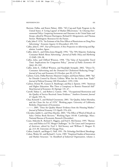- Burtraw, Dallas, and Karen Palmer. 2004. "SO<sub>2</sub> Cap-and-Trade Program in the United States: A 'Living Legend' of Market Effectiveness." In *Choosing Environmental Policy*: *Comparing Instruments and Outcomes in the United States and Europe*, edited by Winston Harrington, Richard D. Morgenstern, and Thomas Sterner. Washington: Resources for the Future.
- Cady, John F. 1976. "An Estimate of the Price Effects of Restrictions on Drug Price Advertising." *Economic Inquiry* 14 (December): 493–510.
- Calfee, John E. 1997. *Fear of Persuasion*: *A New Perspective on Advertising and Regulation.* London: Agora.
- Calfee, John E., and Debra Jones Ringold. 1994. "The 70% Majority: Enduring Consumer Beliefs About Advertising." *Journal of Public Policy and Marketing* 13 (Fall): 228–38.
- Calfee, John, and Clifford Winston. 1998. "The Value of Automobile Travel Time: Implications for Congestion Policy." *Journal of Public Economics* 69 (July): 83–102.
- Calfee, John E., Clifford Winston, and Randolph Stempski. 2002. "Direct-To-Consumer Advertising and the Demand for Cholesterol Reducing Drugs." *Journal of Law and Economics* 45 (October, part II): 673–90.
- Carlson, Curtis, Dallas Burtraw, Maureen Cropper, and Karen Palmer. 2000. "Sulfur Dioxide Control by Electric Utilities: What Are the Gains from Trade?" *Journal of Political Economy* 108 (December): 1293–1326.
- Carlton, Dennis W., Gustavo E. Bamberger, and Roy J. Epstein. 1995. "Antitrust and Higher Education: Was There a Conspiracy to Restrict Financial Aid?" *Rand Journal of Economics* 26 (Spring): 131–47.
- Carroll, Sidney L., and Robert J. Gaston. 1981. "Occupational Restrictions and the Quality of Service Received: Some Evidence." *Southern Economic Journal* 47 (April): 959–76.
- Chay, Kenneth Y., and Michael Greenstone. 2001. "Air Quality, Infant Mortality, and the Clean Air Act of 1970." Working paper. University of California, Berkeley, Department of Economics.
- ———. 2005. "Does Air Quality Matter? Evidence from the Housing Market." *Journal of Political Economy* 113 (April): 376–424.
- Chevalier, Judith A., and Dina Mayzlin. 2003. "The Effect of Word of Mouth on Sales: Online Book Reviews." Working Paper 10148. Cambridge, Mass.: National Bureau of Economic Research (December).
- Coate, Malcolm B., Richard S. Higgins, and Fred S. McChesney. 1995. "Bureaucracy and Politics in FTC Merger Challenges." In *The Causes and Consequences of Antitrust*, edited by Fred S. McChesney and William F. Shugart II, pp. 213–30. University of Chicago Press.
- Cohen, Linda R., and Roger G. Noll. 1991. *The Technology Pork Barrel*. Brookings.
- Cohen, Wesley M., and Richard C. Levin. 1989. "Empirical Studies of Innovation and Market Structure." In *Handbook of Industrial Organization*, volume 2,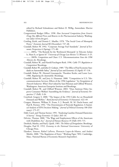edited by Richard Schmalensee and Robert D. Willig. Amsterdam: Elsevier Publishers.

- Congressional Budget Office. 1998. *How Increased Competition from Generic Drugs Has Affected Prices and Returns in the Pharmaceutical Industry.* Washington (July) (www.cbo.gov).
- Cowling, Keith, and Dennis C. Mueller. 1978. "The Social Costs of Monopoly Power." *Economic Journal* 88 (December): 727–48.
- Crandall, Robert W. 1992. "Corporate Average Fuel Standards." *Journal of Economic Perspectives* 6 (Spring): 171–80.
	- ———. 2005a. "The Remedy for the 'Bottleneck Monopoly' in Telecom: Isolate It, Share It, or Ignore It?" *University of Chicago Law Review* 72 (Winter): 3–25.
	- ———. 2005b. *Competition and Chaos*: *U.S. Telecommunications Since the 1996 Telecom Act.* Brookings.
- Crandall, Robert W., and Harold Furchtgott-Roth. 1996. *Cable TV*: *Regulation or Competition?* Brookings.
- Crandall, Robert W., and John D. Graham. 1989. "The Effect of Fuel Economy Standards on Automobile Safety." *Journal of Law and Economics* 32 (April): 97–118.
- Crandall, Robert W., Howard Gruenspecht, Theodore Keeler, and Lester Lave. 1986. *Regulating the Automobile.* Brookings.
- Crandall, Robert W., and Jerry A. Hausman. 2000. "Competition in U.S. Telecommunications Services: Effects of the 1996 Legislation." In *Deregulation of Network Industries*: *What's Next?* edited by Sam Peltzman and Clifford Winston. Washington: American Enterprise Institute and Brookings.
- Crandall, Robert W., and Clifford Winston. 2003. "Does Antitrust Policy Improve Consumer Welfare? Assembling the Evidence." *Journal of Economic Perspectives* 17 (Fall): 3-26.
- Crawford, Gregory S. 2000. "The Impact of the 1992 Cable Act on Household Demand and Welfare." *Rand Journal of Economics* 31(Autumn): 422–49.
- Cropper, Maureen, William N. Evans, S. J. Berardi, M. M. Ducla-Soares, and Paul R. Portney. 1992. "The Determinants of Pesticide Regulation: A Statistical Analysis of EPA Decision Making." *Journal of Political Economy* 100 (February): 175–97.
- Dahl, Carol, and Thomas Sterner. 1991. "Analyzing Gasoline Demand Elasticities: A Survey." *Energy Economics* 13 (July): 203–10.
- DeLeire, Thomas. 2000. "The Wage and Employment Effects of the Americans with Disabilities Act." *Journal of Human Resources* 35 (Fall): 693–715.
- Derthick, Martha, and Paul J. Quirk. 1985. *The Politics of Deregulation.* Brookings.
- Douglas, Paul H. 1952. *Economy in the National Government.* University of Chicago Press.
- Djankov, Simeon, Rafael LaPorta, Florencio Lopez-de-Silanes, and Andrei Shleifer. 2000. "The Regulation of Entry." Working Paper 7892. Cambridge, Mass.: National Bureau of Economic Research (September).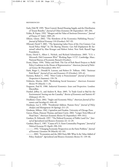- Early, Dirk W. 1999. "Rent Control, Rental Housing Supply, and the Distribution of Tenant Benefits." *Journal of Urban Economics* 48 (September): 185–204.
- Eckbo, B. Espen. 1992. "Mergers and the Value of Antitrust Deterrence." *Journal of Finance* 47 (July): 1005–29.
- Ellison, Glenn. 2002. "The Slowdown of the Economics Publishing Process." *Journal of Political Economy* 110 (October): 947–93.
- Ellwood, David T. 2001. "The Sputtering Labor Force of the 21st Century: Can Social Policy Help?" In *The Roaring Nineties*: *Can Full Employment Be Sustained?* edited by Alan Krueger and Robert Solow. New York: Russell Sage Foundation.
- Evans, David S., Albert L. Nichols, and Richard Schmalensee. 2005. "U.S. v. Microsoft: Did Consumers Win?" Working Paper 11727. Cambridge, Mass.: National Bureau of Economic Reseach (October).
- Evans, Diana. 1994. "Policy and Pork: The Use of Pork Barrel Projects to Build Policy Coalitions in the House of Representatives." *American Journal of Political Science* 38 (November): 894–917.
- Faith, Roger L., Donald R. Leavens, and Robert D. Tollison. 1982. "Antitrust Pork Barrel." *Journal of Law and Economics* 25 (October): 329–42.
- Feenstra, Robert C. 1992. "How Costly is Protectionism?" *Journal of Economic Perspectives* 6 (Summer): 159–78.
- Feldstein, Martin. 2005. "Rethinking Social Insurance." *American Economic Review* 95 (March): 1–24.
- Ferguson, Paul R. 1988. *Industrial Economics*: *Issues and Perspectives.* London: Macmillan.
- Frankel, Jeffrey A., and Andrew K. Rose. 2005. "Is Trade Good or Bad for the Environment? Sorting out the Causality." *Review of Economics and Statistics* 87 (February): 85–91.
- Friedland, Claire. 2002. "Stigler and Economic Policy." *American Journal of Economics and Sociology* 61: 644–49.
- Friedman, Lee S. 1999. "Presidential Address: Peanuts Envy." *Journal of Policy Analysis and Management* 18 (Spring): 211–25.
- Friedman, Milton. 1962. *Capitalism and Freedom.* University of Chicago Press.
- Garces, Eliana, Duncan Thomas, and Janet Currie. 2002. "Longer-Term Effects of Head Start." *American Economic Review* 92 (September): 999–1012.
- Gardner, B. Delworth. 1997. "The Political Economy of Public Land Use." *Journal of Agricultural and Resource Economics* 22: 12–29.
- Gardner, Bruce L. 1987. "Causes of U.S. Farm Commodity Programs." *Journal of Political Economy* 95 (April): 290–310.
	- ———. 1992. "Changing Economic Perspectives on the Farm Problem." *Journal of Economic Literature* 30 (March): 62–101.
		- ———. 2002. "Economists and the 2002 Farm Bill: What Is the Value-Added of Policy Analysis?" *Agricultural and Resource Economics Review* 31: 139–46.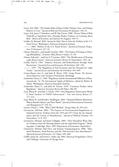- Gayer, Ted. 2004. "The Fatality Risks of Sport-Utility Vehicles, Vans, and Pickups Relative to Cars." *Journal of Risk and Uncertainty* 28 (January): 103–33.
- Gayer, Ted, James T. Hamilton, and W. Kip Viscusi. 2000. "Private Values of Risk Tradeoffs at Superfund Sites: Housing Market Evidence on Learning about Risk." *Review of Economics and Statistics* 82 (August): 439–51.
- Geddes, R. Richard. 2003. *Saving the Mail: How to Solve the Problems of the U.S. Postal Service*. Washington: American Enterprise Institute.
	- ———. 2005. "Reform of the U.S. Postal Service." *Journal of Economic Perspectives* 19 (Summer): 217–32.
- Glaeser, Edward L., and Joseph Gyourko. 2003. "The Impact of Zoning on Housing Affordability." *Economic Policy Review* 9 (June): 21–39.
- Glaeser, Edward L., and Erzo F. P. Luttmer. 2003. "The Misallocation of Housing under Rent Control." *American Economic Review* 93 (September): 1027–46.
- Godek, Paul E. 1985. "Industry Structure and Redistribution through Trade Restrictions." *Journal of Law and Economics* 28 (October): 687–703.
	- ———. 1997. "The Regulation of Fuel Economy and the Demand for 'Light Trucks.'" *Journal of Law and Economics* 40 (October): 495–509.
- Gomez-Ibanez, Jose A., and John R. Meyer. 1993. *Going Private: The International Experience with Transport Privatization.* Brookings.
- Grabowski, Henry G. 1980. "Regulation and the International Diffusion of Pharmaceuticals." In *The International Supply of Medicines*, edited by Robert B. Helms. Washington: American Enterprise Institute.
- Grabowski, Henry G., and John M. Vernon. 1978. "Consumer Product Safety Regulation." *American Economic Review* 68 (May): 284–89.
- Gray, Wayne B., and John T. Scholz. 1993. "Does Regulatory Enforcement Work? A Panel Analysis of OSHA Enforcement." *Law and Society Review* 27: 177–214.
- Gray, Wayne B., and Ronald J. Shadbegian. 2004. "Optimal Pollution Abatement: Whose Benefits Matter, and How Much?" *Journal of Environmental Economics and Management* 47: 510–34.
- Greene, David L. 1998. "Why CAFE Worked." *Energy Policy* 26: 595–613.
- Greenstone, Michael. 2002. "The Impacts of Environmental Regulations on Industrial Activity: Evidence from the 1970 and 1977 Clean Air Act Amendments and the Census of Manufactures." *Journal of Political Economy* 110 (December): 1175–219.
- Greenstone, Michael, and Justin Gallagher. 2005. "Does Hazardous Waste Matter? Evidence from the Housing Market and the Superfund Program." Working paper. Cambridge, Mass.: MIT Department of Economics (September).
- Greenstone, Michael, Paul Oyer, and Annette Vissing-Jorgensen. 2006. "Mandated Disclosure, Stock Returns, and the 1964 Securities Acts Amendments." *Quarterly Journal of Economics* 121 (May): 399–460.
- Griffin, James M., and Steven L. Puller, eds. 2005. *Electricity Deregulation*: *Choices and Challenges.* University of Chicago Press.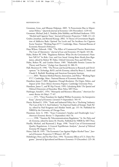- Grossman, Gene, and Elhanan Helpman. 2005. "A Protectionist Bias in Majoritarian Politics." *Quarterly Journal of Economics* 120 (November): 1239–82.
- Grossman, Michael, Jody L. Sindelar, John Mullahy, and Richard Anderson. 1993. "Alcohol and Cigarette Taxes." *Journal of Economic Perspectives* 7 (Fall): 211–22.
- Gruber, Jonathan, and Botond Koszegi. 2002. "A Theory of Government Regulation of Addictive Bads: Optimal Tax Levels and Tax Incidence for Cigarette Excise Taxation." Working Paper 8777. Cambridge, Mass.: National Bureau of Economic Research (February).
- Haas-Wilson, Deborah. 1986. "The Effect of Commercial Practice Restrictions: The Case of Optometry." *Journal of Law and Economics* 29 (April): 165–86.
- Hahn, Robert W. 1996. "Regulatory Reform: What Do the Government's Numbers Tell Us?" In *Risks, Costs, and Lives Saved: Getting Better Results from Regulation*, edited by Robert W. Hahn. Oxford University Press and AEI Press.
- Hahn, Robert W., and Gordon Hester. 1989. "Marketable Permits: Lessons for Theory and Practice." *Ecology Law Quarterly* 16: 380–91.
- Hall, Bronwyn H. 1996. "The Private and Social Returns to Research and Development." In *Technology, R&D, and the Economy*, edited by Bruce L. Smith and Claude E. Barfield. Brookings and American Enterprise Institute.
- ———. 2003. "Business Method Patents, Innovation, and Policy." Working Paper 9717. Cambridge, Mass.: National Bureau of Economic Research.
- Hamilton, James T. 2005. *Regulation Through Revelation*: *The Origin, Politics, and Impacts of the Toxics Release Inventory Program.* Cambridge University Press.
- Hamilton, James T., and W. Kip Viscusi. 1999. *Calculating Risks? The Spatial and Political Dimensions of Hazardous Waste Policy.* MIT Press.
- Harberger, Arnold C. 1954. "Monopoly and Resource Allocation." *American Economic Review* 44 (May): 77–87.
	- ———. 1971. "Three Postulates for Applied Welfare Economics: An Interpretive Essay." *Journal of Economic Literature* 9 (September): 785–97.
- Harris, Richard G. 1994. "Trade and Industrial Policy for a 'Declining' Industry: The Case of the U.S. Steel Industry." In *Empirical Studies of Strategic Trade Policy*, edited by Paul Krugman and Alasdair Smith, pp. 131–56. Published for NBER by the University of Chicago Press.
- Hausman, Jerry A. 1981. "Exact Consumer's Surplus and Deadweight Loss." *American Economic Review* 71 (September): 662–76.
- ———. 1998. "Taxation By Telecommunications Regulation." In *Tax Policy and the Economy*, edited by James M. Poterba. Published for NBER by MIT Press.
- Hazilla, Michael, and Raymond J. Kopp. 1990. "Social Cost of Environmental Quality Regulations: A General Equilibrium Analysis." *Journal of Political Economy* 98 (August): 853–73.
- Heien, Dale M. 1995. "The Economic Case Against Higher Alcohol Taxes." *Journal of Economic Perspectives* 9 (Winter): 207–09.
- Helmberger, Peter, and Yu-Hui Chen. 1994. "Economic Effects of U.S. Dairy Programs." *Journal of Agricultural and Resource Economics* 19 (December): 225–38.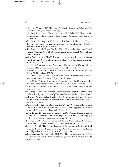- Henderson, J. Vernon. 1996. "Effects of Air Quality Regulation." *American Economic Review* 86 (September): 789–813.
- Hirsch, Barry T., Michael L. Wachter, and James W. Gillula. 1999. "Postal Service Compensation and the Comparability Standard." *Research in Labor Economics* 18: 243–79.
- Hoffer, George E., Stephen W. Pruitt, and Robert J. Reilly. 1992. "Market Response to Publicly Provided Information: The Case of Automobile Safety." *Applied Economics* 24 (July): 661–67.
- Iizuka, Toshiaki, and Ginger Zhe Jin. 2005. "Drug Advertising and Health Habits." Working Paper 11770, Cambridge, Mass.: National Bureau of Economic Research.
- Ippolito, Pauline M., and Alan D. Mathios. 1990. "Information, Advertising and Health Choices: A Study of the Cereal Market." *Rand Journal of Economics* 21 (Autumn): 459–80.

———. 1995. "Information and Advertising: The Case of Fat Consumption in the United States." *American Economic Review* 85 (May): 91–95.

- Jaffe, Adam B. 1989. "Real Effects of Academic Research." *American Economic Review* 79 (December): 957–70.
	- ———. 2000. "The U.S. Patent System in Transition: Policy Innovation and the Innovation Process." *Research Policy* 29 (April): 531–57.
- ———. 2002. "Building Programme Evaluation into the Design of Public Research-Support Programmes." *Oxford Review of Economic Policy* 18: 22–34.
- Jaffe, Adam B., and Joshua Lerner. 2004. *Innovation and Its Discontents.* Princeton University Press.
- Jarrell, Gregg A. 1981. "The Economic Effects of Federal Regulation of the Market for New Security Issues." *Journal of Law and Economics* 24 (December): 613–75.
- Jarrell, Gregg A., and Michael Bradley. 1980. "The Economic Effects of Federal and State Regulations of Cash Tender Offers." *Journal of Law and Economics* 23 (October): 371–407.
- Jin, Ginger, Andrew Kato, and John List. 2005. "That's News to Me! Information Revelation in Professional Certification Markets." Working paper. University of Maryland, Department of Economics (January).
- Johnson, Ronald N., and Gary D. Libecap. 2000. "Political Processes and the Common Pool Problem: The Federal Highway Trust Fund." Working paper. University of Arizona, Department of Economics (June).
- Joskow, Paul L. 2001. "California's Electricity Crisis." Working Paper 8442. Cambridge: Mass.: National Bureau of Economic Research (August).
- Kalt, Joseph P. 1988. "The Political Economy of Protectionism: Tariffs and Retaliation in the Timber Industry." In *Trade Policy Issues and Empirical Analysis*, edited by Robert Baldwin. University of Chicago Press.
- Kaplow, Louis, and Steven Shavell. 2001. "Any Non-welfarist Method of Policy Assessment Violates the Pareto Principle." *Journal of Political Economy* 109 (April): 281–86.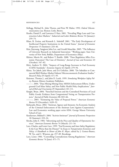- Kellogg, Michael K., John Thorne, and Peter W. Huber. 1992. *Federal Telecommunications Law.* Boston: Little, Brown.
- Kessler, Daniel P., and Lawrence F. Katz. 2001. "Prevailing Wage Laws and Construction Labor Markets." *Industrial and Labor Relations Review* 54 (January): 259–74.
- Khan, B. Zorina, and Kenneth L. Sokoloff. 2001. "The Early Development of Intellectual Property Institutions in the United States." *Journal of Economic Perspectives* 15 (Summer): 233–46.
- Kim, Jinyoung, Sangjoon John Lee, and Gerald Marschke. 2005. "The Influence of University Research on Industrial Innovation." Working paper. State University of New York, Buffalo, Department of Economics (May).
- Kleiner, Morris M., and Robert T. Kudrle. 2000. "Does Regulation Affect Economic Outcomes? The Case of Dentistry." *Journal of Law and Economics* 43 (October): 547–82.
- Kleit, Andrew N. 2004. "Impacts of Long-Range Increases in Fuel Economy (CAFE) Standards." *Economic Inquiry* 42 (April): 279–94.
- Klette, Tor Jakob, Jarle Moen, and Zvi Griliches. 2000. "Do Subsidies to Commercial R&D Reduce Market Failures? Microeconometric Evaluation Studies." *Research Policy* 29 (April): 471–95.
- Kniesner, Thomas J., and John D. Leeth. 1999. *Simulating Workplace Safety Policy.* Boston: Kluwer Academic Publishers.
- ———. 2004. "Data Mining Mining Data: MSHA Enforcement Efforts, Underground Coal Mine Safety, and New Public Health Policy Implications." *Journal of Risk and Uncertainty* 29 (September): 83–111.
- Knight, Brian. 2004. "Parochial Interests and the Centralized Provision of Local Public Goods: Evidence from Congressional Voting on Transportation Projects." *Journal of Public Economics* 88: 845–66.
	- ———. 2005. "Estimating the Value of Proposal Power." *American Economic Review* 95 (December): 1639–52.
- Kobayashi, Bruce. 2002. "Antitrust, Agency and Amnesty: An Economic Analysis of the Criminal Enforcement of the Antitrust Laws Against Corporations." Law and Economics working paper series 0204. George Mason University School of Law.
- Kouliavtsev, Mikhail S. 2004. "Activist Antitrust?" *Journal of Economic Perspectives* 18 (Summer): 223–24.
- Kwoka, John E. 1984. "Advertising and the Price and Quality of Optometric Services." *American Economic Review* 74 (March): 211–16.
- Lave, Charles, and Lester Lave. 1999. "Fuel Economy and Auto Safety Regulation: Is the Cure Worse than the Disease?" In *Essays in Transportation Economics and Policy: A Handbook in Honor of John R. Meyer*, edited by J. Gomez-Ibanez, W. Tye, and C. Winston, pp. 257–89. Brookings.
- Lave, Lester. 1984. "Controlling Contradictions Among Regulations." *American Economic Review* 74 (June): 471–75.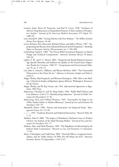- Lazarou, Jason, Bruce H. Pomeranz, and Paul N. Corey. 1998. "Incidence of Adverse Drug Reactions in Hospitalized Patients: A Meta-Analysis of Prospective Studies." *Journal of the American Medical Association* 279 (April 15): 1200–05.
- Leal, Donald R. 2006. "Saving Fisheries with Free Markets." *The Milken Institute Review* First Quarter: 56–66.
- Levin, Richard, Alvin Klevorick, Richard Nelson, and Sidney Winter. 1987. "Appropriating the Returns from Industrial Research and Development." *Brookings Papers on Economic Activity*: *Microeconomics* no. 1: 783–820.
- Lichtenberg, Frank R. 1988. "The Private R&D Investment Response to Federal Design and Technical Competitions." *American Economic Review* 78 (June): 550–59.
- Lipfert, F. W., and S. C. Morris. 2002. "Temporal and Spatial Relations between Age Specific Mortality and Ambient Air Quality in the United States: Regression Results for Counties, 1960–97." *Occupational and Environmental Medicine* 59, no. 3: 156–74.
- List, John A., Daniel L. Millimet, and Warren McHone. 2004. "The Unintended Disincentive in the Clean Air Act." *Advances in Economic Analysis and Policy* 4: article 2.
- Magat, Wesley, Alan Krupnick, and Winston Harrington. 1986. *Rules in the Making: A Statistical Analysis of Regulatory Agency Behavior.* Washington: Resources for the Future.
- Magat, Wesley, and W. Kip Viscusi, eds. 1992. *Informational Approaches to Regulation.* MIT Press.
- Mamuneas, Theofanis P., and M. Ishaq Nadiri. 1996. "Public R&D Policies and Cost Behavior of the U.S. Manufacturing Industries." *Journal of Public Economics* 63 (December): 57–81.
- Mannering, Fred, and Clifford Winston. 1995. "Automobile Air Bags in the 1990s: Market Failure or Market Efficiency?" *Journal of Law and Economics* 38 (October): 265–79.
- Mansfield, Edwin. 1986. "Patents and Innovation: An Empirical Study." *Management Science* 32: 173–81.
- ———. 1991. "Academic Research and Industrial Innovation." *Research Policy* 20: 1–12.
- Mathios, Alan D. 2000. "The Impact of Mandatory Disclosure Laws on Product Choices: An Analysis of the Salad Dressing Market." *Journal of Law and Economics* 43 (October): 651–77.
- Mathios, Alan, and Mark Plummer. 1989. "The Regulation of Advertising by the Federal Trade Commission." *Research in Law and Economics* 12 (Autumn): 77–93.
- Mayer, Christopher, and Todd Sinai. 2003. "Network Effects, Congestion Externalities, and Air Traffic Delays: Or Why Not All Delays Are Evil." *American Economic Review* 93 (September): 1194–1215.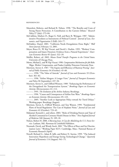- Mazzoleni, Roberto, and Richard R. Nelson. 1998. "The Benefits and Costs of Strong Patent Protection: A Contribution to the Current Debate." *Research Policy* 27 (July): 273–84.
- McCubbins, Mathew D., Roger G. Noll, and Barry R. Weingast. 1987. "Administrative Procedures as Instruments of Political Control." *Journal of Law, Economics, and Organization* 3 (Fall): 243–77.
- McFadden, Daniel. 2001. "California Needs Deregulation Done Right," *Wall Street Journal*, February 13, 2001.
- Meyer, Bruce D., W. Kip Viscusi, and David L. Durbin. 1995. "Workers' Compensation and Injury Duration: Evidence from a Natural Experiment." *American Economic Review* 85 (June): 322–39.
- Moffitt, Robert, ed. 2003. *Means-Tested Transfer Programs in the United States.* University of Chicago Press.
- Moore, Michael J., and W. Kip Viscusi. 1990. *Compensation Mechanisms for Job Risks: Wages, Workers' Compensation, and Product Liability.* Princeton University Press.
- Morrison, Steven A. 1987. "The Equity and Efficiency of Runway Pricing." *Journal of Public Economics* 34 (October): 45–60.
	- ———. 1990. "The Value of Amtrak." *Journal of Law and Economics* 33 (October): 361–82.
	- ———. 1996. "Airline Mergers: A Longer View." *Journal of Transport Economics and Policy* 30 (September): 237–50.
- Morrison, Steven A., and Clifford Winston. 1989. "Enhancing the Performance of the Deregulated Air Transportation System." *Brookings Papers on Economic Activity: Microeconomics*: 61–112.
	- ———. 1995. *The Evolution of the Airline Industry.* Brookings.
- ———. 1996. "Causes and Consequences of Airline Fare Wars." *Brookings Papers on Economic Activity: Microeconomics:* 85–123.
- ———. 2005. "Another Look at Appropriate Policy toward Air Travel Delays." Working paper. Brookings (August).
- Morrison, Steven A., Clifford Winston, and Tara Watson. 1999. "Fundamental Flaws of Social Regulation: The Case of Airplane Noise." *Journal of Law and Economics* 42 (October): 723–43.
- Mukamal, Kenneth J., and others. 2003. "Roles of Drinking Pattern and Type of Alcohol Consumed in Coronary Heath Disease in Men." *New England Journal of Medicine* 348 (January 9): 109–18.
- Nelson, Robert H. 2000. *A Burning Issue: A Case for Abolishing the U.S. Forest Service.* Lanham, Md.: Rowman & Littlefield Publishers.
- Neumark, David, and Wendy Stock. 2001 "The Effects of Race and Sex Discrimination Laws." Working Paper 8215. Cambridge, Mass.: National Bureau of Economic Research (April).
- Newell, Richard G., Adam B. Jaffe, and Robert N. Stavins. 1999. "The Induced Innovation Hypothesis and Energy-Saving Technological Change." *Quarterly Journal of Economics* 114 (August): 941–75.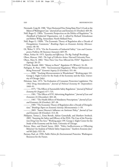- Newmark, Craig M. 1988. "Does Horizontal Price Fixing Raise Price? A Look at the Bakers of Washington Case." *Journal of Law and Economics* 31 (October): 469–84.
- Noll, Roger G. 1989a. "Economic Perspectives on the Politics of Regulation." In *Handbook of Industrial Organization*, vol. 2, edited by Richard Schmalensee and Robert Willig. Amsterdam: North-Holland Press.
- Noll, Roger G. 1989b. "The Economic Theory of Regulation after a Decade of Deregulation: Comments." *Brookings Papers on Economic Activity*: *Microeconomics:* 48–58.
- Oi, Walter Y. 1974. "On the Economics of Industrial Safety." *Law and Contemporary Problems* 38 (Summer-Autumn): 669–99.
- Okun, Arthur M. 1975. *Equality and Efficiency*: *The Big Tradeoff.* Brookings.
- Olson, Mancur. 1965. *The Logic of Collective Action.* Harvard University Press.
- Olson, Mary K. 2002. "How Have User Fees Affected the FDA?" *Regulation* 25 (Spring): 20–25.
- O'Toole, Randal. 2002. "Money to Burn?" *Regulation* 25 (Winter): 16–20.
- Pashigian, B. Peter. 1985. "Environmental Regulation: Whose Self-Interests are Being Protected?" *Economic Inquiry* 23 (October): 551–84.
- ———. 2000. "Teaching Microeconomics in Wonderland." Working paper 161. George J. Stigler Center for the Study of the Economy and the State, University of Chicago (July).
- Peltzman, Sam. 1973. "An Evaluation of Consumer Protection Legislation: The 1962 Drug Amendments." *Journal of Political Economy* 81 (September): 1049–91.
	- ———. 1975. "The Effects of Automobile Safety Regulation." *Journal of Political Economy* 83 (August): 677–725.
- ———. 1981. "The Effects of FTC Advertising Regulation." *Journal of Law and Economics* 24 (December): 403–48.
	- ———. 1987. "The Health Effects of Mandatory Prescriptions." *Journal of Law and Economics* 30 (October): 207–38.
	- ———. 1989. "The Economic Theory of Regulation after a Decade of Deregulation." *Brookings Papers on Economic Activity*: *Microeconomics:* 1–59.
	- ———. 2005. "Aaron Director's Influence on Antitrust Policy." *Journal of Law and Economics* 48 (October): 313–30.
- Philipson, Tomas J., Ernst Berndt, Adrian Gottschalk, and Matthew Strobeck. 2005. "Assessing the Safety and Efficacy of the FDA: The Case of the Prescription Drug User Fee Acts." Working paper 199. George J. Stigler Center for the Study of the Economy and the State, University of Chicago.
- Poitras, Marc, and Daniel Sutter. 2002. "Policy Ineffectiveness or Offsetting Behavior? An Analysis of Vehicle Safety Inspections." *Southern Economic Journal* 68 (July): 922–34.
- Portney, Paul, ed. 1990. *Public Policies for Environmental Protection*. Washington: Resources for the Future.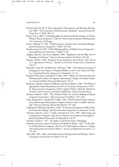- Portney, Paul, Ian W. H. Parry, Howard K. Gruenspecht, and Winston Harrington. 2003. "The Economics of Fuel Economy Standards." *Journal of Economic Perspectives* 17 (Fall): 203–17.
- Posner, Eric A. 2001. "Controlling Agencies with Cost-Benefit Analysis: A Positive Political Theory Perspective." John M. Olin Law & Economics Working Paper 119. University of Chicago.
- Posner, Richard A. 1993. "Nobel Laureate: Ronald Coase and Methodology." *Journal of Economic Perspectives* 7 (Fall): 195–210.
- Poterba, James M. 1993. "Global Warming Policy: A Public Finance Perspective." *Journal of Economic Perspectives* 7 (Fall): 47–63.
- Quigley, John M., and Steven Raphael. 2005. "Regulation and the High Cost of Housing in California." *American Economic Review* 95 (May): 323–28.
- Rausser, Gordon. 1992. "Predatory Versus Productive Government: The Case of U.S. Agricultural Policies." *Journal of Economic Perspectives* 6 (Summer): 133–57.
- Reynolds, Clark W., and Robert K. McCleery. 1988. "The Political Economy of Immigration Law: Impact of Simpson-Rodino on the Unites States and Mexico." *Journal of Economic Perspectives* 2 (Summer): 117–31.
- Ringold, Debra Jones, and John E. Calfee. 1990. "What Can We Learn from the Informational Content of Cigarette Advertising? A Reply and Further Analysis." *Journal of Public Policy and Marketing* 9: 30–41.
- Robinson, Sherman, Maureen Kilkenny, and Irma Adelman. 1989. "The Effect of Agricultural Trade Liberalization on the U.S. Economy: Projections to 1991." In *Macroeconomic Consequences of Farm Support Policies*, edited by Andrew B. Stoeckel, David Vincent, and Sandy Cuthbertson. Duke University Press.
- Romano, Roberta. 2005. "The Sarbanes-Oxley Act and the Making of Quack Corporate Governance." *Yale Law Journal* 114 (May): 1521–1611.
- Sauer, Raymond D., and Keith B. Leffler. 1990. "Did the Federal Trade Commission's Advertising Substantiation Program Promote More Credible Advertising?" *American Economic Review* 80 (March): 191–203.
- Schmalensee, Richard, and others. 1998. "An Interim Evaluation of Sulfur Dioxide Emissions Trading." *Journal of Economic Perspectives* 12 (Summer): 53–68.
- Schroeter, John R., Scott L. Smith, and Steven R. Cox. 1987. "Advertising and Competition in Routine Legal Service Markets: An Empirical Investigation." *Journal of Industrial Economics* 36 (September): 49–60.
- Schultze, Charles L. 1977. *The Public Use of Private Interest.* Brookings.
- Schuman, Lawrence, James D. Reitzes, and Robert P. Rogers. 1997. "In the Matter of Weyerhauser Company: The Use of a Hold-Separate Order in a Merger with Horizontal and Vertical Effects." *Journal of Regulatory Economics* 11: 271–89.
- Sider, Hal. 1983. "Safety and Productivity in Underground Coal Mining." *Review of Economics and Statistics* 65 (May): 225–33.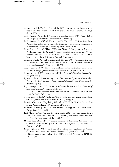122 REFERENCES

- Simon, Carol J. 1989. "The Effect of the 1933 Securities Act on Investor Information and the Performance of New Issues." *American Economic Review* 79 (June): 295–318.
- Small, Kenneth A., Clifford Winston, and Carol A. Evans. 1989. *Road Work: A New Highway Pricing and Investment Policy.* Brookings.
- Small, Kenneth A., Clifford Winston, and Jia Yan. 2006. "Differentiated Road Pricing, Express Lanes, and Carpools: Exploiting Heterogeneous Preferences in Policy Design." *Brookings Wharton Papers on Urban Affairs*.
- Smith, Robert S. 1992. "Have OSHA and Workers' Compensation Made the Workplace Safer?" In *Research Frontiers in Industrial Relations and Human Resources*, edited by David Lewin, Olivia S. Mitchell, and Peter D. Sherer. Ithaca, N.Y.: Industrial Relations Research Association.
- Smithson, Charles W., and Christopher R. Thomas. 1988. "Measuring the Cost to Consumers of Product Defects: The Value of Lemon Insurance." *Journal of Law and Economics* 31 (October): 485–502.
- Sobel, Russel S. 1999. "Theory and Evidence on the Political Economy of the Minimum Wage." *Journal of Political Economy* 107 (August): 761–85.
- Sproul, Michael F. 1993. "Antitrust and Prices." *Journal of Political Economy* 101 (August): 741–54.
- Squires, Dale, and James Kirkley. 1991. "Production Quota in Multiproduct Pacific Fisheries." *Journal of Environmental Economics and Management* 21 (September): 109–26.
- Stigler, George J. 1966. "The Economic Effects of the Antitrust Laws." *Journal of Law and Economics* 9 (October): 225–58.

———. 1982. "The Economists and the Problem of Monopoly." *American Economic Review* 72 (May): 1–11.

- Stiglitz, Joseph E. 1998. "The Private Uses of Public Interests: Incentives and Institutions." *Journal of Economic Perspectives* 12 (Spring): 3–22.
- Sunstein, Cass. 2001. "Regulating Risks after ATA." John M. Olin Law & Economics Working Paper 127. University of Chicago.
- Sutherland, Ronald J. 1991. "Market Barriers to Energy-Efficient Investments." *Energy Journal* 12: 15–34.
- Teisl, Mario F., Brian Roe, and Robert L. Hicks. 2002. "Can Eco-Labels Tune a Market? Evidence from Dolphin-Safe Labeling." *Journal of Environmental Economics and Management* 43 (May): 339–59.
- Thomas, Lacy Glenn. 1988. "Revealed Bureaucratic Preference: Priorities of the Consumer Product Safety Commission." *Rand Journal of Economics* 19 (Spring): 102–13.
- Trejo, Stephen J. 1991. "The Effects of Overtime Pay Regulation on Worker Compensation." *American Economic Review* 81 (September): 719–40.
- U.S. Government Accountability Office. 2005. *Economic Performance.* GAO-05- 796SP (July).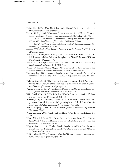- Varian, Hal. 1993. "What Use is Economic Theory?" University of Michigan, Department of Economics (May 4).
- Viscusi, W. Kip. 1985. "Consumer Behavior and the Safety Effects of Product Safety Regulation." *Journal of Law and Economics* 28 (October): 527–53.
	- ———. 1986. "The Impact of Occupational Safety and Health Regulation, 1973–1983." *Rand Journal of Economics* 17 (Winter): 567–80.
	- ———. 1993. "The Value of Risks to Life and Health." *Journal of Economic Literature* 31 (December): 1912–46.
	- ———. 2002. *Smoke-Filled Rooms: A Postmortem on the Tobacco Deal.* University of Chicago Press.
- Viscusi, W. Kip, and Joseph E. Aldy. 2003. "The Value of Statistical Life: A Critical Review of Market Estimates throughout the World." *Journal of Risk and Uncertainty* 27 (August): 5–76.
- Viscusi, W. Kip, Joseph E. Harrington, and John M. Vernon. 2005. *Economics of Regulation and Antitrust*, 4th ed. MIT Press.
- Viscusi, W. Kip, and Wesley Magat. 1987. *Learning About Risk: Consumer and Worker Responses to Hazard Information.* Harvard University Press.
- Vogelsang, Ingo. 2002. "Incentive Regulation and Competition in Public Utility Markets: A 20-Year Perspective." *Journal of Regulatory Economics* 22 (July): 5–27.
- Wallsten, Scott J. 2000. "The Effects of Government-Industry R&D Programs on Private R&D: The Case of the Small Business Innovation Research Program." *Rand Journal of Economics* 31 (Spring): 82–100.
- Wattles, George M. 1973. "The Rates and Costs of the United States Postal Service." *Journal of Law and Economics* 16 (April): 89–117.
- Weil, David. 1996. "If OSHA Is So Bad, Why Is Compliance So Good?" *Rand Journal of Economics* 27 (Autumn): 618–40.
- Weingast, Barry R., and Mark J. Moran. 1983. "Bureaucratic Discretion or Congressional Control? Regulatory Policymaking by the Federal Trade Commission." *Journal of Political Economy* 91 (October): 765–800.
- Werden, Gregory J. 2004. "Activist Antitrust?" *Journal of Economic Perspectives* 18 (Summer): 224–25.
- White, Lawrence. 2002. "Credit and Credibility," *New York Times*, February 24, 2002.
- White, Michelle J. 2004. "The 'Arms Race' on American Roads: The Effect of Sport Utility Vehicles and Pickup Trucks on Traffic Safety." *Journal of Law and Economics* 47 (October): 333–55.
- Wiggins, Steven N. 1981. "Product Quality Regulation and New Drug Introductions: Some New Evidence from the 1970s." *Review of Economics and Statistics* 63 (November): 615–19.
- Willig, Robert D. 1976. "Consumer's Surplus Without Apology." *American Economic Review* 66 (September): 589–97.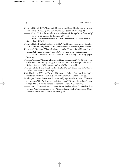- Winston, Clifford. 1993. "Economic Deregulation: Days of Reckoning for Microeconomists." *Journal of Economic Literature* 31 (September): 1263–89.
	- ———. 1998. "U.S. Industry Adjustment to Economic Deregulation." *Journal of Economic Perspectives* 12 (Summer): 89–110.

- Winston, Clifford, and Ashley Langer. 2006. "The Effect of Government Spending on Road Users' Congestion Costs." *Journal of Urban Economics*, forthcoming.
- Winston, Clifford, and Vikram Maheshri. 2006a. "On the Social Desirability of Urban Rail Transit Systems." *Journal of Urban Economics*, forthcoming.
- ———. 2006b. "Persistent Inefficiencies of Public Policy." Working paper. Brookings.
- Winston, Clifford, Vikram Maheshri, and Fred Mannering. 2006. "A Test of the Offset Hypothesis Using Disaggregate Data: The Case of Airbags and Antilock Brakes." *Journal of Risk and Uncertainty* 32 (March): 83–99.
- Winston, Clifford, and Chad Shirley. 1998. *Alternate Route: Toward Efficient Urban Transportation.* Brookings.
- Wolf, Charles, Jr. 1979. "A Theory of Nonmarket Failure: Framework for Implementation Analysis." *Journal of Law and Economics* 22 (April): 107–39.
- Zettelmeyer, Florian, Fiona Scott Morton, and Jorge Silva-Risso. 2001. "Cowboys or Cowards: Why Are Internet Car Prices Lower?" Working Paper 8667. Cambridge, Mass.: National Bureau of Economic Research (December).

———. 2005. "How the Internet Lowers Prices: Evidence from the Matched Survey and Auto Transactions Data." Working Paper 11515. Cambridge, Mass.: National Bureau of Economic Research (July).

<sup>———. 2000. &</sup>quot;Government Failure in Urban Transportation." *Fiscal Studies* 21 (December): 403-25.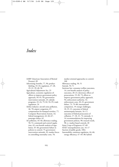## *Index*

AARP (American Association of Retired Persons), 89

Advertising: benefits, 77, 96; product labeling, 33–34; regulation, 27–28, 29–31, 39–40, 96

Agricultural Adjustment Act, 23

Agriculture, economic regulation of: efforts to improve government policy approach, 94–95, 99; government intervention rationale, 23; subsidy programs, 22–24, 79, 82, 94–95; trade regulation, 24

Airline industry: aircraft noise pollution, 46, 78; airport congestion, 67; compensation for bumped travelers, 77; Computer Reservations System, 32; federal management, 62, 66–67; passenger delays, 62

Air pollution, 44–46; allowance trading, 50, 51; command-and-control regulation, 42; cost-benefit analysis of regulation, 45–46; government failure in policies to control, 75; government intervention rationale, 42; market forces in controlling externality costs, 78;

market-oriented approaches to control, 100 Allowance trading, 50, 51 Amtrak, 70–71 Antitrust law: consumer welfare outcomes, 14; cost-benefit analysis of policy outcomes, 20–21; deterrence effects of prosecutions, 19–20, 73; efforts to improve government policy approach, 94; enforcement authority, 14; enforcement costs, 20–21; government failure, 73, 79–80; international comparison, 19; merger challenges, 18–19, 21; outcomes of federal antimonopoly lawsuits, 16–17; outcomes of federal prosecution of collusion, 17–18, 21, 73; rationale, 3, 14; recommendations for improving government policies, 98; research needs, 98; *vs.* market-based controls, 20 Army Corps of Engineers, 67–68 AT&T monopolization case, 16–17 Auction of public goods, 100*n* Automobiles: emissions regulation, 44–46; energy efficiency, 47–49, 80; hybrid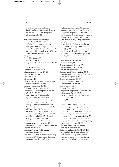propulsion, 55; safety, 31, 32, 37, 40–41; traffic congestion and delays, 62, 64, 65–66, 77–78, 90; transportation infrastructure, 63–66

Behavioral economics: consumption externalities, 43–49; cost-benefit analysis of policy outcomes, 8; cost of social goals policies, 88; production externalities, 49–54; rationale for social regulations, 27; research needs, 104; risk assessment and prevention, 34 Berry, Marion, 82 Bond, Christopher, 68 Brownback, Sam, 82 Bush (George W.) administration, 1, 23–24 Cable television, 99*n* Certification markets, 77, 80 Christie's auction house, 17–18 Civil Aeronautics Board, 32 Civil law, 19–20 Clayton Act, 14 Clean Air Act, 42, 45–46, 50; New Source

- Review requirements, 50*n*
- Collective bargaining, 15–16*n*
- Collusion, 17–18, 19–20, 21, 73
- Command-and-control policies, 42, 44, 49–50, 75, 80, 97
- Competition: certification market regulation and, 80; characteristics of market failure, 15; corporate mergers and, 18–19; current market functioning, 15; deregulation movement, 95; international, 24–25; market failure self-correction, 76, 78; natural monopoly conditions, 13–14; patent protection and, 58–59; perfect model, 13; price-fixing collusion, 17–18; regulatory oversight, 14; role of antitrust regulation, 14. *See also* Antitrust law
- Computer reservation systems, 32

Consumer Product Safety Commission, 35

- Consumer surplus, 7
- Corporate Average Fuel Economy standards, 47–49, 80
- Cost-benefit analysis of policy: advertising regulation, 29–31; agricultural subsidy programs, 23–24; aircraft noise

reduction requirements, 46; antitrust enforcement, 20–21; Army Corps of Engineers' projects, 68; behavioral assumptions, 8; Clean Air Act outcomes, 45–46, 50; conceptual basis, 1, 7–8; criticism of, 2; drug safety regulations, 35–36; externality cost reduction strategies, 42–43; international trade protection, 24–25; patent system, 56–59; publicly financed transit systems, 70–71; research and development subsidies, 55–56; Superfund program, 52–53; tobacco and liquor taxes, 46–47

- Davis-Bacon Act, 63–64, 66
- Defense industry, 89
- Department of Agriculture, 85
- Department of Justice, 14, 80
- Department of the Interior, 69
- Department of Transportation, 80, 85 Deterrence effects: antitrust policy, 19–20;
- information policies, 41
- Disability insurance, 88–89
- Dolphin Protection Consumer
- Information Act, 33–34
- Dooley, Calvin, 82
- Douglas, Paul, 67–68
- Drug Price Competition and Patent Term Restoration Act, 58–59, 96
- Drug safety regulations, 28, 34–37, 41, 73–75, 99–100 Durbin, Dick, 2

Earned income tax credit, 88–89 Economic regulation: agricultural sector, 22–24; deregulation movement, 22, 95, 98–99; economic outcomes, 14; efforts to improve government policy approach, 94–95; government failure, 73; international trade, 24–25; rationale, 3, 14, 22; recommendations for improving government policies, 98–99 Educational subsidies, 10, 89–90

- Electricity deregulation, 99
- Emissions trading, 42, 50, 51, 96, 100
- Energy policy, 43, 47–49, 54–55, 95
- Environmental policy: consumption externality costs, 43–49; cost-benefit analysis, 1; eco-labeling, 33–34; fisheries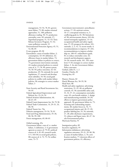management, 53–54, 78, 81; government failure, 75, 80; market-oriented approaches, 51, 100; pollution allowance trading, 50, 51; production externality costs, 49; rationale, 27; Superfund program, 51, 52–53; Toxic Release Inventory Program, 51–52; water pollution controls, 52

- Environmental Protection Agency, 45, 51, 52, 80, 85
- E-rate program, 89–90
- Externalities: causes of market failure, 2; consumption, 43–49; definition, 42; efficiency losses in market failure, 73; government failure in policies to correct, 75; government intervention rationale, 42; market-oriented policies to control costs of, 4, 77–78, 96; patent system, 54, 56–59; policy outcomes, 42–43; production, 49–54; rationale for social regulations, 27; research and development subsidies, 54–56; social goals policies in conflict with market failure policies, 90; strategies to correct market failure, 3
- Farm Security and Rural Investments Act, 94–95

Federal Agricultural Improvement and Reform Act, 23–24, 94

- Federal Aviation Administration, 46, 66–67, 85
- Federal Courts Improvement Act, 56, 79, 96
- Federal Trade Commission, 14, 29–31, 33, 80, 96
- Federal Transit Act, 70*n*
- Fisheries management, 53–54, 78, 81
- Food and Drug Administration, 35–36, 80, 96, 99–100
- Forest management, 69, 80–81

Government failure: costs of, *vs.* market failure, 3; definition, 2–3; government agencies as source of, 79–81; political sources of, 4, 81–85; research needs, 4–5, 103–04; in social goals policies, 88; sources of, 4, 73, 75–76; welfare costs, 73–75

Government intervention(s): anticollusion actions, 17–18; antitrust actions, 16–17; conceptual resistance to, 3; conflicting goals in, 81, 90; limitations of, 98; microeconomic theory, 103–04; natural monopoly regulation, 13–14; occupational health and safety regulation, 37–39; prospects for reform, 101; rationale, 2, 3, 14, 73; recent trends, 4; recommendations to improve, 97–101; recommendations to improve scholarship on, 106–07; redistributive goals, 81; to reduce externality costs, 42; research and development support, 54–56; research needs, 101, 105; statelevel, 9–10; strategies to correct market failure, 3. *See also* Government failure; Policy outcomes Graham, John D., 1, 2

Grassley, Charles, 82

Grazing fees, 69

- Hastert, Dennis, 82
- Hatch-Waxman Act, 58–59, 96
- Head Start, 88
- Health and safety regulation: advertising restrictions, 31–32, 40; air pollution controls, 45, 50; automobile safety and, 31, 32, 37, 41; consumption externality costs, 43; cost-benefit analysis, 1; design and manufacturing standards, 34–39; efforts to improve government policy approach, 96; government failure in, 75; licensing and credentialing requirements, 40; market forces in, 76, 77; occupational injuries and, 28, 37–39; product labeling law, 33, 34; rationale, 27, 28; seller disclosure requirements, 31; tobacco and liquor taxes, 46–47. *See also* Environmental policy

Hurricane Katrina, 91

Immigration policy, 89

- Incentive regulation, 95
- Information imbalances: advertising regulation outcomes, 29–31, 39–40, 96; as cause of market failure, 2, 76; certification markets, 77; deterrent effects of government policies, 41; efficiency

Global warming, 49*n*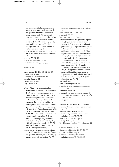losses in market failure, 73; efforts to improve government policy approach, 96; government failure, 73; interest group politics and, 82; market selfcorrection, 76–77; product labeling law and, 33–34; seller disclosure requirements and, 31–32; sources of, 27–28; state policies to correct, 39–41; strategies to correct market failure, 3; welfare losses due to, 28

Innovation: patent protection, 54, 56–59, 96; research and development subsidies, 54–56

Internet, 76, 89–90

Interstate Commerce Act, 22

Investment behavior, 31–32, 77

Jones Act, 24

Labor unions, 15–16*n,* 63–64, 66, 89 Lemon laws, 40–41 Licensing and credentialing, 40 Lincoln, Blanche, 82 Liquor taxes, 46–47 Lugar, Richard, 82

Market failure: assessment of policy performance to correct, 2, 9–11; causes, 2, 13–14, 61; conflicting goals in government interventions, 81, 90; current perception of government intervention performance, 10–11; definition, 2; economic theory, 103–04; efforts to reform government intervention strategies, 93–97; as failure of competition, 15; imperfect information as cause of, 2, 76; market-oriented policies to correct, 4, 98–99; policy trends, 4; rationale for government intervention, 2, 3; recommendations to improve government policies, 97–101; research needs, 101, 105; self-correcting capacity, 4, 76–79; social goals policies contributing to, 89–91; strategies to correct, 3

Market power: as cause of market failure, 2, 13; efficiency losses in market failure, 73; government strategies to control, 3; market failure self-correction, 76–79;

rationale for government intervention, 14

Mass transit, 69–71, 90, 100

Medicaid, 88–89

Mergers, 18–19, 21, 79–80

Microeconomic efficiency: antitrust policy and, 94; assessment of policy effectiveness, 2, 7–8; current perception of government policy performance, 10–11; definition, 2; economic theory, 103–4; evidence of policy outcomes, 9; failure of government market failure interventions, 3; federal challenges to corporate mergers and, 18–19; government intervention rationale, 2; losses in market failure, 73; outcomes of federal antitrust actions, 16–19; public financing of socially desirable services and, 62–63; publicly financed transit systems, 70; public management of highway system and, 64–66; social goals policies and, 10, 87–88, 89–91; U.S. Postal Service, 71–72

Microsoft, 17*n*

Milk Marketing Order, 23

Mine Safety and Health Administration, 37, 39, 80

Minimum wage, 89

Monopoly: as cause of market failure, 2, 13; regulatory rationale, 13–14. *See also* Antitrust law Monopsony, 15*n*

National Air and Space Administration, 55 National Appliance Energy Conservation Act, 49 National Forest Service, 69, 80 National Highway and Traffic Safety Administration, 31, 32, 37 New York Stock Exchange, 31 Noise pollution, 46 Nutrition and Labeling Education Act, 33 Obsolete policies, 79–80 Occupational injuries, 28, 37–39, 77 Occupational licensing, 40

Occupational Safety and Health

Administration, 37–39, 80, 85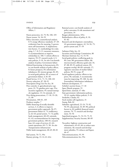Office of Information and Regulatory Affairs, 1

Patent protection, 42, 79, 96, 100, 105 Patent system, 54, 56–59

- Policy outcomes: counterfactual analysis, 8–9; energy efficiency standards, 47–49; evidentiary base for assessing, 9; government self-assessments, 9; implementation factors, 11; methodology for evaluating, 2, 7–8, 9–11; monetary measures, 9; recommendations to improve scholarship on, 106–7; reform efforts to improve, 93–97; research needs, 4–5; state policies, 9–10. *See also* Cost-benefit analysis of policy; Government failure
- Political functioning: in bureaucracies, 85; in cost-benefit analysis of policy effects, 8; future prospects, 85; information imbalances, 82; interest groups, 82, 85; in social goals policies, 89; as source of government failure, 4, 81–85
- Postal Service, U.S., 71–72, 100–101
- Poverty reduction, 87, 90–91
- Prescription Drug User Fee Act, 36
- Price controls, 4; agricultural price supports, 23, 79; gasoline price caps, 95*n*; incentive regulation, 95; natural monopoly regulation, 13–14; rationale, 22
- Price-fixing prosecutions, 17–18, 19–20, 21, 80
- Privatization, 100–01, 105
- Producer surplus, 7
- Public financing of socially desirable services, 3, 4; efforts to improve government policy approach, 96–97; government failure in, 75; inefficiency in, 62–63; postal system, 71–72; public lands management, 68–69; rationale, 61, 62; recommendations for improving government policies, 100–01; research base, 62; scope of services, 61–62; transit operations, 69–71, 90. *See also* Transportation infrastructure
- Public lands management, 68–69, 80–81

Rail system, 70–71, 99*n* Ramsey pricing, 13–14, 61–62*n* Rational actors: cost-benefit analysis of policy outcomes, 8; risk assessment and prevention, 34

- Reagan administration, 105*n*
- Redistributive effects of policy, 8, 10, 81–82

Research and development: externalities, 42; government support, 42, 54–56, 75; patent system and, 57–59

- Sarbanes-Oxley Act, 32
- Securities and Exchange Commission, 80

Sherman Antitrust Act, 14, 19, 94

Social goals policies: conflicting goals in, 89; costs, 88; government failure, 88; microeconomic efficiency goals and, 10, 87–88, 89–91; political context, 89; program overlap, 88–89; rationale, 27; regressive outcomes of market failure policies, 90–91; scope, 87

- Social regulatory policies: efforts to improve, 96; rationale, 3; recommendations for improving, 99–100. *See also* Externalities; Information imbalances
- Software development, 57
- Sotheby's auction house, 17–18
- Space Shuttle program, 55
- Speed limit, national, 47–48*n*
- State government: information policies, 39–41; market failure policies, 9–10
- Stenholm, Charles, 82
- Stock market self-regulation, 31
- Stump, Bob, 82
- Subsidies: agricultural, 22–24, 79, 82, 94–95; educational, 10, 89–90; political factors in, 82; publicly financed transit systems, 70, 71; research and development, 54–56
- Superfund program, 51, 52–53, 75, 91
- Supplementary Security Income, 88–89

Tax policy: highway construction and maintenance, 63–65, 66; to reduce auto emissions, 46; research and development subsidies, 55; tobacco and liquor, 46–47

Telecommunications, 95, 99

Telecommunications Act, 99*n*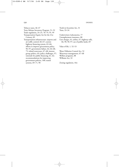Tobacco taxes, 46–47

- Toxic Release Inventory Program, 51–52 Trade regulation, 24–25, 78–79, 95, 99 Transportation Equity Act for the 21st
- Century, 85 Transportation infrastructure: airports and air traffic control, 66–67; current highway financing system, 63–66; efforts to improve government policy, 96–97; government failure, 62, 64–68, 75; inland waterways, 67–68; interest group politics, 85; policy challenges, 97; rationale for public financing, 61, 62; recommendations for improving

government policies, 100; transit

systems, 69–71, 90

Truth-in-Securities Act, 31 Tuna, 33–34

Underwriters Laboratories, 77 Unemployment insurance, 88 User charges, 61; airline, 67; highway tolls, 66, 90, 96–97; use of public lands, 69

Value of life, 1, 52–53

Water Pollution Control Act, 52 Waterways management, 67–68 Welfare programs, 88 Williams Act, 32

Zoning regulation, 44*n*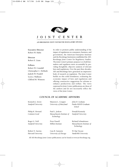

#### IOINT E  $\mathbf N$ T  $E$ R

AEI-BROOKINGS JOINT CENTER FOR REGULATORY STUDIES

**Executive Director** Robert W. Hahn

**Director** Robert E. Litan

**Fellows** Robert W. Crandall Christopher C. DeMuth Judyth W. Pendell Scott J. Wallsten Clifford M. Winston

In order to promote public understanding of the impact of regulations on consumers, business, and government, the American Enterprise Institute and the Brookings Institution established the AEI-Brookings Joint Center for Regulatory Studies. The Joint Center's primary purpose is to hold lawmakers and regulators more accountable by providing thoughtful, objective analysis of relevant laws and regulations. Over the past three decades, AEI and Brookings have generated an impressive body of research on regulation. The Joint Center builds on this solid foundation, evaluating the economic impact of laws and regulations and offering constructive suggestions for reforms to enhance productivity and welfare. The views expressed in Joint Center publications are those of the authors and do not necessarily reflect the views of the Joint Center.

### **COUNCIL OF ACADEMIC ADVISERS**

| Kenneth J. Arrow    | Maureen L. Cropper                       | John D. Graham                           |
|---------------------|------------------------------------------|------------------------------------------|
| Stanford University | University of Maryland                   | Pardee RAND Graduate<br>School           |
| Philip K. Howard    | Paul L. Joskow                           | Donald Kennedy                           |
| Common Good         | Massachusetts Institute of<br>Technology | Stanford University                      |
| Roger G. Noll       | Peter Passell                            | Richard Schmalensee                      |
| Stanford University | Milken Institute                         | Massachusetts Institute of<br>Technology |
| Robert N. Stavins   | Cass R. Sunstein                         | W. Kip Viscusi                           |
| Harvard University  | University of Chicago                    | Vanderbilt University                    |

All AEI-Brookings Joint Center publications can be found at www.aei-brookings.org.